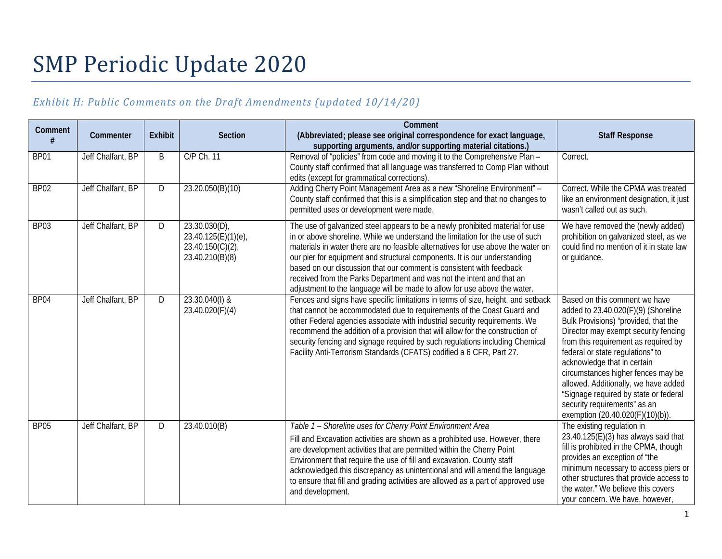# SMP Periodic Update 2020

## *Exhibit H: Public Comments on the Draft Amendments (updated 10/14/20)*

| Comment          | Commenter         | <b>Exhibit</b> | <b>Section</b>                                                                | Comment<br>(Abbreviated; please see original correspondence for exact language,<br>supporting arguments, and/or supporting material citations.)                                                                                                                                                                                                                                                                                                                                                                                                               | <b>Staff Response</b>                                                                                                                                                                                                                                                                                                                                                                                                                                      |
|------------------|-------------------|----------------|-------------------------------------------------------------------------------|---------------------------------------------------------------------------------------------------------------------------------------------------------------------------------------------------------------------------------------------------------------------------------------------------------------------------------------------------------------------------------------------------------------------------------------------------------------------------------------------------------------------------------------------------------------|------------------------------------------------------------------------------------------------------------------------------------------------------------------------------------------------------------------------------------------------------------------------------------------------------------------------------------------------------------------------------------------------------------------------------------------------------------|
| BP01             | Jeff Chalfant, BP | B              | C/P Ch. 11                                                                    | Removal of "policies" from code and moving it to the Comprehensive Plan -<br>County staff confirmed that all language was transferred to Comp Plan without<br>edits (except for grammatical corrections)                                                                                                                                                                                                                                                                                                                                                      | Correct.                                                                                                                                                                                                                                                                                                                                                                                                                                                   |
| BP <sub>02</sub> | Jeff Chalfant, BP | D              | 23.20.050(B)(10)                                                              | Adding Cherry Point Management Area as a new "Shoreline Environment" -<br>County staff confirmed that this is a simplification step and that no changes to<br>permitted uses or development were made.                                                                                                                                                                                                                                                                                                                                                        | Correct. While the CPMA was treated<br>like an environment designation, it just<br>wasn't called out as such.                                                                                                                                                                                                                                                                                                                                              |
| BP03             | Jeff Chalfant, BP | D              | 23.30.030(D)<br>23.40.125(E)(1)(e),<br>$23.40.150(C)(2)$ ,<br>23.40.210(B)(8) | The use of galvanized steel appears to be a newly prohibited material for use<br>in or above shoreline. While we understand the limitation for the use of such<br>materials in water there are no feasible alternatives for use above the water on<br>our pier for equipment and structural components. It is our understanding<br>based on our discussion that our comment is consistent with feedback<br>received from the Parks Department and was not the intent and that an<br>adjustment to the language will be made to allow for use above the water. | We have removed the (newly added)<br>prohibition on galvanized steel, as we<br>could find no mention of it in state law<br>or guidance.                                                                                                                                                                                                                                                                                                                    |
| BP04             | Jeff Chalfant, BP | D              | 23.30.040(I) &<br>23.40.020(F)(4)                                             | Fences and signs have specific limitations in terms of size, height, and setback<br>that cannot be accommodated due to requirements of the Coast Guard and<br>other Federal agencies associate with industrial security requirements. We<br>recommend the addition of a provision that will allow for the construction of<br>security fencing and signage required by such regulations including Chemical<br>Facility Anti-Terrorism Standards (CFATS) codified a 6 CFR, Part 27.                                                                             | Based on this comment we have<br>added to 23.40.020(F)(9) (Shoreline<br>Bulk Provisions) "provided, that the<br>Director may exempt security fencing<br>from this requirement as required by<br>federal or state regulations" to<br>acknowledge that in certain<br>circumstances higher fences may be<br>allowed. Additionally, we have added<br>"Signage required by state or federal<br>security requirements" as an<br>exemption (20.40.020(F)(10)(b)). |
| <b>BP05</b>      | Jeff Chalfant, BP | D              | 23.40.010(B)                                                                  | Table 1 - Shoreline uses for Cherry Point Environment Area<br>Fill and Excavation activities are shown as a prohibited use. However, there<br>are development activities that are permitted within the Cherry Point<br>Environment that require the use of fill and excavation. County staff<br>acknowledged this discrepancy as unintentional and will amend the language<br>to ensure that fill and grading activities are allowed as a part of approved use<br>and development.                                                                            | The existing regulation in<br>23.40.125(E)(3) has always said that<br>fill is prohibited in the CPMA, though<br>provides an exception of "the<br>minimum necessary to access piers or<br>other structures that provide access to<br>the water." We believe this covers<br>your concern. We have, however,                                                                                                                                                  |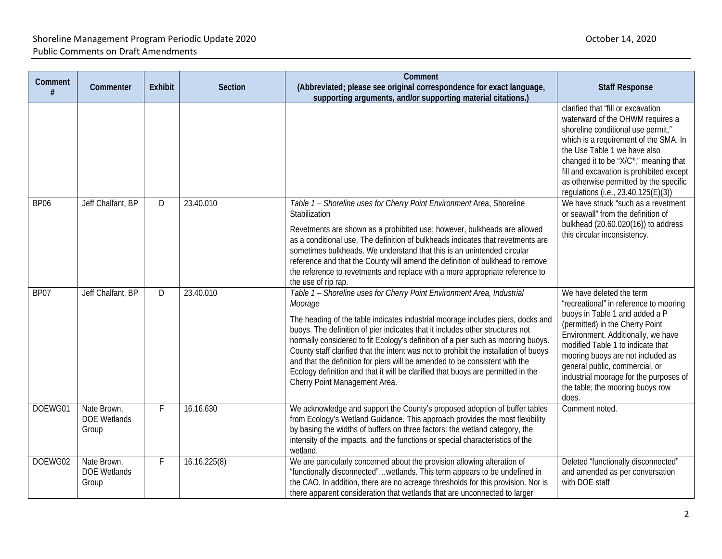| Comment     | Commenter                                   | <b>Exhibit</b> | <b>Section</b> | Comment<br>(Abbreviated; please see original correspondence for exact language,<br>supporting arguments, and/or supporting material citations.)                                                                                                                                                                                                                                                                                                                                                                                                                                                                                       | <b>Staff Response</b>                                                                                                                                                                                                                                                                                                                                                            |
|-------------|---------------------------------------------|----------------|----------------|---------------------------------------------------------------------------------------------------------------------------------------------------------------------------------------------------------------------------------------------------------------------------------------------------------------------------------------------------------------------------------------------------------------------------------------------------------------------------------------------------------------------------------------------------------------------------------------------------------------------------------------|----------------------------------------------------------------------------------------------------------------------------------------------------------------------------------------------------------------------------------------------------------------------------------------------------------------------------------------------------------------------------------|
|             |                                             |                |                |                                                                                                                                                                                                                                                                                                                                                                                                                                                                                                                                                                                                                                       | clarified that "fill or excavation<br>waterward of the OHWM requires a<br>shoreline conditional use permit,"<br>which is a requirement of the SMA. In<br>the Use Table 1 we have also<br>changed it to be "X/C*," meaning that<br>fill and excavation is prohibited except<br>as otherwise permitted by the specific<br>regulations (i.e., 23.40.125(E)(3))                      |
| <b>BP06</b> | Jeff Chalfant, BP                           | D              | 23.40.010      | Table 1 - Shoreline uses for Cherry Point Environment Area, Shoreline<br>Stabilization<br>Revetments are shown as a prohibited use; however, bulkheads are allowed<br>as a conditional use. The definition of bulkheads indicates that revetments are<br>sometimes bulkheads. We understand that this is an unintended circular<br>reference and that the County will amend the definition of bulkhead to remove<br>the reference to revetments and replace with a more appropriate reference to<br>the use of rip rap.                                                                                                               | We have struck "such as a revetment<br>or seawall" from the definition of<br>bulkhead (20.60.020(16)) to address<br>this circular inconsistency.                                                                                                                                                                                                                                 |
| BP07        | Jeff Chalfant, BP                           | D              | 23.40.010      | Table 1 - Shoreline uses for Cherry Point Environment Area, Industrial<br>Moorage<br>The heading of the table indicates industrial moorage includes piers, docks and<br>buoys. The definition of pier indicates that it includes other structures not<br>normally considered to fit Ecology's definition of a pier such as mooring buoys.<br>County staff clarified that the intent was not to prohibit the installation of buoys<br>and that the definition for piers will be amended to be consistent with the<br>Ecology definition and that it will be clarified that buoys are permitted in the<br>Cherry Point Management Area. | We have deleted the term<br>"recreational" in reference to mooring<br>buoys in Table 1 and added a P<br>(permitted) in the Cherry Point<br>Environment. Additionally, we have<br>modified Table 1 to indicate that<br>mooring buoys are not included as<br>general public, commercial, or<br>industrial moorage for the purposes of<br>the table; the mooring buoys row<br>does. |
| DOEWG01     | Nate Brown,<br><b>DOE Wetlands</b><br>Group | F              | 16.16.630      | We acknowledge and support the County's proposed adoption of buffer tables<br>from Ecology's Wetland Guidance. This approach provides the most flexibility<br>by basing the widths of buffers on three factors: the wetland category, the<br>intensity of the impacts, and the functions or special characteristics of the<br>wetland.                                                                                                                                                                                                                                                                                                | Comment noted.                                                                                                                                                                                                                                                                                                                                                                   |
| DOEWG02     | Nate Brown,<br><b>DOE Wetlands</b><br>Group | F.             | 16.16.225(8)   | We are particularly concerned about the provision allowing alteration of<br>"functionally disconnected"wetlands. This term appears to be undefined in<br>the CAO. In addition, there are no acreage thresholds for this provision. Nor is<br>there apparent consideration that wetlands that are unconnected to larger                                                                                                                                                                                                                                                                                                                | Deleted "functionally disconnected"<br>and amended as per conversation<br>with DOE staff                                                                                                                                                                                                                                                                                         |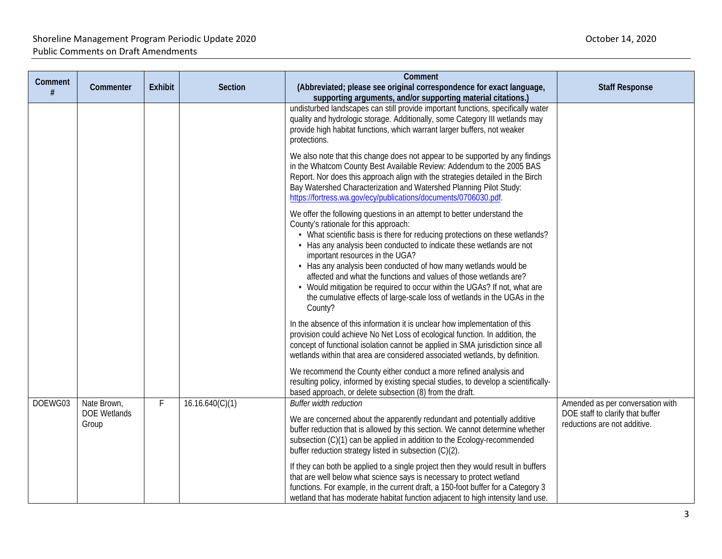|              |                                             |                |                 | Comment                                                                                                                                                                                                                                                                                                                                                                                                                                                                                                                                                                                                                                                              |                                                                                                      |
|--------------|---------------------------------------------|----------------|-----------------|----------------------------------------------------------------------------------------------------------------------------------------------------------------------------------------------------------------------------------------------------------------------------------------------------------------------------------------------------------------------------------------------------------------------------------------------------------------------------------------------------------------------------------------------------------------------------------------------------------------------------------------------------------------------|------------------------------------------------------------------------------------------------------|
| Comment<br># | Commenter                                   | <b>Exhibit</b> | <b>Section</b>  | (Abbreviated; please see original correspondence for exact language,<br>supporting arguments, and/or supporting material citations.)                                                                                                                                                                                                                                                                                                                                                                                                                                                                                                                                 | <b>Staff Response</b>                                                                                |
|              |                                             |                |                 | undisturbed landscapes can still provide important functions, specifically water<br>quality and hydrologic storage. Additionally, some Category III wetlands may<br>provide high habitat functions, which warrant larger buffers, not weaker<br>protections.                                                                                                                                                                                                                                                                                                                                                                                                         |                                                                                                      |
|              |                                             |                |                 | We also note that this change does not appear to be supported by any findings<br>in the Whatcom County Best Available Review: Addendum to the 2005 BAS<br>Report. Nor does this approach align with the strategies detailed in the Birch<br>Bay Watershed Characterization and Watershed Planning Pilot Study:<br>https://fortress.wa.gov/ecy/publications/documents/0706030.pdf.                                                                                                                                                                                                                                                                                    |                                                                                                      |
|              |                                             |                |                 | We offer the following questions in an attempt to better understand the<br>County's rationale for this approach:<br>• What scientific basis is there for reducing protections on these wetlands?<br>• Has any analysis been conducted to indicate these wetlands are not<br>important resources in the UGA?<br>• Has any analysis been conducted of how many wetlands would be<br>affected and what the functions and values of those wetlands are?<br>• Would mitigation be required to occur within the UGAs? If not, what are<br>the cumulative effects of large-scale loss of wetlands in the UGAs in the<br>County?                                             |                                                                                                      |
|              |                                             |                |                 | In the absence of this information it is unclear how implementation of this<br>provision could achieve No Net Loss of ecological function. In addition, the<br>concept of functional isolation cannot be applied in SMA jurisdiction since all<br>wetlands within that area are considered associated wetlands, by definition.<br>We recommend the County either conduct a more refined analysis and<br>resulting policy, informed by existing special studies, to develop a scientifically-<br>based approach, or delete subsection (8) from the draft.                                                                                                             |                                                                                                      |
| DOEWG03      | Nate Brown,<br><b>DOE Wetlands</b><br>Group | $\mathsf F$    | 16.16.640(C)(1) | <b>Buffer width reduction</b><br>We are concerned about the apparently redundant and potentially additive<br>buffer reduction that is allowed by this section. We cannot determine whether<br>subsection (C)(1) can be applied in addition to the Ecology-recommended<br>buffer reduction strategy listed in subsection (C)(2).<br>If they can both be applied to a single project then they would result in buffers<br>that are well below what science says is necessary to protect wetland<br>functions. For example, in the current draft, a 150-foot buffer for a Category 3<br>wetland that has moderate habitat function adjacent to high intensity land use. | Amended as per conversation with<br>DOE staff to clarify that buffer<br>reductions are not additive. |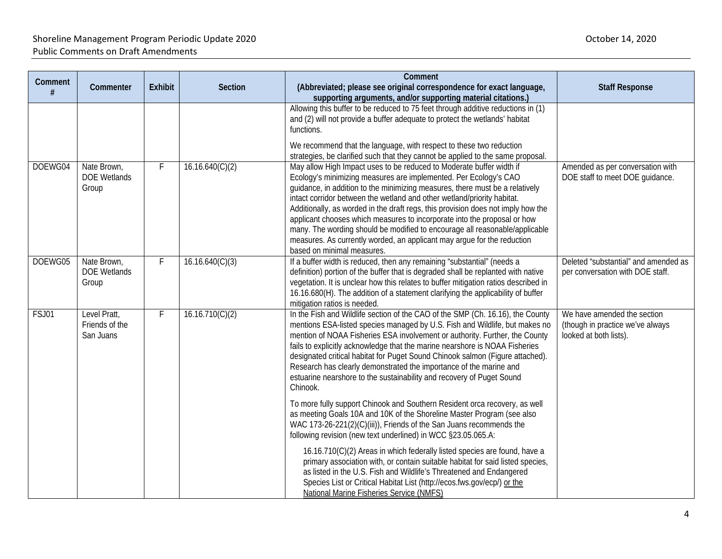| Comment | Commenter                                   | <b>Exhibit</b> | Section         | Comment<br>(Abbreviated; please see original correspondence for exact language,                                                                                                                                                                                                                                                                                                                                                                                                                                                                                                                                                                             | <b>Staff Response</b>                                                                     |
|---------|---------------------------------------------|----------------|-----------------|-------------------------------------------------------------------------------------------------------------------------------------------------------------------------------------------------------------------------------------------------------------------------------------------------------------------------------------------------------------------------------------------------------------------------------------------------------------------------------------------------------------------------------------------------------------------------------------------------------------------------------------------------------------|-------------------------------------------------------------------------------------------|
| #       |                                             |                |                 | supporting arguments, and/or supporting material citations.)                                                                                                                                                                                                                                                                                                                                                                                                                                                                                                                                                                                                |                                                                                           |
|         |                                             |                |                 | Allowing this buffer to be reduced to 75 feet through additive reductions in (1)<br>and (2) will not provide a buffer adequate to protect the wetlands' habitat<br>functions.<br>We recommend that the language, with respect to these two reduction<br>strategies, be clarified such that they cannot be applied to the same proposal.                                                                                                                                                                                                                                                                                                                     |                                                                                           |
| DOEWG04 | Nate Brown,<br><b>DOE Wetlands</b><br>Group | F              | 16.16.640(C)(2) | May allow High Impact uses to be reduced to Moderate buffer width if<br>Ecology's minimizing measures are implemented. Per Ecology's CAO<br>guidance, in addition to the minimizing measures, there must be a relatively<br>intact corridor between the wetland and other wetland/priority habitat.<br>Additionally, as worded in the draft regs, this provision does not imply how the<br>applicant chooses which measures to incorporate into the proposal or how<br>many. The wording should be modified to encourage all reasonable/applicable<br>measures. As currently worded, an applicant may argue for the reduction<br>based on minimal measures. | Amended as per conversation with<br>DOE staff to meet DOE guidance.                       |
| DOEWG05 | Nate Brown,<br><b>DOE Wetlands</b><br>Group | F              | 16.16.640(C)(3) | If a buffer width is reduced, then any remaining "substantial" (needs a<br>definition) portion of the buffer that is degraded shall be replanted with native<br>vegetation. It is unclear how this relates to buffer mitigation ratios described in<br>16.16.680(H). The addition of a statement clarifying the applicability of buffer<br>mitigation ratios is needed.                                                                                                                                                                                                                                                                                     | Deleted "substantial" and amended as<br>per conversation with DOE staff.                  |
| FSJ01   | Level Pratt,<br>Friends of the<br>San Juans | $\mathsf{F}$   | 16.16.710(C)(2) | In the Fish and Wildlife section of the CAO of the SMP (Ch. 16.16), the County<br>mentions ESA-listed species managed by U.S. Fish and Wildlife, but makes no<br>mention of NOAA Fisheries ESA involvement or authority. Further, the County<br>fails to explicitly acknowledge that the marine nearshore is NOAA Fisheries<br>designated critical habitat for Puget Sound Chinook salmon (Figure attached).<br>Research has clearly demonstrated the importance of the marine and<br>estuarine nearshore to the sustainability and recovery of Puget Sound<br>Chinook.                                                                                     | We have amended the section<br>(though in practice we've always<br>looked at both lists). |
|         |                                             |                |                 | To more fully support Chinook and Southern Resident orca recovery, as well<br>as meeting Goals 10A and 10K of the Shoreline Master Program (see also<br>WAC 173-26-221(2)(C)(iii)), Friends of the San Juans recommends the<br>following revision (new text underlined) in WCC §23.05.065.A:                                                                                                                                                                                                                                                                                                                                                                |                                                                                           |
|         |                                             |                |                 | 16.16.710(C)(2) Areas in which federally listed species are found, have a<br>primary association with, or contain suitable habitat for said listed species,<br>as listed in the U.S. Fish and Wildlife's Threatened and Endangered<br>Species List or Critical Habitat List (http://ecos.fws.gov/ecp/) or the<br>National Marine Fisheries Service (NMFS)                                                                                                                                                                                                                                                                                                   |                                                                                           |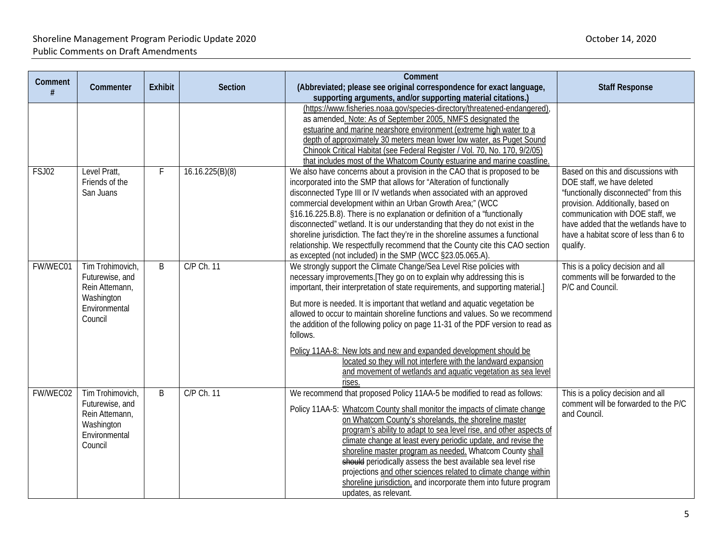|          |                                                                                                 |                |                 | Comment                                                                                                                                                                                                                                                                                                                                                                                                                                                                                                                                                                                                                                                                                                          |                                                                                                                                                                                                                                                                                  |
|----------|-------------------------------------------------------------------------------------------------|----------------|-----------------|------------------------------------------------------------------------------------------------------------------------------------------------------------------------------------------------------------------------------------------------------------------------------------------------------------------------------------------------------------------------------------------------------------------------------------------------------------------------------------------------------------------------------------------------------------------------------------------------------------------------------------------------------------------------------------------------------------------|----------------------------------------------------------------------------------------------------------------------------------------------------------------------------------------------------------------------------------------------------------------------------------|
| Comment  | Commenter                                                                                       | <b>Exhibit</b> | <b>Section</b>  | (Abbreviated; please see original correspondence for exact language,<br>supporting arguments, and/or supporting material citations.)                                                                                                                                                                                                                                                                                                                                                                                                                                                                                                                                                                             | <b>Staff Response</b>                                                                                                                                                                                                                                                            |
|          |                                                                                                 |                |                 | (https://www.fisheries.noaa.gov/species-directory/threatened-endangered)<br>as amended. Note: As of September 2005, NMFS designated the<br>estuarine and marine nearshore environment (extreme high water to a<br>depth of approximately 30 meters mean lower low water, as Puget Sound<br>Chinook Critical Habitat (see Federal Register / Vol. 70, No. 170, 9/2/05)<br>that includes most of the Whatcom County estuarine and marine coastline.                                                                                                                                                                                                                                                                |                                                                                                                                                                                                                                                                                  |
| FSJ02    | Level Pratt,<br>Friends of the<br>San Juans                                                     | F              | 16.16.225(B)(8) | We also have concerns about a provision in the CAO that is proposed to be<br>incorporated into the SMP that allows for "Alteration of functionally<br>disconnected Type III or IV wetlands when associated with an approved<br>commercial development within an Urban Growth Area;" (WCC<br>§16.16.225.B.8). There is no explanation or definition of a "functionally<br>disconnected" wetland. It is our understanding that they do not exist in the<br>shoreline jurisdiction. The fact they're in the shoreline assumes a functional<br>relationship. We respectfully recommend that the County cite this CAO section<br>as excepted (not included) in the SMP (WCC §23.05.065.A).                            | Based on this and discussions with<br>DOE staff, we have deleted<br>"functionally disconnected" from this<br>provision. Additionally, based on<br>communication with DOE staff, we<br>have added that the wetlands have to<br>have a habitat score of less than 6 to<br>qualify. |
| FW/WEC01 | Tim Trohimovich,<br>Futurewise, and<br>Rein Attemann,<br>Washington<br>Environmental<br>Council | B              | C/P Ch. 11      | We strongly support the Climate Change/Sea Level Rise policies with<br>necessary improvements. [They go on to explain why addressing this is<br>important, their interpretation of state requirements, and supporting material.]<br>But more is needed. It is important that wetland and aquatic vegetation be<br>allowed to occur to maintain shoreline functions and values. So we recommend<br>the addition of the following policy on page 11-31 of the PDF version to read as<br>follows.<br>Policy 11AA-8: New lots and new and expanded development should be<br>located so they will not interfere with the landward expansion<br>and movement of wetlands and aquatic vegetation as sea level<br>rises. | This is a policy decision and all<br>comments will be forwarded to the<br>P/C and Council.                                                                                                                                                                                       |
| FW/WEC02 | Tim Trohimovich,<br>Futurewise, and<br>Rein Attemann,<br>Washington<br>Environmental<br>Council | B              | C/P Ch. 11      | We recommend that proposed Policy 11AA-5 be modified to read as follows:<br>Policy 11AA-5: Whatcom County shall monitor the impacts of climate change<br>on Whatcom County's shorelands, the shoreline master<br>program's ability to adapt to sea level rise, and other aspects of<br>climate change at least every periodic update, and revise the<br>shoreline master program as needed. Whatcom County shall<br>should periodically assess the best available sea level rise<br>projections and other sciences related to climate change within<br>shoreline jurisdiction, and incorporate them into future program<br>updates, as relevant.                                                                 | This is a policy decision and all<br>comment will be forwarded to the P/C<br>and Council.                                                                                                                                                                                        |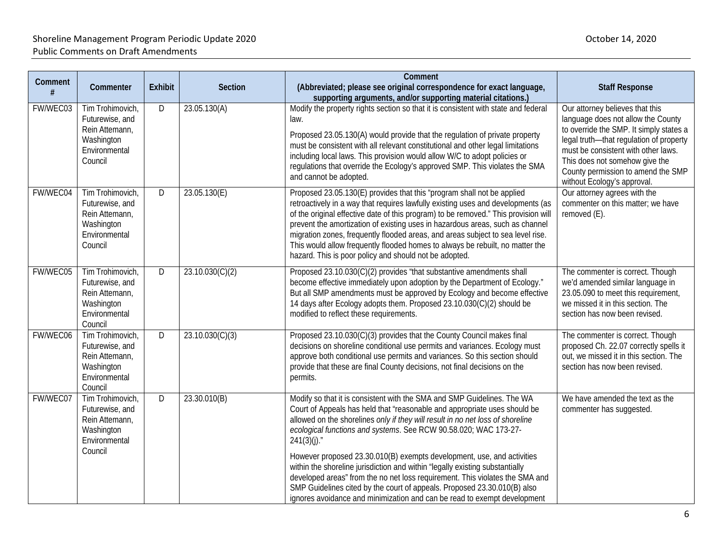|              |                                                                                                 |                |                 | Comment                                                                                                                                                                                                                                                                                                                                                                                                                                                                                                                                                          |                                                                                                                                                                                                                                                                                                           |
|--------------|-------------------------------------------------------------------------------------------------|----------------|-----------------|------------------------------------------------------------------------------------------------------------------------------------------------------------------------------------------------------------------------------------------------------------------------------------------------------------------------------------------------------------------------------------------------------------------------------------------------------------------------------------------------------------------------------------------------------------------|-----------------------------------------------------------------------------------------------------------------------------------------------------------------------------------------------------------------------------------------------------------------------------------------------------------|
| Comment<br># | Commenter                                                                                       | <b>Exhibit</b> | Section         | (Abbreviated; please see original correspondence for exact language,<br>supporting arguments, and/or supporting material citations.)                                                                                                                                                                                                                                                                                                                                                                                                                             | <b>Staff Response</b>                                                                                                                                                                                                                                                                                     |
| FW/WEC03     | Tim Trohimovich,<br>Futurewise, and<br>Rein Attemann,<br>Washington<br>Environmental<br>Council | D              | 23.05.130(A)    | Modify the property rights section so that it is consistent with state and federal<br>law.<br>Proposed 23.05.130(A) would provide that the regulation of private property<br>must be consistent with all relevant constitutional and other legal limitations<br>including local laws. This provision would allow W/C to adopt policies or<br>regulations that override the Ecology's approved SMP. This violates the SMA<br>and cannot be adopted.                                                                                                               | Our attorney believes that this<br>language does not allow the County<br>to override the SMP. It simply states a<br>legal truth-that regulation of property<br>must be consistent with other laws.<br>This does not somehow give the<br>County permission to amend the SMP<br>without Ecology's approval. |
| FW/WEC04     | Tim Trohimovich,<br>Futurewise, and<br>Rein Attemann,<br>Washington<br>Environmental<br>Council | D              | 23.05.130(E)    | Proposed 23.05.130(E) provides that this "program shall not be applied<br>retroactively in a way that requires lawfully existing uses and developments (as<br>of the original effective date of this program) to be removed." This provision will<br>prevent the amortization of existing uses in hazardous areas, such as channel<br>migration zones, frequently flooded areas, and areas subject to sea level rise.<br>This would allow frequently flooded homes to always be rebuilt, no matter the<br>hazard. This is poor policy and should not be adopted. | Our attorney agrees with the<br>commenter on this matter; we have<br>removed (E).                                                                                                                                                                                                                         |
| FW/WEC05     | Tim Trohimovich,<br>Futurewise, and<br>Rein Attemann,<br>Washington<br>Environmental<br>Council | D              | 23.10.030(C)(2) | Proposed 23.10.030(C)(2) provides "that substantive amendments shall<br>become effective immediately upon adoption by the Department of Ecology."<br>But all SMP amendments must be approved by Ecology and become effective<br>14 days after Ecology adopts them. Proposed 23.10.030(C)(2) should be<br>modified to reflect these requirements.                                                                                                                                                                                                                 | The commenter is correct. Though<br>we'd amended similar language in<br>23.05.090 to meet this requirement,<br>we missed it in this section. The<br>section has now been revised.                                                                                                                         |
| FW/WEC06     | Tim Trohimovich,<br>Futurewise, and<br>Rein Attemann,<br>Washington<br>Environmental<br>Council | $\overline{D}$ | 23.10.030(C)(3) | Proposed 23.10.030(C)(3) provides that the County Council makes final<br>decisions on shoreline conditional use permits and variances. Ecology must<br>approve both conditional use permits and variances. So this section should<br>provide that these are final County decisions, not final decisions on the<br>permits.                                                                                                                                                                                                                                       | The commenter is correct. Though<br>proposed Ch. 22.07 correctly spells it<br>out, we missed it in this section. The<br>section has now been revised.                                                                                                                                                     |
| FW/WEC07     | Tim Trohimovich,<br>Futurewise, and<br>Rein Attemann,<br>Washington<br>Environmental            | D              | 23.30.010(B)    | Modify so that it is consistent with the SMA and SMP Guidelines. The WA<br>Court of Appeals has held that "reasonable and appropriate uses should be<br>allowed on the shorelines only if they will result in no net loss of shoreline<br>ecological functions and systems. See RCW 90.58.020; WAC 173-27-<br>$241(3)(i)$ ."                                                                                                                                                                                                                                     | We have amended the text as the<br>commenter has suggested.                                                                                                                                                                                                                                               |
|              | Council                                                                                         |                |                 | However proposed 23.30.010(B) exempts development, use, and activities<br>within the shoreline jurisdiction and within "legally existing substantially<br>developed areas" from the no net loss requirement. This violates the SMA and<br>SMP Guidelines cited by the court of appeals. Proposed 23.30.010(B) also<br>ignores avoidance and minimization and can be read to exempt development                                                                                                                                                                   |                                                                                                                                                                                                                                                                                                           |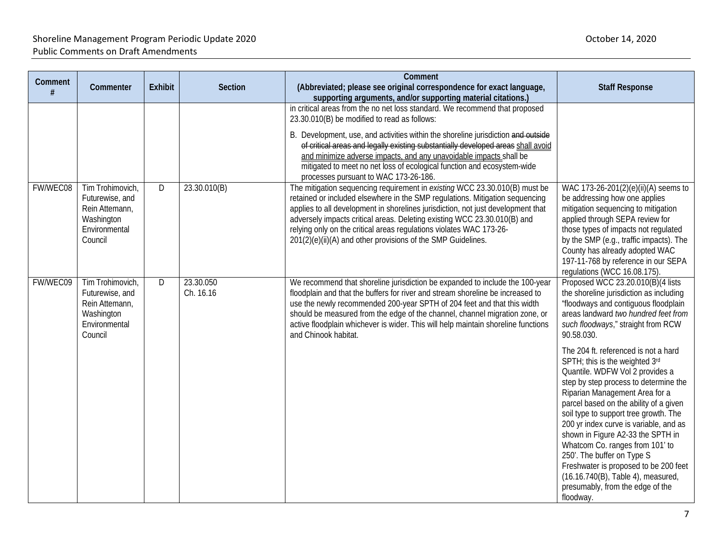| Comment  | Commenter                                                                                       | <b>Exhibit</b> | <b>Section</b>         | Comment<br>(Abbreviated; please see original correspondence for exact language,<br>supporting arguments, and/or supporting material citations.)                                                                                                                                                                                                                                                                                                                                                | <b>Staff Response</b>                                                                                                                                                                                                                                                                                                                                                                                                                                                                                                                                   |
|----------|-------------------------------------------------------------------------------------------------|----------------|------------------------|------------------------------------------------------------------------------------------------------------------------------------------------------------------------------------------------------------------------------------------------------------------------------------------------------------------------------------------------------------------------------------------------------------------------------------------------------------------------------------------------|---------------------------------------------------------------------------------------------------------------------------------------------------------------------------------------------------------------------------------------------------------------------------------------------------------------------------------------------------------------------------------------------------------------------------------------------------------------------------------------------------------------------------------------------------------|
|          |                                                                                                 |                |                        | in critical areas from the no net loss standard. We recommend that proposed<br>23.30.010(B) be modified to read as follows:<br>B. Development, use, and activities within the shoreline jurisdiction and outside<br>of critical areas and legally existing substantially developed areas shall avoid<br>and minimize adverse impacts, and any unavoidable impacts shall be<br>mitigated to meet no net loss of ecological function and ecosystem-wide<br>processes pursuant to WAC 173-26-186. |                                                                                                                                                                                                                                                                                                                                                                                                                                                                                                                                                         |
| FW/WEC08 | Tim Trohimovich,<br>Futurewise, and<br>Rein Attemann,<br>Washington<br>Environmental<br>Council | D              | 23.30.010(B)           | The mitigation sequencing requirement in existing WCC 23.30.010(B) must be<br>retained or included elsewhere in the SMP regulations. Mitigation sequencing<br>applies to all development in shorelines jurisdiction, not just development that<br>adversely impacts critical areas. Deleting existing WCC 23.30.010(B) and<br>relying only on the critical areas regulations violates WAC 173-26-<br>201(2)(e)(ii)(A) and other provisions of the SMP Guidelines.                              | WAC 173-26-201(2)(e)(ii)(A) seems to<br>be addressing how one applies<br>mitigation sequencing to mitigation<br>applied through SEPA review for<br>those types of impacts not regulated<br>by the SMP (e.g., traffic impacts). The<br>County has already adopted WAC<br>197-11-768 by reference in our SEPA<br>regulations (WCC 16.08.175).                                                                                                                                                                                                             |
| FW/WEC09 | Tim Trohimovich,<br>Futurewise, and<br>Rein Attemann,<br>Washington<br>Environmental<br>Council | D              | 23.30.050<br>Ch. 16.16 | We recommend that shoreline jurisdiction be expanded to include the 100-year<br>floodplain and that the buffers for river and stream shoreline be increased to<br>use the newly recommended 200-year SPTH of 204 feet and that this width<br>should be measured from the edge of the channel, channel migration zone, or<br>active floodplain whichever is wider. This will help maintain shoreline functions<br>and Chinook habitat.                                                          | Proposed WCC 23.20.010(B)(4 lists<br>the shoreline jurisdiction as including<br>"floodways and contiguous floodplain<br>areas landward two hundred feet from<br>such floodways," straight from RCW<br>90.58.030.                                                                                                                                                                                                                                                                                                                                        |
|          |                                                                                                 |                |                        |                                                                                                                                                                                                                                                                                                                                                                                                                                                                                                | The 204 ft. referenced is not a hard<br>SPTH; this is the weighted 3rd<br>Quantile. WDFW Vol 2 provides a<br>step by step process to determine the<br>Riparian Management Area for a<br>parcel based on the ability of a given<br>soil type to support tree growth. The<br>200 yr index curve is variable, and as<br>shown in Figure A2-33 the SPTH in<br>Whatcom Co. ranges from 101' to<br>250'. The buffer on Type S<br>Freshwater is proposed to be 200 feet<br>(16.16.740(B), Table 4), measured,<br>presumably, from the edge of the<br>floodway. |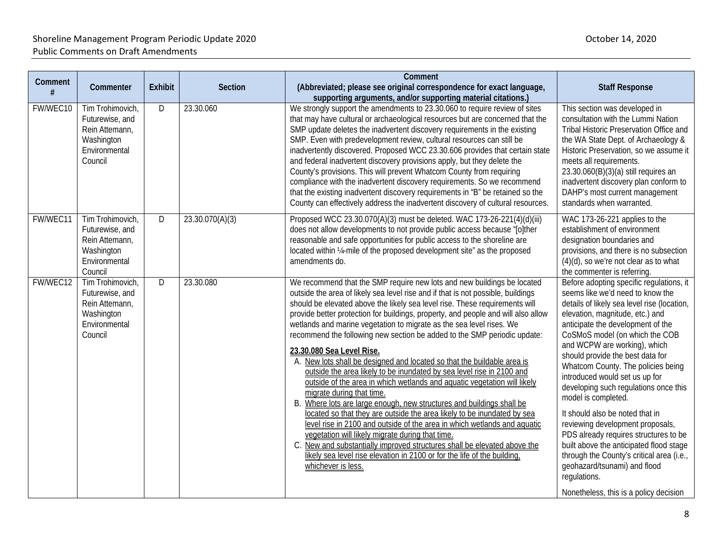| Comment  | Commenter                                                                                       | <b>Exhibit</b> | <b>Section</b>  | Comment<br>(Abbreviated; please see original correspondence for exact language,<br>supporting arguments, and/or supporting material citations.)                                                                                                                                                                                                                                                                                                                                                                                                                                                                                                                                                                                                                                                                                                                                                                                                                                                                                                                                                                                                                                                                                                 | <b>Staff Response</b>                                                                                                                                                                                                                                                                                                                                                                                                                                                                                                                                                                                                                                                                                                                               |
|----------|-------------------------------------------------------------------------------------------------|----------------|-----------------|-------------------------------------------------------------------------------------------------------------------------------------------------------------------------------------------------------------------------------------------------------------------------------------------------------------------------------------------------------------------------------------------------------------------------------------------------------------------------------------------------------------------------------------------------------------------------------------------------------------------------------------------------------------------------------------------------------------------------------------------------------------------------------------------------------------------------------------------------------------------------------------------------------------------------------------------------------------------------------------------------------------------------------------------------------------------------------------------------------------------------------------------------------------------------------------------------------------------------------------------------|-----------------------------------------------------------------------------------------------------------------------------------------------------------------------------------------------------------------------------------------------------------------------------------------------------------------------------------------------------------------------------------------------------------------------------------------------------------------------------------------------------------------------------------------------------------------------------------------------------------------------------------------------------------------------------------------------------------------------------------------------------|
| FW/WEC10 | Tim Trohimovich,<br>Futurewise, and<br>Rein Attemann,<br>Washington<br>Environmental<br>Council | D              | 23.30.060       | We strongly support the amendments to 23.30.060 to require review of sites<br>that may have cultural or archaeological resources but are concerned that the<br>SMP update deletes the inadvertent discovery requirements in the existing<br>SMP. Even with predevelopment review, cultural resources can still be<br>inadvertently discovered. Proposed WCC 23.30.606 provides that certain state<br>and federal inadvertent discovery provisions apply, but they delete the<br>County's provisions. This will prevent Whatcom County from requiring<br>compliance with the inadvertent discovery requirements. So we recommend<br>that the existing inadvertent discovery requirements in "B" be retained so the<br>County can effectively address the inadvertent discovery of cultural resources.                                                                                                                                                                                                                                                                                                                                                                                                                                            | This section was developed in<br>consultation with the Lummi Nation<br>Tribal Historic Preservation Office and<br>the WA State Dept. of Archaeology &<br>Historic Preservation, so we assume it<br>meets all requirements.<br>23.30.060(B)(3)(a) still requires an<br>inadvertent discovery plan conform to<br>DAHP's most current management<br>standards when warranted.                                                                                                                                                                                                                                                                                                                                                                          |
| FW/WEC11 | Tim Trohimovich,<br>Futurewise, and<br>Rein Attemann,<br>Washington<br>Environmental<br>Council | D              | 23.30.070(A)(3) | Proposed WCC 23.30.070(A)(3) must be deleted. WAC 173-26-221(4)(d)(iii)<br>does not allow developments to not provide public access because "[o]ther<br>reasonable and safe opportunities for public access to the shoreline are<br>located within 1/4-mile of the proposed development site" as the proposed<br>amendments do.                                                                                                                                                                                                                                                                                                                                                                                                                                                                                                                                                                                                                                                                                                                                                                                                                                                                                                                 | WAC 173-26-221 applies to the<br>establishment of environment<br>designation boundaries and<br>provisions, and there is no subsection<br>$(4)(d)$ , so we're not clear as to what<br>the commenter is referring.                                                                                                                                                                                                                                                                                                                                                                                                                                                                                                                                    |
| FW/WEC12 | Tim Trohimovich,<br>Futurewise, and<br>Rein Attemann,<br>Washington<br>Environmental<br>Council | D              | 23.30.080       | We recommend that the SMP require new lots and new buildings be located<br>outside the area of likely sea level rise and if that is not possible, buildings<br>should be elevated above the likely sea level rise. These requirements will<br>provide better protection for buildings, property, and people and will also allow<br>wetlands and marine vegetation to migrate as the sea level rises. We<br>recommend the following new section be added to the SMP periodic update:<br>23.30.080 Sea Level Rise.<br>A. New lots shall be designed and located so that the buildable area is<br>outside the area likely to be inundated by sea level rise in 2100 and<br>outside of the area in which wetlands and aquatic vegetation will likely<br>migrate during that time.<br>B. Where lots are large enough, new structures and buildings shall be<br>located so that they are outside the area likely to be inundated by sea<br>level rise in 2100 and outside of the area in which wetlands and aquatic<br>vegetation will likely migrate during that time.<br>C. New and substantially improved structures shall be elevated above the<br>likely sea level rise elevation in 2100 or for the life of the building.<br>whichever is less. | Before adopting specific regulations, it<br>seems like we'd need to know the<br>details of likely sea level rise (location,<br>elevation, magnitude, etc.) and<br>anticipate the development of the<br>CoSMoS model (on which the COB<br>and WCPW are working), which<br>should provide the best data for<br>Whatcom County. The policies being<br>introduced would set us up for<br>developing such regulations once this<br>model is completed.<br>It should also be noted that in<br>reviewing development proposals,<br>PDS already requires structures to be<br>built above the anticipated flood stage<br>through the County's critical area (i.e.,<br>geohazard/tsunami) and flood<br>regulations.<br>Nonetheless, this is a policy decision |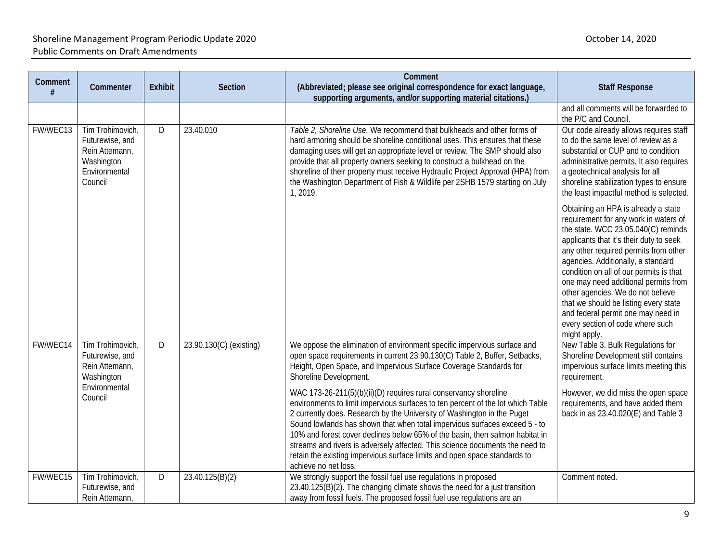| Comment  | Commenter                                                                                       | <b>Exhibit</b> | Section                 | Comment<br>(Abbreviated; please see original correspondence for exact language,<br>supporting arguments, and/or supporting material citations.)                                                                                                                                                                                                                                                                                                                                                                                                                                   | <b>Staff Response</b>                                                                                                                                                                                                                                                                                                                                                                                                                                                                                    |
|----------|-------------------------------------------------------------------------------------------------|----------------|-------------------------|-----------------------------------------------------------------------------------------------------------------------------------------------------------------------------------------------------------------------------------------------------------------------------------------------------------------------------------------------------------------------------------------------------------------------------------------------------------------------------------------------------------------------------------------------------------------------------------|----------------------------------------------------------------------------------------------------------------------------------------------------------------------------------------------------------------------------------------------------------------------------------------------------------------------------------------------------------------------------------------------------------------------------------------------------------------------------------------------------------|
|          |                                                                                                 |                |                         |                                                                                                                                                                                                                                                                                                                                                                                                                                                                                                                                                                                   | and all comments will be forwarded to<br>the P/C and Council.                                                                                                                                                                                                                                                                                                                                                                                                                                            |
| FW/WEC13 | Tim Trohimovich,<br>Futurewise, and<br>Rein Attemann,<br>Washington<br>Environmental<br>Council | D              | 23.40.010               | Table 2, Shoreline Use. We recommend that bulkheads and other forms of<br>hard armoring should be shoreline conditional uses. This ensures that these<br>damaging uses will get an appropriate level or review. The SMP should also<br>provide that all property owners seeking to construct a bulkhead on the<br>shoreline of their property must receive Hydraulic Project Approval (HPA) from<br>the Washington Department of Fish & Wildlife per 2SHB 1579 starting on July<br>1, 2019.                                                                                       | Our code already allows requires staff<br>to do the same level of review as a<br>substantial or CUP and to condition<br>administrative permits. It also requires<br>a geotechnical analysis for all<br>shoreline stabilization types to ensure<br>the least impactful method is selected.                                                                                                                                                                                                                |
|          |                                                                                                 |                |                         |                                                                                                                                                                                                                                                                                                                                                                                                                                                                                                                                                                                   | Obtaining an HPA is already a state<br>requirement for any work in waters of<br>the state. WCC 23.05.040(C) reminds<br>applicants that it's their duty to seek<br>any other required permits from other<br>agencies. Additionally, a standard<br>condition on all of our permits is that<br>one may need additional permits from<br>other agencies. We do not believe<br>that we should be listing every state<br>and federal permit one may need in<br>every section of code where such<br>might apply. |
| FW/WEC14 | Tim Trohimovich,<br>Futurewise, and<br>Rein Attemann,<br>Washington                             | D              | 23.90.130(C) (existing) | We oppose the elimination of environment specific impervious surface and<br>open space requirements in current 23.90.130(C) Table 2, Buffer, Setbacks,<br>Height, Open Space, and Impervious Surface Coverage Standards for<br>Shoreline Development.                                                                                                                                                                                                                                                                                                                             | New Table 3. Bulk Regulations for<br>Shoreline Development still contains<br>impervious surface limits meeting this<br>requirement.                                                                                                                                                                                                                                                                                                                                                                      |
|          | Environmental<br>Council                                                                        |                |                         | WAC 173-26-211(5)(b)(ii)(D) requires rural conservancy shoreline<br>environments to limit impervious surfaces to ten percent of the lot which Table<br>2 currently does. Research by the University of Washington in the Puget<br>Sound lowlands has shown that when total impervious surfaces exceed 5 - to<br>10% and forest cover declines below 65% of the basin, then salmon habitat in<br>streams and rivers is adversely affected. This science documents the need to<br>retain the existing impervious surface limits and open space standards to<br>achieve no net loss. | However, we did miss the open space<br>requirements, and have added them<br>back in as 23.40.020(E) and Table 3                                                                                                                                                                                                                                                                                                                                                                                          |
| FW/WEC15 | Tim Trohimovich,<br>Futurewise, and<br>Rein Attemann,                                           | D              | 23.40.125(B)(2)         | We strongly support the fossil fuel use regulations in proposed<br>23.40.125(B)(2). The changing climate shows the need for a just transition<br>away from fossil fuels. The proposed fossil fuel use regulations are an                                                                                                                                                                                                                                                                                                                                                          | Comment noted.                                                                                                                                                                                                                                                                                                                                                                                                                                                                                           |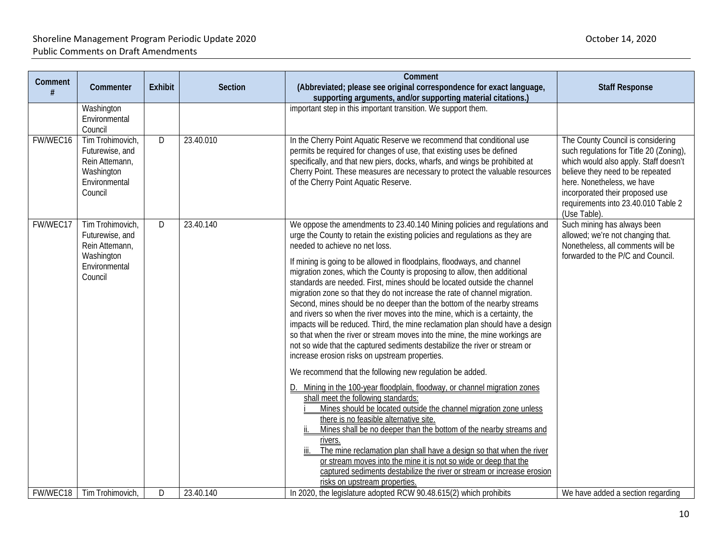| Comment  | Commenter                                                                                       | <b>Exhibit</b> | Section   | Comment<br>(Abbreviated; please see original correspondence for exact language,                                                                                                                                                                                                                                                                                                                                                                                                                                                                                                                                                                                                                                                                                                                                                                                                                                                                                                                                                                                                                                                                                                                                                                                                                                                                                                                                                                                                                                                                                                                                | <b>Staff Response</b>                                                                                                                                                                                                                                                             |
|----------|-------------------------------------------------------------------------------------------------|----------------|-----------|----------------------------------------------------------------------------------------------------------------------------------------------------------------------------------------------------------------------------------------------------------------------------------------------------------------------------------------------------------------------------------------------------------------------------------------------------------------------------------------------------------------------------------------------------------------------------------------------------------------------------------------------------------------------------------------------------------------------------------------------------------------------------------------------------------------------------------------------------------------------------------------------------------------------------------------------------------------------------------------------------------------------------------------------------------------------------------------------------------------------------------------------------------------------------------------------------------------------------------------------------------------------------------------------------------------------------------------------------------------------------------------------------------------------------------------------------------------------------------------------------------------------------------------------------------------------------------------------------------------|-----------------------------------------------------------------------------------------------------------------------------------------------------------------------------------------------------------------------------------------------------------------------------------|
|          | Washington<br>Environmental<br>Council                                                          |                |           | supporting arguments, and/or supporting material citations.)<br>important step in this important transition. We support them.                                                                                                                                                                                                                                                                                                                                                                                                                                                                                                                                                                                                                                                                                                                                                                                                                                                                                                                                                                                                                                                                                                                                                                                                                                                                                                                                                                                                                                                                                  |                                                                                                                                                                                                                                                                                   |
| FW/WEC16 | Tim Trohimovich,<br>Futurewise, and<br>Rein Attemann,<br>Washington<br>Environmental<br>Council | D.             | 23.40.010 | In the Cherry Point Aquatic Reserve we recommend that conditional use<br>permits be required for changes of use, that existing uses be defined<br>specifically, and that new piers, docks, wharfs, and wings be prohibited at<br>Cherry Point. These measures are necessary to protect the valuable resources<br>of the Cherry Point Aquatic Reserve.                                                                                                                                                                                                                                                                                                                                                                                                                                                                                                                                                                                                                                                                                                                                                                                                                                                                                                                                                                                                                                                                                                                                                                                                                                                          | The County Council is considering<br>such regulations for Title 20 (Zoning),<br>which would also apply. Staff doesn't<br>believe they need to be repeated<br>here. Nonetheless, we have<br>incorporated their proposed use<br>requirements into 23.40.010 Table 2<br>(Use Table). |
| FW/WEC17 | Tim Trohimovich,<br>Futurewise, and<br>Rein Attemann,<br>Washington<br>Environmental<br>Council | D              | 23.40.140 | We oppose the amendments to 23.40.140 Mining policies and regulations and<br>urge the County to retain the existing policies and regulations as they are<br>needed to achieve no net loss.<br>If mining is going to be allowed in floodplains, floodways, and channel<br>migration zones, which the County is proposing to allow, then additional<br>standards are needed. First, mines should be located outside the channel<br>migration zone so that they do not increase the rate of channel migration.<br>Second, mines should be no deeper than the bottom of the nearby streams<br>and rivers so when the river moves into the mine, which is a certainty, the<br>impacts will be reduced. Third, the mine reclamation plan should have a design<br>so that when the river or stream moves into the mine, the mine workings are<br>not so wide that the captured sediments destabilize the river or stream or<br>increase erosion risks on upstream properties.<br>We recommend that the following new regulation be added.<br>D. Mining in the 100-year floodplain, floodway, or channel migration zones<br>shall meet the following standards:<br>Mines should be located outside the channel migration zone unless<br>there is no feasible alternative site.<br>Mines shall be no deeper than the bottom of the nearby streams and<br>rivers.<br>The mine reclamation plan shall have a design so that when the river<br>or stream moves into the mine it is not so wide or deep that the<br>captured sediments destabilize the river or stream or increase erosion<br>risks on upstream properties. | Such mining has always been<br>allowed; we're not changing that.<br>Nonetheless, all comments will be<br>forwarded to the P/C and Council.                                                                                                                                        |
|          | FW/WEC18   Tim Trohimovich,                                                                     | D              | 23.40.140 | In 2020, the legislature adopted RCW 90.48.615(2) which prohibits                                                                                                                                                                                                                                                                                                                                                                                                                                                                                                                                                                                                                                                                                                                                                                                                                                                                                                                                                                                                                                                                                                                                                                                                                                                                                                                                                                                                                                                                                                                                              | We have added a section regarding                                                                                                                                                                                                                                                 |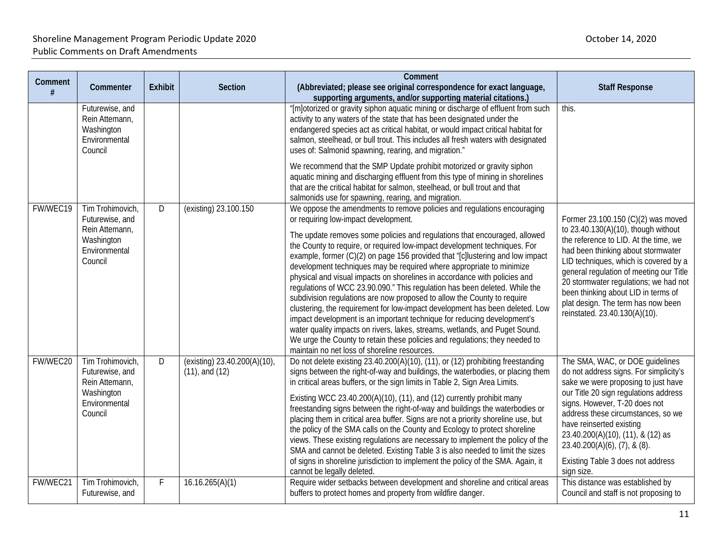| Comment<br># | Commenter                                                                                       | <b>Exhibit</b> | <b>Section</b>                                      | Comment<br>(Abbreviated; please see original correspondence for exact language,<br>supporting arguments, and/or supporting material citations.)                                                                                                                                                                                                                                                                                                                                                                                                                                                                                                                                                                                                                                                                                                                                                                                                                                                                                                   | <b>Staff Response</b>                                                                                                                                                                                                                                                                                                                                                                               |
|--------------|-------------------------------------------------------------------------------------------------|----------------|-----------------------------------------------------|---------------------------------------------------------------------------------------------------------------------------------------------------------------------------------------------------------------------------------------------------------------------------------------------------------------------------------------------------------------------------------------------------------------------------------------------------------------------------------------------------------------------------------------------------------------------------------------------------------------------------------------------------------------------------------------------------------------------------------------------------------------------------------------------------------------------------------------------------------------------------------------------------------------------------------------------------------------------------------------------------------------------------------------------------|-----------------------------------------------------------------------------------------------------------------------------------------------------------------------------------------------------------------------------------------------------------------------------------------------------------------------------------------------------------------------------------------------------|
|              | Futurewise, and<br>Rein Attemann,<br>Washington<br>Environmental<br>Council                     |                |                                                     | "[m]otorized or gravity siphon aquatic mining or discharge of effluent from such<br>activity to any waters of the state that has been designated under the<br>endangered species act as critical habitat, or would impact critical habitat for<br>salmon, steelhead, or bull trout. This includes all fresh waters with designated<br>uses of: Salmonid spawning, rearing, and migration."                                                                                                                                                                                                                                                                                                                                                                                                                                                                                                                                                                                                                                                        | this.                                                                                                                                                                                                                                                                                                                                                                                               |
|              |                                                                                                 |                |                                                     | We recommend that the SMP Update prohibit motorized or gravity siphon<br>aquatic mining and discharging effluent from this type of mining in shorelines<br>that are the critical habitat for salmon, steelhead, or bull trout and that<br>salmonids use for spawning, rearing, and migration.                                                                                                                                                                                                                                                                                                                                                                                                                                                                                                                                                                                                                                                                                                                                                     |                                                                                                                                                                                                                                                                                                                                                                                                     |
| FW/WEC19     | Tim Trohimovich,<br>Futurewise, and<br>Rein Attemann,<br>Washington<br>Environmental<br>Council | D              | (existing) 23.100.150                               | We oppose the amendments to remove policies and regulations encouraging<br>or requiring low-impact development.<br>The update removes some policies and regulations that encouraged, allowed<br>the County to require, or required low-impact development techniques. For<br>example, former (C)(2) on page 156 provided that "[c]lustering and low impact<br>development techniques may be required where appropriate to minimize<br>physical and visual impacts on shorelines in accordance with policies and<br>regulations of WCC 23.90.090." This regulation has been deleted. While the<br>subdivision regulations are now proposed to allow the County to require<br>clustering, the requirement for low-impact development has been deleted. Low<br>impact development is an important technique for reducing development's<br>water quality impacts on rivers, lakes, streams, wetlands, and Puget Sound.<br>We urge the County to retain these policies and regulations; they needed to<br>maintain no net loss of shoreline resources. | Former 23.100.150 (C)(2) was moved<br>to 23.40.130(A)(10), though without<br>the reference to LID. At the time, we<br>had been thinking about stormwater<br>LID techniques, which is covered by a<br>general regulation of meeting our Title<br>20 stormwater regulations; we had not<br>been thinking about LID in terms of<br>plat design. The term has now been<br>reinstated. 23.40.130(A)(10). |
| FW/WEC20     | Tim Trohimovich,<br>Futurewise, and<br>Rein Attemann,<br>Washington<br>Environmental<br>Council | D              | (existing) 23.40.200(A)(10),<br>$(11)$ , and $(12)$ | Do not delete existing 23.40.200(A)(10), (11), or (12) prohibiting freestanding<br>signs between the right-of-way and buildings, the waterbodies, or placing them<br>in critical areas buffers, or the sign limits in Table 2, Sign Area Limits.<br>Existing WCC 23.40.200(A)(10), (11), and (12) currently prohibit many<br>freestanding signs between the right-of-way and buildings the waterbodies or<br>placing them in critical area buffer. Signs are not a priority shoreline use, but<br>the policy of the SMA calls on the County and Ecology to protect shoreline<br>views. These existing regulations are necessary to implement the policy of the<br>SMA and cannot be deleted. Existing Table 3 is also needed to limit the sizes<br>of signs in shoreline jurisdiction to implement the policy of the SMA. Again, it<br>cannot be legally deleted.                                                                                                                                                                                 | The SMA, WAC, or DOE guidelines<br>do not address signs. For simplicity's<br>sake we were proposing to just have<br>our Title 20 sign regulations address<br>signs. However, T-20 does not<br>address these circumstances, so we<br>have reinserted existing<br>23.40.200(A)(10), (11), & (12) as<br>$23.40.200(A)(6)$ , $(7)$ , & $(8)$ .<br>Existing Table 3 does not address<br>sign size.       |
| FW/WEC21     | Tim Trohimovich,<br>Futurewise, and                                                             | F              | 16.16.265(A)(1)                                     | Require wider setbacks between development and shoreline and critical areas<br>buffers to protect homes and property from wildfire danger.                                                                                                                                                                                                                                                                                                                                                                                                                                                                                                                                                                                                                                                                                                                                                                                                                                                                                                        | This distance was established by<br>Council and staff is not proposing to                                                                                                                                                                                                                                                                                                                           |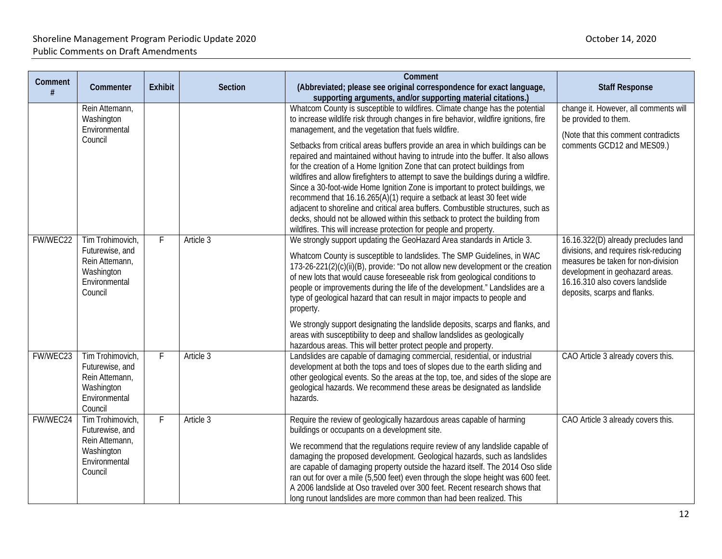| Comment<br># | Commenter                                                                                       | <b>Exhibit</b> | Section   | Comment<br>(Abbreviated; please see original correspondence for exact language,<br>supporting arguments, and/or supporting material citations.)                                                                                                                                                                                                                                                                                                                                                                                                                                                                                                                                                                                                                                                                                                                                                        | <b>Staff Response</b>                                                                                                                                                                                                    |
|--------------|-------------------------------------------------------------------------------------------------|----------------|-----------|--------------------------------------------------------------------------------------------------------------------------------------------------------------------------------------------------------------------------------------------------------------------------------------------------------------------------------------------------------------------------------------------------------------------------------------------------------------------------------------------------------------------------------------------------------------------------------------------------------------------------------------------------------------------------------------------------------------------------------------------------------------------------------------------------------------------------------------------------------------------------------------------------------|--------------------------------------------------------------------------------------------------------------------------------------------------------------------------------------------------------------------------|
|              | Rein Attemann,<br>Washington<br>Environmental<br>Council                                        |                |           | Whatcom County is susceptible to wildfires. Climate change has the potential<br>to increase wildlife risk through changes in fire behavior, wildfire ignitions, fire<br>management, and the vegetation that fuels wildfire.<br>Setbacks from critical areas buffers provide an area in which buildings can be<br>repaired and maintained without having to intrude into the buffer. It also allows<br>for the creation of a Home Ignition Zone that can protect buildings from<br>wildfires and allow firefighters to attempt to save the buildings during a wildfire.<br>Since a 30-foot-wide Home Ignition Zone is important to protect buildings, we<br>recommend that 16.16.265(A)(1) require a setback at least 30 feet wide<br>adjacent to shoreline and critical area buffers. Combustible structures, such as<br>decks, should not be allowed within this setback to protect the building from | change it. However, all comments will<br>be provided to them.<br>(Note that this comment contradicts<br>comments GCD12 and MES09.)                                                                                       |
| FW/WEC22     | Tim Trohimovich,<br>Futurewise, and<br>Rein Attemann,<br>Washington<br>Environmental<br>Council | F              | Article 3 | wildfires. This will increase protection for people and property.<br>We strongly support updating the GeoHazard Area standards in Article 3.<br>Whatcom County is susceptible to landslides. The SMP Guidelines, in WAC<br>173-26-221(2)(c)(ii)(B), provide: "Do not allow new development or the creation<br>of new lots that would cause foreseeable risk from geological conditions to<br>people or improvements during the life of the development." Landslides are a<br>type of geological hazard that can result in major impacts to people and<br>property.<br>We strongly support designating the landslide deposits, scarps and flanks, and<br>areas with susceptibility to deep and shallow landslides as geologically                                                                                                                                                                       | 16.16.322(D) already precludes land<br>divisions, and requires risk-reducing<br>measures be taken for non-division<br>development in geohazard areas.<br>16.16.310 also covers landslide<br>deposits, scarps and flanks. |
| FW/WEC23     | Tim Trohimovich,<br>Futurewise, and<br>Rein Attemann,<br>Washington<br>Environmental<br>Council | $\mathsf{F}$   | Article 3 | hazardous areas. This will better protect people and property.<br>Landslides are capable of damaging commercial, residential, or industrial<br>development at both the tops and toes of slopes due to the earth sliding and<br>other geological events. So the areas at the top, toe, and sides of the slope are<br>geological hazards. We recommend these areas be designated as landslide<br>hazards.                                                                                                                                                                                                                                                                                                                                                                                                                                                                                                | CAO Article 3 already covers this.                                                                                                                                                                                       |
| FW/WEC24     | Tim Trohimovich,<br>Futurewise, and<br>Rein Attemann,<br>Washington<br>Environmental<br>Council | F              | Article 3 | Require the review of geologically hazardous areas capable of harming<br>buildings or occupants on a development site.<br>We recommend that the regulations require review of any landslide capable of<br>damaging the proposed development. Geological hazards, such as landslides<br>are capable of damaging property outside the hazard itself. The 2014 Oso slide<br>ran out for over a mile (5,500 feet) even through the slope height was 600 feet.<br>A 2006 landslide at Oso traveled over 300 feet. Recent research shows that<br>long runout landslides are more common than had been realized. This                                                                                                                                                                                                                                                                                         | CAO Article 3 already covers this.                                                                                                                                                                                       |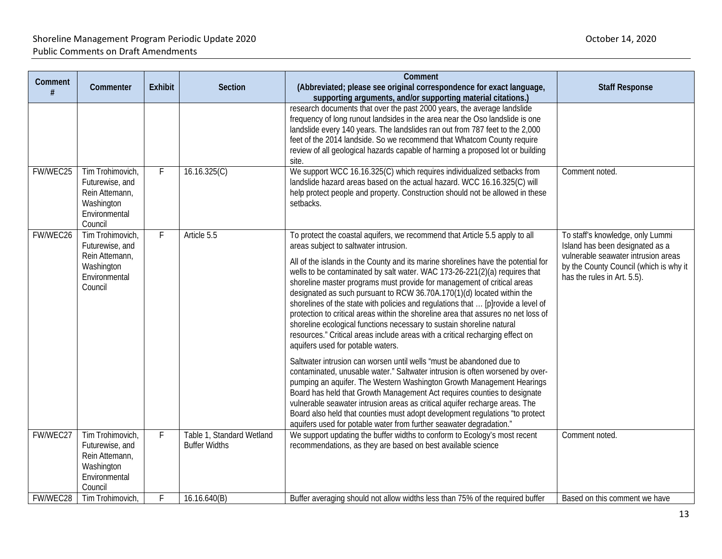| Comment<br># | Commenter                                                                                       | Exhibit | <b>Section</b>                                    | Comment<br>(Abbreviated; please see original correspondence for exact language,<br>supporting arguments, and/or supporting material citations.)                                                                                                                                                                                                                                                                                                                                                                                                                                                                                                                                                                                                                                                                                                                                                                                                                                                                                                                                                                                                                                                                                                                                                                                                                            | <b>Staff Response</b>                                                                                                                                                               |
|--------------|-------------------------------------------------------------------------------------------------|---------|---------------------------------------------------|----------------------------------------------------------------------------------------------------------------------------------------------------------------------------------------------------------------------------------------------------------------------------------------------------------------------------------------------------------------------------------------------------------------------------------------------------------------------------------------------------------------------------------------------------------------------------------------------------------------------------------------------------------------------------------------------------------------------------------------------------------------------------------------------------------------------------------------------------------------------------------------------------------------------------------------------------------------------------------------------------------------------------------------------------------------------------------------------------------------------------------------------------------------------------------------------------------------------------------------------------------------------------------------------------------------------------------------------------------------------------|-------------------------------------------------------------------------------------------------------------------------------------------------------------------------------------|
|              |                                                                                                 |         |                                                   | research documents that over the past 2000 years, the average landslide<br>frequency of long runout landsides in the area near the Oso landslide is one<br>landslide every 140 years. The landslides ran out from 787 feet to the 2,000<br>feet of the 2014 landside. So we recommend that Whatcom County require<br>review of all geological hazards capable of harming a proposed lot or building<br>site.                                                                                                                                                                                                                                                                                                                                                                                                                                                                                                                                                                                                                                                                                                                                                                                                                                                                                                                                                               |                                                                                                                                                                                     |
| FW/WEC25     | Tim Trohimovich,<br>Futurewise, and<br>Rein Attemann,<br>Washington<br>Environmental<br>Council | F       | 16.16.325(C)                                      | We support WCC 16.16.325(C) which requires individualized setbacks from<br>landslide hazard areas based on the actual hazard. WCC 16.16.325(C) will<br>help protect people and property. Construction should not be allowed in these<br>setbacks.                                                                                                                                                                                                                                                                                                                                                                                                                                                                                                                                                                                                                                                                                                                                                                                                                                                                                                                                                                                                                                                                                                                          | Comment noted.                                                                                                                                                                      |
| FW/WEC26     | Tim Trohimovich,<br>Futurewise, and<br>Rein Attemann,<br>Washington<br>Environmental<br>Council | F       | Article 5.5                                       | To protect the coastal aquifers, we recommend that Article 5.5 apply to all<br>areas subject to saltwater intrusion.<br>All of the islands in the County and its marine shorelines have the potential for<br>wells to be contaminated by salt water. WAC 173-26-221(2)(a) requires that<br>shoreline master programs must provide for management of critical areas<br>designated as such pursuant to RCW 36.70A.170(1)(d) located within the<br>shorelines of the state with policies and regulations that  [p] rovide a level of<br>protection to critical areas within the shoreline area that assures no net loss of<br>shoreline ecological functions necessary to sustain shoreline natural<br>resources." Critical areas include areas with a critical recharging effect on<br>aquifers used for potable waters.<br>Saltwater intrusion can worsen until wells "must be abandoned due to<br>contaminated, unusable water." Saltwater intrusion is often worsened by over-<br>pumping an aquifer. The Western Washington Growth Management Hearings<br>Board has held that Growth Management Act requires counties to designate<br>vulnerable seawater intrusion areas as critical aquifer recharge areas. The<br>Board also held that counties must adopt development regulations "to protect<br>aquifers used for potable water from further seawater degradation." | To staff's knowledge, only Lummi<br>Island has been designated as a<br>vulnerable seawater intrusion areas<br>by the County Council (which is why it<br>has the rules in Art. 5.5). |
| FW/WEC27     | Tim Trohimovich,<br>Futurewise, and<br>Rein Attemann,<br>Washington<br>Environmental<br>Council | F       | Table 1, Standard Wetland<br><b>Buffer Widths</b> | We support updating the buffer widths to conform to Ecology's most recent<br>recommendations, as they are based on best available science                                                                                                                                                                                                                                                                                                                                                                                                                                                                                                                                                                                                                                                                                                                                                                                                                                                                                                                                                                                                                                                                                                                                                                                                                                  | Comment noted.                                                                                                                                                                      |
| FW/WEC28     | Tim Trohimovich,                                                                                | F.      | 16.16.640(B)                                      | Buffer averaging should not allow widths less than 75% of the required buffer                                                                                                                                                                                                                                                                                                                                                                                                                                                                                                                                                                                                                                                                                                                                                                                                                                                                                                                                                                                                                                                                                                                                                                                                                                                                                              | Based on this comment we have                                                                                                                                                       |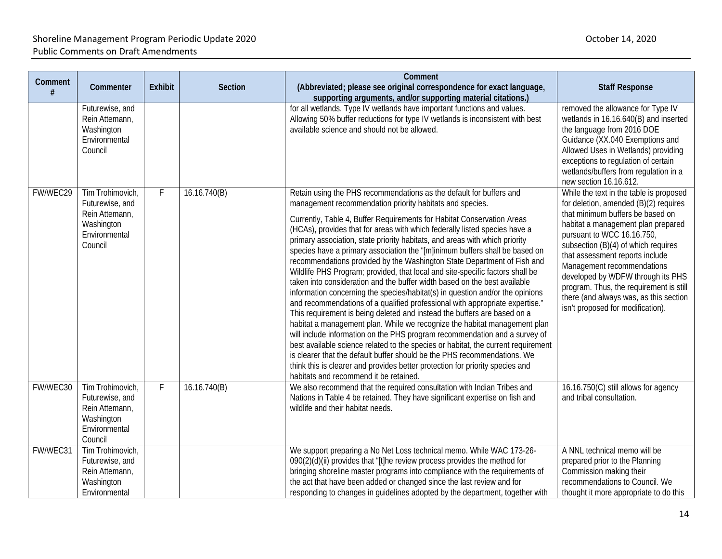| Comment  |                                                                                                 |                |              | Comment                                                                                                                                                                                                                                                                                                                                                                                                                                                                                                                                                                                                                                                                                                                                                                                                                                                                                                                                                                                                                                                                                                                                                                                                                                                                                                                                                                                            |                                                                                                                                                                                                                                                                                                                                                                                                                                                                 |
|----------|-------------------------------------------------------------------------------------------------|----------------|--------------|----------------------------------------------------------------------------------------------------------------------------------------------------------------------------------------------------------------------------------------------------------------------------------------------------------------------------------------------------------------------------------------------------------------------------------------------------------------------------------------------------------------------------------------------------------------------------------------------------------------------------------------------------------------------------------------------------------------------------------------------------------------------------------------------------------------------------------------------------------------------------------------------------------------------------------------------------------------------------------------------------------------------------------------------------------------------------------------------------------------------------------------------------------------------------------------------------------------------------------------------------------------------------------------------------------------------------------------------------------------------------------------------------|-----------------------------------------------------------------------------------------------------------------------------------------------------------------------------------------------------------------------------------------------------------------------------------------------------------------------------------------------------------------------------------------------------------------------------------------------------------------|
| #        | Commenter                                                                                       | <b>Exhibit</b> | Section      | (Abbreviated; please see original correspondence for exact language,<br>supporting arguments, and/or supporting material citations.)                                                                                                                                                                                                                                                                                                                                                                                                                                                                                                                                                                                                                                                                                                                                                                                                                                                                                                                                                                                                                                                                                                                                                                                                                                                               | <b>Staff Response</b>                                                                                                                                                                                                                                                                                                                                                                                                                                           |
|          | Futurewise, and<br>Rein Attemann,<br>Washington<br>Environmental<br>Council                     |                |              | for all wetlands. Type IV wetlands have important functions and values.<br>Allowing 50% buffer reductions for type IV wetlands is inconsistent with best<br>available science and should not be allowed.                                                                                                                                                                                                                                                                                                                                                                                                                                                                                                                                                                                                                                                                                                                                                                                                                                                                                                                                                                                                                                                                                                                                                                                           | removed the allowance for Type IV<br>wetlands in 16.16.640(B) and inserted<br>the language from 2016 DOE<br>Guidance (XX.040 Exemptions and<br>Allowed Uses in Wetlands) providing<br>exceptions to regulation of certain<br>wetlands/buffers from regulation in a<br>new section 16.16.612.                                                                                                                                                                    |
| FW/WEC29 | Tim Trohimovich,<br>Futurewise, and<br>Rein Attemann,<br>Washington<br>Environmental<br>Council | F              | 16.16.740(B) | Retain using the PHS recommendations as the default for buffers and<br>management recommendation priority habitats and species.<br>Currently, Table 4, Buffer Requirements for Habitat Conservation Areas<br>(HCAs), provides that for areas with which federally listed species have a<br>primary association, state priority habitats, and areas with which priority<br>species have a primary association the "[m]inimum buffers shall be based on<br>recommendations provided by the Washington State Department of Fish and<br>Wildlife PHS Program; provided, that local and site-specific factors shall be<br>taken into consideration and the buffer width based on the best available<br>information concerning the species/habitat(s) in question and/or the opinions<br>and recommendations of a qualified professional with appropriate expertise."<br>This requirement is being deleted and instead the buffers are based on a<br>habitat a management plan. While we recognize the habitat management plan<br>will include information on the PHS program recommendation and a survey of<br>best available science related to the species or habitat, the current requirement<br>is clearer that the default buffer should be the PHS recommendations. We<br>think this is clearer and provides better protection for priority species and<br>habitats and recommend it be retained. | While the text in the table is proposed<br>for deletion, amended (B)(2) requires<br>that minimum buffers be based on<br>habitat a management plan prepared<br>pursuant to WCC 16.16.750,<br>subsection (B)(4) of which requires<br>that assessment reports include<br>Management recommendations<br>developed by WDFW through its PHS<br>program. Thus, the requirement is still<br>there (and always was, as this section<br>isn't proposed for modification). |
| FW/WEC30 | Tim Trohimovich.<br>Futurewise, and<br>Rein Attemann,<br>Washington<br>Environmental<br>Council | F              | 16.16.740(B) | We also recommend that the required consultation with Indian Tribes and<br>Nations in Table 4 be retained. They have significant expertise on fish and<br>wildlife and their habitat needs.                                                                                                                                                                                                                                                                                                                                                                                                                                                                                                                                                                                                                                                                                                                                                                                                                                                                                                                                                                                                                                                                                                                                                                                                        | 16.16.750(C) still allows for agency<br>and tribal consultation.                                                                                                                                                                                                                                                                                                                                                                                                |
| FW/WEC31 | Tim Trohimovich,<br>Futurewise, and<br>Rein Attemann,<br>Washington<br>Environmental            |                |              | We support preparing a No Net Loss technical memo. While WAC 173-26-<br>090(2)(d)(ii) provides that "[t]he review process provides the method for<br>bringing shoreline master programs into compliance with the requirements of<br>the act that have been added or changed since the last review and for<br>responding to changes in quidelines adopted by the department, together with                                                                                                                                                                                                                                                                                                                                                                                                                                                                                                                                                                                                                                                                                                                                                                                                                                                                                                                                                                                                          | A NNL technical memo will be<br>prepared prior to the Planning<br>Commission making their<br>recommendations to Council. We<br>thought it more appropriate to do this                                                                                                                                                                                                                                                                                           |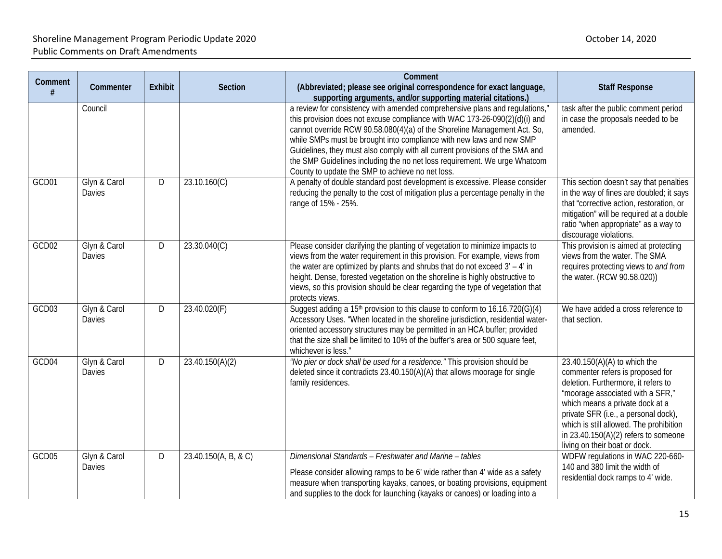| Comment | Commenter                     | <b>Exhibit</b> | Section              | Comment<br>(Abbreviated; please see original correspondence for exact language,                                                                                                                                                                                                                                                                                                                                                                                                                                                                                                                | <b>Staff Response</b>                                                                                                                                                                                                                                                                                                                        |
|---------|-------------------------------|----------------|----------------------|------------------------------------------------------------------------------------------------------------------------------------------------------------------------------------------------------------------------------------------------------------------------------------------------------------------------------------------------------------------------------------------------------------------------------------------------------------------------------------------------------------------------------------------------------------------------------------------------|----------------------------------------------------------------------------------------------------------------------------------------------------------------------------------------------------------------------------------------------------------------------------------------------------------------------------------------------|
|         | Council                       |                |                      | supporting arguments, and/or supporting material citations.)<br>a review for consistency with amended comprehensive plans and regulations,"<br>this provision does not excuse compliance with WAC 173-26-090(2)(d)(i) and<br>cannot override RCW 90.58.080(4)(a) of the Shoreline Management Act. So,<br>while SMPs must be brought into compliance with new laws and new SMP<br>Guidelines, they must also comply with all current provisions of the SMA and<br>the SMP Guidelines including the no net loss requirement. We urge Whatcom<br>County to update the SMP to achieve no net loss. | task after the public comment period<br>in case the proposals needed to be<br>amended.                                                                                                                                                                                                                                                       |
| GCD01   | Glyn & Carol<br>Davies        | D              | 23.10.160(C)         | A penalty of double standard post development is excessive. Please consider<br>reducing the penalty to the cost of mitigation plus a percentage penalty in the<br>range of 15% - 25%.                                                                                                                                                                                                                                                                                                                                                                                                          | This section doesn't say that penalties<br>in the way of fines are doubled; it says<br>that "corrective action, restoration, or<br>mitigation" will be required at a double<br>ratio "when appropriate" as a way to<br>discourage violations.                                                                                                |
| GCD02   | Glyn & Carol<br><b>Davies</b> | D              | 23.30.040(C)         | Please consider clarifying the planting of vegetation to minimize impacts to<br>views from the water requirement in this provision. For example, views from<br>the water are optimized by plants and shrubs that do not exceed $3' - 4'$ in<br>height. Dense, forested vegetation on the shoreline is highly obstructive to<br>views, so this provision should be clear regarding the type of vegetation that<br>protects views.                                                                                                                                                               | This provision is aimed at protecting<br>views from the water. The SMA<br>requires protecting views to and from<br>the water. (RCW 90.58.020))                                                                                                                                                                                               |
| GCD03   | Glyn & Carol<br>Davies        | D              | 23.40.020(F)         | Suggest adding a 15 <sup>th</sup> provision to this clause to conform to 16.16.720(G)(4)<br>Accessory Uses. "When located in the shoreline jurisdiction, residential water-<br>oriented accessory structures may be permitted in an HCA buffer; provided<br>that the size shall be limited to 10% of the buffer's area or 500 square feet,<br>whichever is less."                                                                                                                                                                                                                              | We have added a cross reference to<br>that section.                                                                                                                                                                                                                                                                                          |
| GCD04   | Glyn & Carol<br>Davies        | D              | 23.40.150(A)(2)      | "No pier or dock shall be used for a residence." This provision should be<br>deleted since it contradicts 23.40.150(A)(A) that allows moorage for single<br>family residences.                                                                                                                                                                                                                                                                                                                                                                                                                 | 23.40.150(A)(A) to which the<br>commenter refers is proposed for<br>deletion. Furthermore, it refers to<br>"moorage associated with a SFR,"<br>which means a private dock at a<br>private SFR (i.e., a personal dock),<br>which is still allowed. The prohibition<br>in $23.40.150(A)(2)$ refers to someone<br>living on their boat or dock. |
| GCD05   | Glyn & Carol<br>Davies        | D              | 23.40.150(A, B, & C) | Dimensional Standards - Freshwater and Marine - tables<br>Please consider allowing ramps to be 6' wide rather than 4' wide as a safety<br>measure when transporting kayaks, canoes, or boating provisions, equipment<br>and supplies to the dock for launching (kayaks or canoes) or loading into a                                                                                                                                                                                                                                                                                            | WDFW regulations in WAC 220-660-<br>140 and 380 limit the width of<br>residential dock ramps to 4' wide.                                                                                                                                                                                                                                     |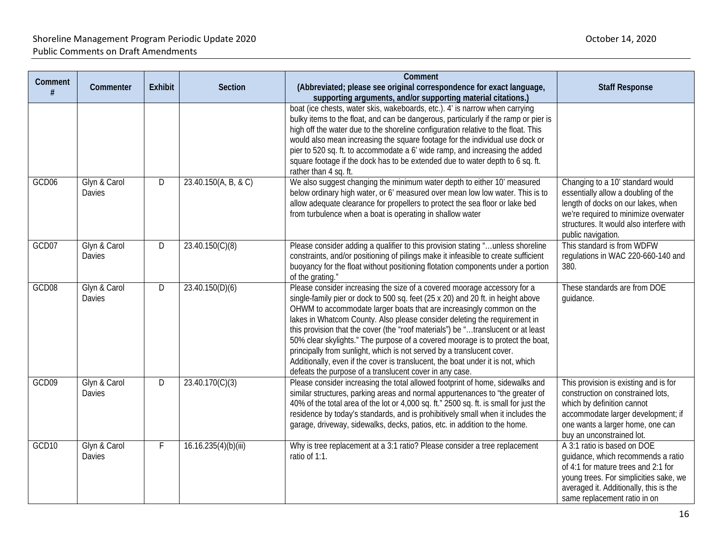| Comment | Commenter              | <b>Exhibit</b> | Section              | Comment<br>(Abbreviated; please see original correspondence for exact language,<br>supporting arguments, and/or supporting material citations.)                                                                                                                                                                                                                                                                                                                                                                                                                                                                                                                                                                | <b>Staff Response</b>                                                                                                                                                                                                        |
|---------|------------------------|----------------|----------------------|----------------------------------------------------------------------------------------------------------------------------------------------------------------------------------------------------------------------------------------------------------------------------------------------------------------------------------------------------------------------------------------------------------------------------------------------------------------------------------------------------------------------------------------------------------------------------------------------------------------------------------------------------------------------------------------------------------------|------------------------------------------------------------------------------------------------------------------------------------------------------------------------------------------------------------------------------|
|         |                        |                |                      | boat (ice chests, water skis, wakeboards, etc.). 4' is narrow when carrying<br>bulky items to the float, and can be dangerous, particularly if the ramp or pier is<br>high off the water due to the shoreline configuration relative to the float. This<br>would also mean increasing the square footage for the individual use dock or<br>pier to 520 sq. ft. to accommodate a 6' wide ramp, and increasing the added<br>square footage if the dock has to be extended due to water depth to 6 sq. ft.<br>rather than 4 sq. ft.                                                                                                                                                                               |                                                                                                                                                                                                                              |
| GCD06   | Glyn & Carol<br>Davies | D              | 23.40.150(A, B, & C) | We also suggest changing the minimum water depth to either 10' measured<br>below ordinary high water, or 6' measured over mean low low water. This is to<br>allow adequate clearance for propellers to protect the sea floor or lake bed<br>from turbulence when a boat is operating in shallow water                                                                                                                                                                                                                                                                                                                                                                                                          | Changing to a 10' standard would<br>essentially allow a doubling of the<br>length of docks on our lakes, when<br>we're required to minimize overwater<br>structures. It would also interfere with<br>public navigation.      |
| GCD07   | Glyn & Carol<br>Davies | D              | 23.40.150(C)(8)      | Please consider adding a qualifier to this provision stating "unless shoreline<br>constraints, and/or positioning of pilings make it infeasible to create sufficient<br>buoyancy for the float without positioning flotation components under a portion<br>of the grating."                                                                                                                                                                                                                                                                                                                                                                                                                                    | This standard is from WDFW<br>regulations in WAC 220-660-140 and<br>380.                                                                                                                                                     |
| GCD08   | Glyn & Carol<br>Davies | D              | 23.40.150(D)(6)      | Please consider increasing the size of a covered moorage accessory for a<br>single-family pier or dock to 500 sq. feet (25 x 20) and 20 ft. in height above<br>OHWM to accommodate larger boats that are increasingly common on the<br>lakes in Whatcom County. Also please consider deleting the requirement in<br>this provision that the cover (the "roof materials") be "translucent or at least<br>50% clear skylights." The purpose of a covered moorage is to protect the boat,<br>principally from sunlight, which is not served by a translucent cover.<br>Additionally, even if the cover is translucent, the boat under it is not, which<br>defeats the purpose of a translucent cover in any case. | These standards are from DOE<br>guidance.                                                                                                                                                                                    |
| GCD09   | Glyn & Carol<br>Davies | D              | 23.40.170(C)(3)      | Please consider increasing the total allowed footprint of home, sidewalks and<br>similar structures, parking areas and normal appurtenances to "the greater of<br>40% of the total area of the lot or 4,000 sq. ft." 2500 sq. ft. is small for just the<br>residence by today's standards, and is prohibitively small when it includes the<br>garage, driveway, sidewalks, decks, patios, etc. in addition to the home.                                                                                                                                                                                                                                                                                        | This provision is existing and is for<br>construction on constrained lots,<br>which by definition cannot<br>accommodate larger development; if<br>one wants a larger home, one can<br>buy an unconstrained lot.              |
| GCD10   | Glyn & Carol<br>Davies | F              | 16.16.235(4)(b)(iii) | Why is tree replacement at a 3:1 ratio? Please consider a tree replacement<br>ratio of 1:1.                                                                                                                                                                                                                                                                                                                                                                                                                                                                                                                                                                                                                    | A 3:1 ratio is based on DOE<br>quidance, which recommends a ratio<br>of 4:1 for mature trees and 2:1 for<br>young trees. For simplicities sake, we<br>averaged it. Additionally, this is the<br>same replacement ratio in on |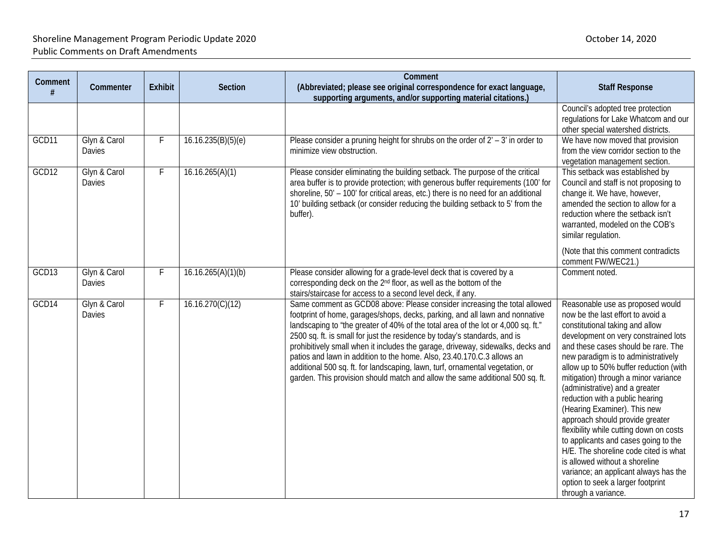| Comment | Commenter                     | <b>Exhibit</b> | <b>Section</b>     | Comment<br>(Abbreviated; please see original correspondence for exact language,                                                                                                                                                                                                                                                                                                                                                                                                                                                                                                                                                                            | <b>Staff Response</b>                                                                                                                                                                                                                                                                                                                                                                                                                                                                                                                                                                                                                                                                                                       |
|---------|-------------------------------|----------------|--------------------|------------------------------------------------------------------------------------------------------------------------------------------------------------------------------------------------------------------------------------------------------------------------------------------------------------------------------------------------------------------------------------------------------------------------------------------------------------------------------------------------------------------------------------------------------------------------------------------------------------------------------------------------------------|-----------------------------------------------------------------------------------------------------------------------------------------------------------------------------------------------------------------------------------------------------------------------------------------------------------------------------------------------------------------------------------------------------------------------------------------------------------------------------------------------------------------------------------------------------------------------------------------------------------------------------------------------------------------------------------------------------------------------------|
|         |                               |                |                    | supporting arguments, and/or supporting material citations.)                                                                                                                                                                                                                                                                                                                                                                                                                                                                                                                                                                                               |                                                                                                                                                                                                                                                                                                                                                                                                                                                                                                                                                                                                                                                                                                                             |
|         |                               |                |                    |                                                                                                                                                                                                                                                                                                                                                                                                                                                                                                                                                                                                                                                            | Council's adopted tree protection<br>regulations for Lake Whatcom and our<br>other special watershed districts.                                                                                                                                                                                                                                                                                                                                                                                                                                                                                                                                                                                                             |
| GCD11   | Glyn & Carol<br><b>Davies</b> | F              | 16.16.235(B)(5)(e) | Please consider a pruning height for shrubs on the order of $2' - 3'$ in order to<br>minimize view obstruction.                                                                                                                                                                                                                                                                                                                                                                                                                                                                                                                                            | We have now moved that provision<br>from the view corridor section to the<br>vegetation management section.                                                                                                                                                                                                                                                                                                                                                                                                                                                                                                                                                                                                                 |
| GCD12   | Glyn & Carol<br>Davies        | F              | 16.16.265(A)(1)    | Please consider eliminating the building setback. The purpose of the critical<br>area buffer is to provide protection; with generous buffer requirements (100' for<br>shoreline, 50' - 100' for critical areas, etc.) there is no need for an additional<br>10' building setback (or consider reducing the building setback to 5' from the<br>buffer).                                                                                                                                                                                                                                                                                                     | This setback was established by<br>Council and staff is not proposing to<br>change it. We have, however,<br>amended the section to allow for a<br>reduction where the setback isn't<br>warranted, modeled on the COB's<br>similar regulation.<br>(Note that this comment contradicts<br>comment FW/WEC21.)                                                                                                                                                                                                                                                                                                                                                                                                                  |
| GCD13   | Glyn & Carol<br><b>Davies</b> | F              | 16.16.265(A)(1)(b) | Please consider allowing for a grade-level deck that is covered by a<br>corresponding deck on the 2 <sup>nd</sup> floor, as well as the bottom of the<br>stairs/staircase for access to a second level deck, if any.                                                                                                                                                                                                                                                                                                                                                                                                                                       | Comment noted.                                                                                                                                                                                                                                                                                                                                                                                                                                                                                                                                                                                                                                                                                                              |
| GCD14   | Glyn & Carol<br><b>Davies</b> | F              | 16.16.270(C)(12)   | Same comment as GCD08 above: Please consider increasing the total allowed<br>footprint of home, garages/shops, decks, parking, and all lawn and nonnative<br>landscaping to "the greater of 40% of the total area of the lot or 4,000 sq. ft."<br>2500 sq. ft. is small for just the residence by today's standards, and is<br>prohibitively small when it includes the garage, driveway, sidewalks, decks and<br>patios and lawn in addition to the home. Also, 23.40.170.C.3 allows an<br>additional 500 sq. ft. for landscaping, lawn, turf, ornamental vegetation, or<br>garden. This provision should match and allow the same additional 500 sq. ft. | Reasonable use as proposed would<br>now be the last effort to avoid a<br>constitutional taking and allow<br>development on very constrained lots<br>and these cases should be rare. The<br>new paradigm is to administratively<br>allow up to 50% buffer reduction (with<br>mitigation) through a minor variance<br>(administrative) and a greater<br>reduction with a public hearing<br>(Hearing Examiner). This new<br>approach should provide greater<br>flexibility while cutting down on costs<br>to applicants and cases going to the<br>H/E. The shoreline code cited is what<br>is allowed without a shoreline<br>variance; an applicant always has the<br>option to seek a larger footprint<br>through a variance. |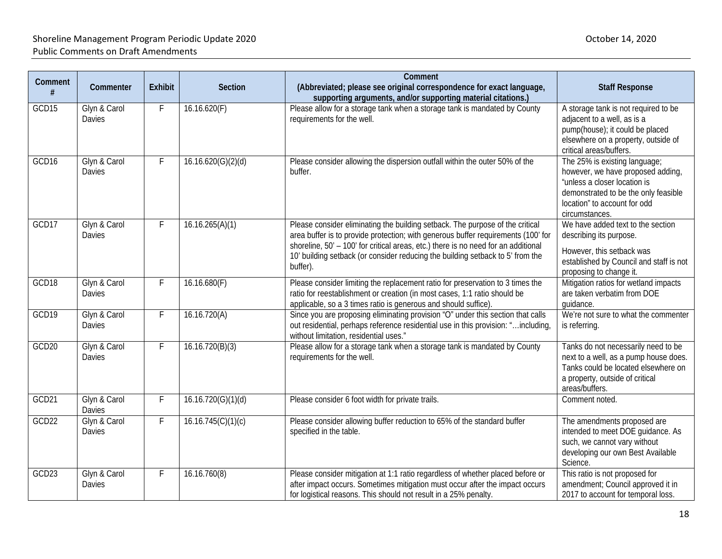| Comment |                               |         |                    | Comment                                                                                                                                                                                                                                                                                                                                                |                                                                                                                                                                                              |
|---------|-------------------------------|---------|--------------------|--------------------------------------------------------------------------------------------------------------------------------------------------------------------------------------------------------------------------------------------------------------------------------------------------------------------------------------------------------|----------------------------------------------------------------------------------------------------------------------------------------------------------------------------------------------|
| #       | Commenter                     | Exhibit | Section            | (Abbreviated; please see original correspondence for exact language,<br>supporting arguments, and/or supporting material citations.)                                                                                                                                                                                                                   | <b>Staff Response</b>                                                                                                                                                                        |
| GCD15   | Glyn & Carol<br><b>Davies</b> | F.      | 16.16.620(F)       | Please allow for a storage tank when a storage tank is mandated by County<br>requirements for the well.                                                                                                                                                                                                                                                | A storage tank is not required to be<br>adjacent to a well, as is a<br>pump(house); it could be placed<br>elsewhere on a property, outside of<br>critical areas/buffers.                     |
| GCD16   | Glyn & Carol<br>Davies        | F       | 16.16.620(G)(2)(d) | Please consider allowing the dispersion outfall within the outer 50% of the<br>buffer.                                                                                                                                                                                                                                                                 | The 25% is existing language;<br>however, we have proposed adding,<br>"unless a closer location is<br>demonstrated to be the only feasible<br>location" to account for odd<br>circumstances. |
| GCD17   | Glyn & Carol<br>Davies        | F       | 16.16.265(A)(1)    | Please consider eliminating the building setback. The purpose of the critical<br>area buffer is to provide protection; with generous buffer requirements (100' for<br>shoreline, 50' - 100' for critical areas, etc.) there is no need for an additional<br>10' building setback (or consider reducing the building setback to 5' from the<br>buffer). | We have added text to the section<br>describing its purpose.<br>However, this setback was<br>established by Council and staff is not<br>proposing to change it.                              |
| GCD18   | Glyn & Carol<br>Davies        | F       | 16.16.680(F)       | Please consider limiting the replacement ratio for preservation to 3 times the<br>ratio for reestablishment or creation (in most cases, 1:1 ratio should be<br>applicable, so a 3 times ratio is generous and should suffice).                                                                                                                         | Mitigation ratios for wetland impacts<br>are taken verbatim from DOE<br>quidance.                                                                                                            |
| GCD19   | Glyn & Carol<br><b>Davies</b> | F       | 16.16.720(A)       | Since you are proposing eliminating provision "O" under this section that calls<br>out residential, perhaps reference residential use in this provision: "including,<br>without limitation, residential uses."                                                                                                                                         | We're not sure to what the commenter<br>is referring.                                                                                                                                        |
| GCD20   | Glyn & Carol<br>Davies        | F.      | 16.16.720(B)(3)    | Please allow for a storage tank when a storage tank is mandated by County<br>requirements for the well.                                                                                                                                                                                                                                                | Tanks do not necessarily need to be<br>next to a well, as a pump house does.<br>Tanks could be located elsewhere on<br>a property, outside of critical<br>areas/buffers.                     |
| GCD21   | Glyn & Carol<br>Davies        | F       | 16.16.720(G)(1)(d) | Please consider 6 foot width for private trails.                                                                                                                                                                                                                                                                                                       | Comment noted.                                                                                                                                                                               |
| GCD22   | Glyn & Carol<br>Davies        | F       | 16.16.745(C)(1)(c) | Please consider allowing buffer reduction to 65% of the standard buffer<br>specified in the table.                                                                                                                                                                                                                                                     | The amendments proposed are<br>intended to meet DOE guidance. As<br>such, we cannot vary without<br>developing our own Best Available<br>Science.                                            |
| GCD23   | Glyn & Carol<br>Davies        | F       | 16.16.760(8)       | Please consider mitigation at 1:1 ratio regardless of whether placed before or<br>after impact occurs. Sometimes mitigation must occur after the impact occurs<br>for logistical reasons. This should not result in a 25% penalty.                                                                                                                     | This ratio is not proposed for<br>amendment; Council approved it in<br>2017 to account for temporal loss.                                                                                    |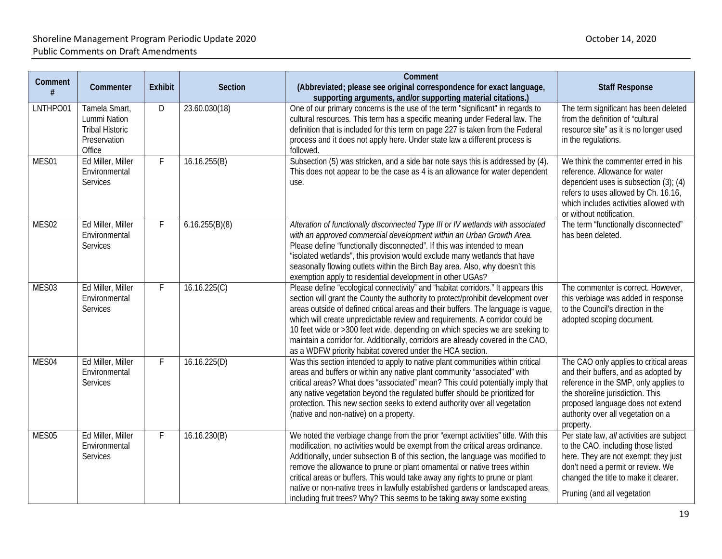| Comment  | Commenter                                                                         | <b>Exhibit</b> | Section        | Comment<br>(Abbreviated; please see original correspondence for exact language,                                                                                                                                                                                                                                                                                                                                                                                                                                                                                               | <b>Staff Response</b>                                                                                                                                                                                                                               |
|----------|-----------------------------------------------------------------------------------|----------------|----------------|-------------------------------------------------------------------------------------------------------------------------------------------------------------------------------------------------------------------------------------------------------------------------------------------------------------------------------------------------------------------------------------------------------------------------------------------------------------------------------------------------------------------------------------------------------------------------------|-----------------------------------------------------------------------------------------------------------------------------------------------------------------------------------------------------------------------------------------------------|
|          |                                                                                   |                |                | supporting arguments, and/or supporting material citations.)                                                                                                                                                                                                                                                                                                                                                                                                                                                                                                                  |                                                                                                                                                                                                                                                     |
| LNTHPO01 | Tamela Smart,<br>Lummi Nation<br><b>Tribal Historic</b><br>Preservation<br>Office | D              | 23.60.030(18)  | One of our primary concerns is the use of the term "significant" in regards to<br>cultural resources. This term has a specific meaning under Federal law. The<br>definition that is included for this term on page 227 is taken from the Federal<br>process and it does not apply here. Under state law a different process is<br>followed.                                                                                                                                                                                                                                   | The term significant has been deleted<br>from the definition of "cultural<br>resource site" as it is no longer used<br>in the regulations.                                                                                                          |
| MES01    | Ed Miller, Miller<br>Environmental<br><b>Services</b>                             | F              | 16.16.255(B)   | Subsection (5) was stricken, and a side bar note says this is addressed by (4).<br>This does not appear to be the case as 4 is an allowance for water dependent<br>use.                                                                                                                                                                                                                                                                                                                                                                                                       | We think the commenter erred in his<br>reference. Allowance for water<br>dependent uses is subsection $(3)$ ; $(4)$<br>refers to uses allowed by Ch. 16.16,<br>which includes activities allowed with<br>or without notification.                   |
| MES02    | Ed Miller, Miller<br>Environmental<br><b>Services</b>                             | $\mathsf{F}$   | 6.16.255(B)(8) | Alteration of functionally disconnected Type III or IV wetlands with associated<br>with an approved commercial development within an Urban Growth Area.<br>Please define "functionally disconnected". If this was intended to mean<br>"isolated wetlands", this provision would exclude many wetlands that have<br>seasonally flowing outlets within the Birch Bay area. Also, why doesn't this<br>exemption apply to residential development in other UGAs?                                                                                                                  | The term "functionally disconnected"<br>has been deleted.                                                                                                                                                                                           |
| MES03    | Ed Miller, Miller<br>Environmental<br>Services                                    | F              | 16.16.225(C)   | Please define "ecological connectivity" and "habitat corridors." It appears this<br>section will grant the County the authority to protect/prohibit development over<br>areas outside of defined critical areas and their buffers. The language is vague,<br>which will create unpredictable review and requirements. A corridor could be<br>10 feet wide or >300 feet wide, depending on which species we are seeking to<br>maintain a corridor for. Additionally, corridors are already covered in the CAO,<br>as a WDFW priority habitat covered under the HCA section.    | The commenter is correct. However,<br>this verbiage was added in response<br>to the Council's direction in the<br>adopted scoping document.                                                                                                         |
| MES04    | Ed Miller, Miller<br>Environmental<br><b>Services</b>                             | $\mathsf{F}$   | 16.16.225(D)   | Was this section intended to apply to native plant communities within critical<br>areas and buffers or within any native plant community "associated" with<br>critical areas? What does "associated" mean? This could potentially imply that<br>any native vegetation beyond the regulated buffer should be prioritized for<br>protection. This new section seeks to extend authority over all vegetation<br>(native and non-native) on a property.                                                                                                                           | The CAO only applies to critical areas<br>and their buffers, and as adopted by<br>reference in the SMP, only applies to<br>the shoreline jurisdiction. This<br>proposed language does not extend<br>authority over all vegetation on a<br>property. |
| MES05    | Ed Miller, Miller<br>Environmental<br><b>Services</b>                             | F.             | 16.16.230(B)   | We noted the verbiage change from the prior "exempt activities" title. With this<br>modification, no activities would be exempt from the critical areas ordinance.<br>Additionally, under subsection B of this section, the language was modified to<br>remove the allowance to prune or plant ornamental or native trees within<br>critical areas or buffers. This would take away any rights to prune or plant<br>native or non-native trees in lawfully established gardens or landscaped areas,<br>including fruit trees? Why? This seems to be taking away some existing | Per state law, all activities are subject<br>to the CAO, including those listed<br>here. They are not exempt; they just<br>don't need a permit or review. We<br>changed the title to make it clearer.<br>Pruning (and all vegetation                |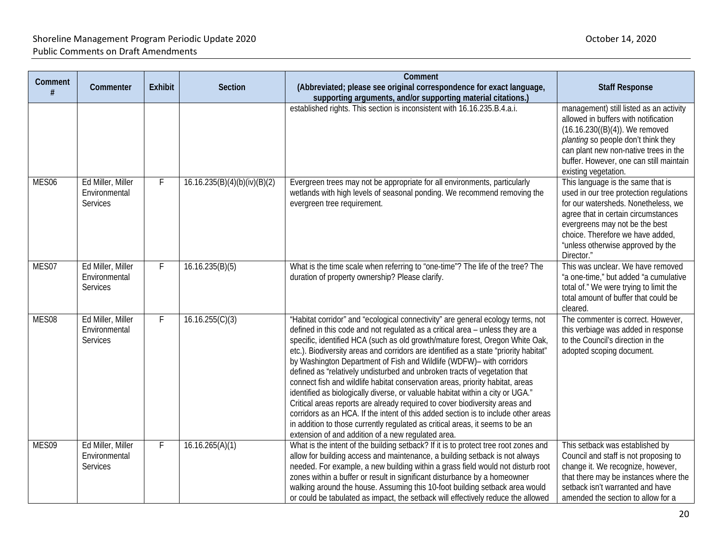| Comment<br>#      | Commenter                                             | <b>Exhibit</b> | <b>Section</b>               | Comment<br>(Abbreviated; please see original correspondence for exact language,<br>supporting arguments, and/or supporting material citations.)                                                                                                                                                                                                                                                                                                                                                                                                                                                                                                                                                                                                                                                                                                                                                                                                                               | <b>Staff Response</b>                                                                                                                                                                                                                                                               |
|-------------------|-------------------------------------------------------|----------------|------------------------------|-------------------------------------------------------------------------------------------------------------------------------------------------------------------------------------------------------------------------------------------------------------------------------------------------------------------------------------------------------------------------------------------------------------------------------------------------------------------------------------------------------------------------------------------------------------------------------------------------------------------------------------------------------------------------------------------------------------------------------------------------------------------------------------------------------------------------------------------------------------------------------------------------------------------------------------------------------------------------------|-------------------------------------------------------------------------------------------------------------------------------------------------------------------------------------------------------------------------------------------------------------------------------------|
|                   |                                                       |                |                              | established rights. This section is inconsistent with 16.16.235.B.4.a.i.                                                                                                                                                                                                                                                                                                                                                                                                                                                                                                                                                                                                                                                                                                                                                                                                                                                                                                      | management) still listed as an activity<br>allowed in buffers with notification<br>$(16.16.230((B)(4))$ . We removed<br>planting so people don't think they<br>can plant new non-native trees in the<br>buffer. However, one can still maintain<br>existing vegetation.             |
| MES <sub>06</sub> | Ed Miller, Miller<br>Environmental<br><b>Services</b> | F              | 16.16.235(B)(4)(b)(iv)(B)(2) | Evergreen trees may not be appropriate for all environments, particularly<br>wetlands with high levels of seasonal ponding. We recommend removing the<br>evergreen tree requirement.                                                                                                                                                                                                                                                                                                                                                                                                                                                                                                                                                                                                                                                                                                                                                                                          | This language is the same that is<br>used in our tree protection regulations<br>for our watersheds. Nonetheless, we<br>agree that in certain circumstances<br>evergreens may not be the best<br>choice. Therefore we have added,<br>"unless otherwise approved by the<br>Director." |
| MES07             | Ed Miller, Miller<br>Environmental<br>Services        | F              | 16.16.235(B)(5)              | What is the time scale when referring to "one-time"? The life of the tree? The<br>duration of property ownership? Please clarify.                                                                                                                                                                                                                                                                                                                                                                                                                                                                                                                                                                                                                                                                                                                                                                                                                                             | This was unclear. We have removed<br>"a one-time," but added "a cumulative<br>total of." We were trying to limit the<br>total amount of buffer that could be<br>cleared.                                                                                                            |
| MES08             | Ed Miller, Miller<br>Environmental<br><b>Services</b> | F              | 16.16.255(C)(3)              | "Habitat corridor" and "ecological connectivity" are general ecology terms, not<br>defined in this code and not regulated as a critical area - unless they are a<br>specific, identified HCA (such as old growth/mature forest, Oregon White Oak,<br>etc.). Biodiversity areas and corridors are identified as a state "priority habitat"<br>by Washington Department of Fish and Wildlife (WDFW)- with corridors<br>defined as "relatively undisturbed and unbroken tracts of vegetation that<br>connect fish and wildlife habitat conservation areas, priority habitat, areas<br>identified as biologically diverse, or valuable habitat within a city or UGA."<br>Critical areas reports are already required to cover biodiversity areas and<br>corridors as an HCA. If the intent of this added section is to include other areas<br>in addition to those currently regulated as critical areas, it seems to be an<br>extension of and addition of a new regulated area. | The commenter is correct. However,<br>this verbiage was added in response<br>to the Council's direction in the<br>adopted scoping document.                                                                                                                                         |
| MES09             | Ed Miller, Miller<br>Environmental<br><b>Services</b> | F              | 16.16.265(A)(1)              | What is the intent of the building setback? If it is to protect tree root zones and<br>allow for building access and maintenance, a building setback is not always<br>needed. For example, a new building within a grass field would not disturb root<br>zones within a buffer or result in significant disturbance by a homeowner<br>walking around the house. Assuming this 10-foot building setback area would<br>or could be tabulated as impact, the setback will effectively reduce the allowed                                                                                                                                                                                                                                                                                                                                                                                                                                                                         | This setback was established by<br>Council and staff is not proposing to<br>change it. We recognize, however,<br>that there may be instances where the<br>setback isn't warranted and have<br>amended the section to allow for a                                                    |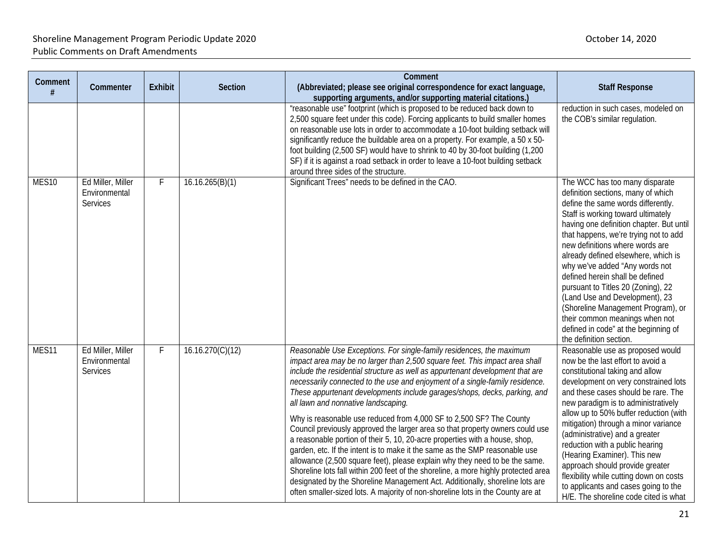### Shoreline Management Program Periodic Update 2020 **Contact Contact Contact Contact Contact Contact Contact Contact Contact Contact Contact Contact Contact Contact Contact Contact Contact Contact Contact Contact Contact Con** Public Comments on Draft Amendments

| Comment<br>#      | Commenter                                             | <b>Exhibit</b> | <b>Section</b>   | Comment<br>(Abbreviated; please see original correspondence for exact language,<br>supporting arguments, and/or supporting material citations.)                                                                                                                                                                                                                                                                                                                                                                                                                                                                                                                                                                                                                                                                                                                                                                                                                                                                                                                                                        | <b>Staff Response</b>                                                                                                                                                                                                                                                                                                                                                                                                                                                                                                                                                                                   |
|-------------------|-------------------------------------------------------|----------------|------------------|--------------------------------------------------------------------------------------------------------------------------------------------------------------------------------------------------------------------------------------------------------------------------------------------------------------------------------------------------------------------------------------------------------------------------------------------------------------------------------------------------------------------------------------------------------------------------------------------------------------------------------------------------------------------------------------------------------------------------------------------------------------------------------------------------------------------------------------------------------------------------------------------------------------------------------------------------------------------------------------------------------------------------------------------------------------------------------------------------------|---------------------------------------------------------------------------------------------------------------------------------------------------------------------------------------------------------------------------------------------------------------------------------------------------------------------------------------------------------------------------------------------------------------------------------------------------------------------------------------------------------------------------------------------------------------------------------------------------------|
|                   |                                                       |                |                  | "reasonable use" footprint (which is proposed to be reduced back down to<br>2,500 square feet under this code). Forcing applicants to build smaller homes<br>on reasonable use lots in order to accommodate a 10-foot building setback will<br>significantly reduce the buildable area on a property. For example, a 50 x 50-<br>foot building (2,500 SF) would have to shrink to 40 by 30-foot building (1,200<br>SF) if it is against a road setback in order to leave a 10-foot building setback<br>around three sides of the structure.                                                                                                                                                                                                                                                                                                                                                                                                                                                                                                                                                            | reduction in such cases, modeled on<br>the COB's similar regulation.                                                                                                                                                                                                                                                                                                                                                                                                                                                                                                                                    |
| MES <sub>10</sub> | Ed Miller, Miller<br>Environmental<br><b>Services</b> | F.             | 16.16.265(B)(1)  | Significant Trees" needs to be defined in the CAO.                                                                                                                                                                                                                                                                                                                                                                                                                                                                                                                                                                                                                                                                                                                                                                                                                                                                                                                                                                                                                                                     | The WCC has too many disparate<br>definition sections, many of which<br>define the same words differently.<br>Staff is working toward ultimately<br>having one definition chapter. But until<br>that happens, we're trying not to add<br>new definitions where words are<br>already defined elsewhere, which is<br>why we've added "Any words not<br>defined herein shall be defined<br>pursuant to Titles 20 (Zoning), 22<br>(Land Use and Development), 23<br>(Shoreline Management Program), or<br>their common meanings when not<br>defined in code" at the beginning of<br>the definition section. |
| MES11             | Ed Miller, Miller<br>Environmental<br><b>Services</b> | F              | 16.16.270(C)(12) | Reasonable Use Exceptions. For single-family residences, the maximum<br>impact area may be no larger than 2,500 square feet. This impact area shall<br>include the residential structure as well as appurtenant development that are<br>necessarily connected to the use and enjoyment of a single-family residence.<br>These appurtenant developments include garages/shops, decks, parking, and<br>all lawn and nonnative landscaping.<br>Why is reasonable use reduced from 4,000 SF to 2,500 SF? The County<br>Council previously approved the larger area so that property owners could use<br>a reasonable portion of their 5, 10, 20-acre properties with a house, shop,<br>garden, etc. If the intent is to make it the same as the SMP reasonable use<br>allowance (2,500 square feet), please explain why they need to be the same.<br>Shoreline lots fall within 200 feet of the shoreline, a more highly protected area<br>designated by the Shoreline Management Act. Additionally, shoreline lots are<br>often smaller-sized lots. A majority of non-shoreline lots in the County are at | Reasonable use as proposed would<br>now be the last effort to avoid a<br>constitutional taking and allow<br>development on very constrained lots<br>and these cases should be rare. The<br>new paradigm is to administratively<br>allow up to 50% buffer reduction (with<br>mitigation) through a minor variance<br>(administrative) and a greater<br>reduction with a public hearing<br>(Hearing Examiner). This new<br>approach should provide greater<br>flexibility while cutting down on costs<br>to applicants and cases going to the<br>H/E. The shoreline code cited is what                    |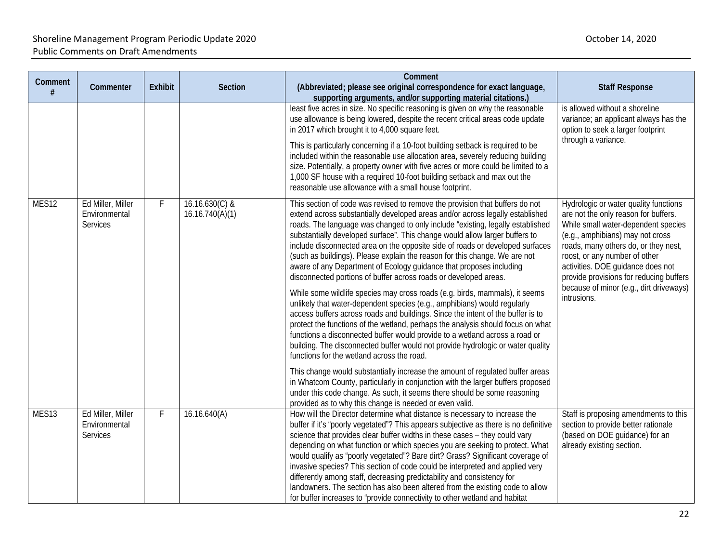| Comment<br># | Commenter                                      | <b>Exhibit</b> | Section                             | Comment<br>(Abbreviated; please see original correspondence for exact language,<br>supporting arguments, and/or supporting material citations.)                                                                                                                                                                                                                                                                                                                                                                                                                                                                                                                                                                                                                                                                                                                                                                                                                                                                                                                                                                                                                                                                                                                                                                                                                                                                                                                                                      | <b>Staff Response</b>                                                                                                                                                                                                                                                                                                                                                       |
|--------------|------------------------------------------------|----------------|-------------------------------------|------------------------------------------------------------------------------------------------------------------------------------------------------------------------------------------------------------------------------------------------------------------------------------------------------------------------------------------------------------------------------------------------------------------------------------------------------------------------------------------------------------------------------------------------------------------------------------------------------------------------------------------------------------------------------------------------------------------------------------------------------------------------------------------------------------------------------------------------------------------------------------------------------------------------------------------------------------------------------------------------------------------------------------------------------------------------------------------------------------------------------------------------------------------------------------------------------------------------------------------------------------------------------------------------------------------------------------------------------------------------------------------------------------------------------------------------------------------------------------------------------|-----------------------------------------------------------------------------------------------------------------------------------------------------------------------------------------------------------------------------------------------------------------------------------------------------------------------------------------------------------------------------|
|              |                                                |                |                                     | least five acres in size. No specific reasoning is given on why the reasonable<br>use allowance is being lowered, despite the recent critical areas code update<br>in 2017 which brought it to 4,000 square feet.<br>This is particularly concerning if a 10-foot building setback is required to be<br>included within the reasonable use allocation area, severely reducing building<br>size. Potentially, a property owner with five acres or more could be limited to a<br>1,000 SF house with a required 10-foot building setback and max out the<br>reasonable use allowance with a small house footprint.                                                                                                                                                                                                                                                                                                                                                                                                                                                                                                                                                                                                                                                                                                                                                                                                                                                                                     | is allowed without a shoreline<br>variance; an applicant always has the<br>option to seek a larger footprint<br>through a variance.                                                                                                                                                                                                                                         |
| MES12        | Ed Miller, Miller<br>Environmental<br>Services | F              | $16.16.630(C)$ &<br>16.16.740(A)(1) | This section of code was revised to remove the provision that buffers do not<br>extend across substantially developed areas and/or across legally established<br>roads. The language was changed to only include "existing, legally established<br>substantially developed surface". This change would allow larger buffers to<br>include disconnected area on the opposite side of roads or developed surfaces<br>(such as buildings). Please explain the reason for this change. We are not<br>aware of any Department of Ecology guidance that proposes including<br>disconnected portions of buffer across roads or developed areas.<br>While some wildlife species may cross roads (e.g. birds, mammals), it seems<br>unlikely that water-dependent species (e.g., amphibians) would regularly<br>access buffers across roads and buildings. Since the intent of the buffer is to<br>protect the functions of the wetland, perhaps the analysis should focus on what<br>functions a disconnected buffer would provide to a wetland across a road or<br>building. The disconnected buffer would not provide hydrologic or water quality<br>functions for the wetland across the road.<br>This change would substantially increase the amount of regulated buffer areas<br>in Whatcom County, particularly in conjunction with the larger buffers proposed<br>under this code change. As such, it seems there should be some reasoning<br>provided as to why this change is needed or even valid. | Hydrologic or water quality functions<br>are not the only reason for buffers.<br>While small water-dependent species<br>(e.g., amphibians) may not cross<br>roads, many others do, or they nest,<br>roost, or any number of other<br>activities. DOE guidance does not<br>provide provisions for reducing buffers<br>because of minor (e.g., dirt driveways)<br>intrusions. |
| MES13        | Ed Miller, Miller<br>Environmental<br>Services | F              | 16.16.640(A)                        | How will the Director determine what distance is necessary to increase the<br>buffer if it's "poorly vegetated"? This appears subjective as there is no definitive<br>science that provides clear buffer widths in these cases - they could vary<br>depending on what function or which species you are seeking to protect. What<br>would qualify as "poorly vegetated"? Bare dirt? Grass? Significant coverage of<br>invasive species? This section of code could be interpreted and applied very<br>differently among staff, decreasing predictability and consistency for<br>landowners. The section has also been altered from the existing code to allow<br>for buffer increases to "provide connectivity to other wetland and habitat                                                                                                                                                                                                                                                                                                                                                                                                                                                                                                                                                                                                                                                                                                                                                          | Staff is proposing amendments to this<br>section to provide better rationale<br>(based on DOE guidance) for an<br>already existing section.                                                                                                                                                                                                                                 |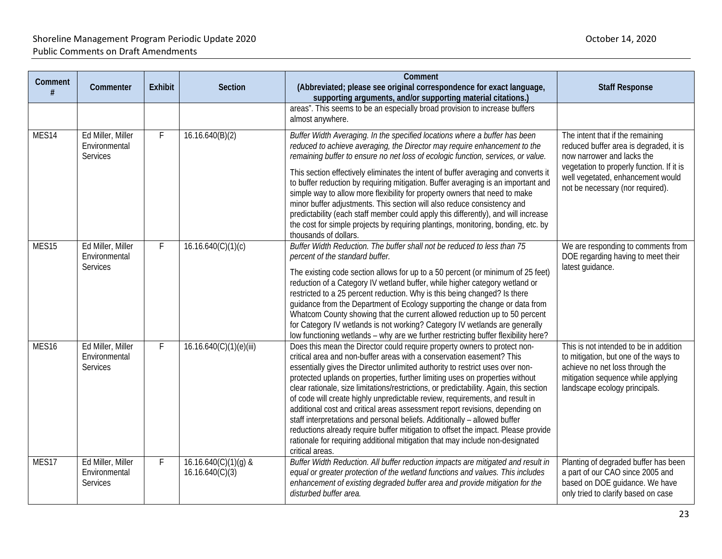| Comment           | Commenter                                             | <b>Exhibit</b> | <b>Section</b>                            | Comment<br>(Abbreviated; please see original correspondence for exact language,<br>supporting arguments, and/or supporting material citations.)                                                                                                                                                                                                                                                                                                                                                                                                                                                                                                                                                                                                                                                                                                     | <b>Staff Response</b>                                                                                                                                                                                                          |
|-------------------|-------------------------------------------------------|----------------|-------------------------------------------|-----------------------------------------------------------------------------------------------------------------------------------------------------------------------------------------------------------------------------------------------------------------------------------------------------------------------------------------------------------------------------------------------------------------------------------------------------------------------------------------------------------------------------------------------------------------------------------------------------------------------------------------------------------------------------------------------------------------------------------------------------------------------------------------------------------------------------------------------------|--------------------------------------------------------------------------------------------------------------------------------------------------------------------------------------------------------------------------------|
|                   |                                                       |                |                                           | areas". This seems to be an especially broad provision to increase buffers<br>almost anywhere.                                                                                                                                                                                                                                                                                                                                                                                                                                                                                                                                                                                                                                                                                                                                                      |                                                                                                                                                                                                                                |
| MES <sub>14</sub> | Ed Miller, Miller<br>Environmental<br><b>Services</b> | F              | 16.16.640(B)(2)                           | Buffer Width Averaging. In the specified locations where a buffer has been<br>reduced to achieve averaging, the Director may require enhancement to the<br>remaining buffer to ensure no net loss of ecologic function, services, or value.<br>This section effectively eliminates the intent of buffer averaging and converts it<br>to buffer reduction by requiring mitigation. Buffer averaging is an important and<br>simple way to allow more flexibility for property owners that need to make<br>minor buffer adjustments. This section will also reduce consistency and<br>predictability (each staff member could apply this differently), and will increase<br>the cost for simple projects by requiring plantings, monitoring, bonding, etc. by<br>thousands of dollars.                                                                 | The intent that if the remaining<br>reduced buffer area is degraded, it is<br>now narrower and lacks the<br>vegetation to properly function. If it is<br>well vegetated, enhancement would<br>not be necessary (nor required). |
| MES <sub>15</sub> | Ed Miller, Miller<br>Environmental<br><b>Services</b> | F              | 16.16.640(C)(1)(c)                        | Buffer Width Reduction. The buffer shall not be reduced to less than 75<br>percent of the standard buffer.<br>The existing code section allows for up to a 50 percent (or minimum of 25 feet)<br>reduction of a Category IV wetland buffer, while higher category wetland or<br>restricted to a 25 percent reduction. Why is this being changed? Is there<br>guidance from the Department of Ecology supporting the change or data from<br>Whatcom County showing that the current allowed reduction up to 50 percent<br>for Category IV wetlands is not working? Category IV wetlands are generally<br>low functioning wetlands - why are we further restricting buffer flexibility here?                                                                                                                                                          | We are responding to comments from<br>DOE regarding having to meet their<br>latest guidance.                                                                                                                                   |
| MES <sub>16</sub> | Ed Miller, Miller<br>Environmental<br><b>Services</b> | F              | 16.16.640(C)(1)(e)(iii)                   | Does this mean the Director could require property owners to protect non-<br>critical area and non-buffer areas with a conservation easement? This<br>essentially gives the Director unlimited authority to restrict uses over non-<br>protected uplands on properties, further limiting uses on properties without<br>clear rationale, size limitations/restrictions, or predictability. Again, this section<br>of code will create highly unpredictable review, requirements, and result in<br>additional cost and critical areas assessment report revisions, depending on<br>staff interpretations and personal beliefs. Additionally - allowed buffer<br>reductions already require buffer mitigation to offset the impact. Please provide<br>rationale for requiring additional mitigation that may include non-designated<br>critical areas. | This is not intended to be in addition<br>to mitigation, but one of the ways to<br>achieve no net loss through the<br>mitigation sequence while applying<br>landscape ecology principals.                                      |
| MES17             | Ed Miller, Miller<br>Environmental<br>Services        | F              | $16.16.640(C)(1)(g)$ &<br>16.16.640(C)(3) | Buffer Width Reduction. All buffer reduction impacts are mitigated and result in<br>equal or greater protection of the wetland functions and values. This includes<br>enhancement of existing degraded buffer area and provide mitigation for the<br>disturbed buffer area.                                                                                                                                                                                                                                                                                                                                                                                                                                                                                                                                                                         | Planting of degraded buffer has been<br>a part of our CAO since 2005 and<br>based on DOE guidance. We have<br>only tried to clarify based on case                                                                              |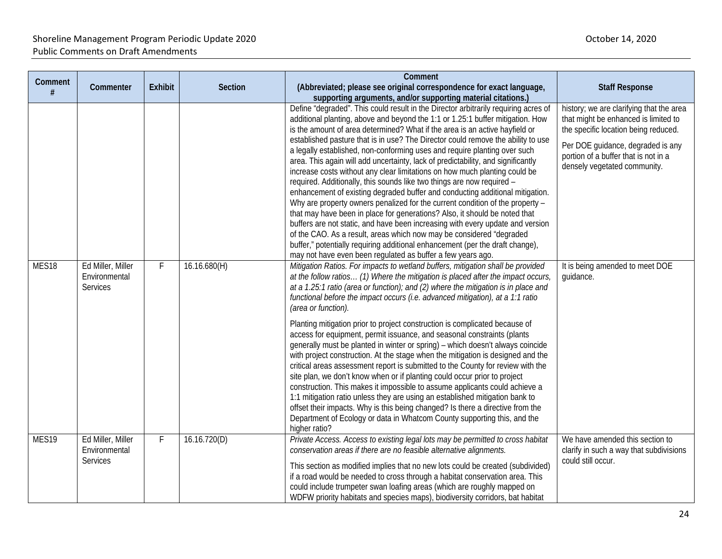### Shoreline Management Program Periodic Update 2020 **Contact Contact Contact Contact Contact Contact Contact Contact Contact Contact Contact Contact Contact Contact Contact Contact Contact Contact Contact Contact Contact Con** Public Comments on Draft Amendments

| Comment | Commenter                                             | <b>Exhibit</b> | Section      | Comment<br>(Abbreviated; please see original correspondence for exact language,                                                                                                                                                                                                                                                                                                                                                                                                                                                                                                                                                                                                                                                                                                                                                                                                                                                                                                                                                                                                                                                                                                                                             | <b>Staff Response</b>                                                                                                                                                                                                                 |
|---------|-------------------------------------------------------|----------------|--------------|-----------------------------------------------------------------------------------------------------------------------------------------------------------------------------------------------------------------------------------------------------------------------------------------------------------------------------------------------------------------------------------------------------------------------------------------------------------------------------------------------------------------------------------------------------------------------------------------------------------------------------------------------------------------------------------------------------------------------------------------------------------------------------------------------------------------------------------------------------------------------------------------------------------------------------------------------------------------------------------------------------------------------------------------------------------------------------------------------------------------------------------------------------------------------------------------------------------------------------|---------------------------------------------------------------------------------------------------------------------------------------------------------------------------------------------------------------------------------------|
| #       |                                                       |                |              | supporting arguments, and/or supporting material citations.)                                                                                                                                                                                                                                                                                                                                                                                                                                                                                                                                                                                                                                                                                                                                                                                                                                                                                                                                                                                                                                                                                                                                                                |                                                                                                                                                                                                                                       |
|         |                                                       |                |              | Define "degraded". This could result in the Director arbitrarily requiring acres of<br>additional planting, above and beyond the 1:1 or 1.25:1 buffer mitigation. How<br>is the amount of area determined? What if the area is an active hayfield or<br>established pasture that is in use? The Director could remove the ability to use<br>a legally established, non-conforming uses and require planting over such<br>area. This again will add uncertainty, lack of predictability, and significantly<br>increase costs without any clear limitations on how much planting could be<br>required. Additionally, this sounds like two things are now required -<br>enhancement of existing degraded buffer and conducting additional mitigation.<br>Why are property owners penalized for the current condition of the property -<br>that may have been in place for generations? Also, it should be noted that<br>buffers are not static, and have been increasing with every update and version<br>of the CAO. As a result, areas which now may be considered "degraded<br>buffer," potentially requiring additional enhancement (per the draft change),<br>may not have even been regulated as buffer a few years ago. | history; we are clarifying that the area<br>that might be enhanced is limited to<br>the specific location being reduced.<br>Per DOE guidance, degraded is any<br>portion of a buffer that is not in a<br>densely vegetated community. |
| MES18   | Ed Miller, Miller<br>Environmental<br><b>Services</b> | F              | 16.16.680(H) | Mitigation Ratios. For impacts to wetland buffers, mitigation shall be provided<br>at the follow ratios (1) Where the mitigation is placed after the impact occurs,<br>at a 1.25:1 ratio (area or function); and (2) where the mitigation is in place and<br>functional before the impact occurs (i.e. advanced mitigation), at a 1:1 ratio<br>(area or function).<br>Planting mitigation prior to project construction is complicated because of<br>access for equipment, permit issuance, and seasonal constraints (plants                                                                                                                                                                                                                                                                                                                                                                                                                                                                                                                                                                                                                                                                                                | It is being amended to meet DOE<br>guidance.                                                                                                                                                                                          |
|         |                                                       |                |              | generally must be planted in winter or spring) - which doesn't always coincide<br>with project construction. At the stage when the mitigation is designed and the<br>critical areas assessment report is submitted to the County for review with the<br>site plan, we don't know when or if planting could occur prior to project<br>construction. This makes it impossible to assume applicants could achieve a<br>1:1 mitigation ratio unless they are using an established mitigation bank to<br>offset their impacts. Why is this being changed? Is there a directive from the<br>Department of Ecology or data in Whatcom County supporting this, and the<br>higher ratio?                                                                                                                                                                                                                                                                                                                                                                                                                                                                                                                                             |                                                                                                                                                                                                                                       |
| MES19   | Ed Miller, Miller<br>Environmental<br><b>Services</b> | F              | 16.16.720(D) | Private Access. Access to existing legal lots may be permitted to cross habitat<br>conservation areas if there are no feasible alternative alignments.<br>This section as modified implies that no new lots could be created (subdivided)<br>if a road would be needed to cross through a habitat conservation area. This<br>could include trumpeter swan loafing areas (which are roughly mapped on<br>WDFW priority habitats and species maps), biodiversity corridors, bat habitat                                                                                                                                                                                                                                                                                                                                                                                                                                                                                                                                                                                                                                                                                                                                       | We have amended this section to<br>clarify in such a way that subdivisions<br>could still occur.                                                                                                                                      |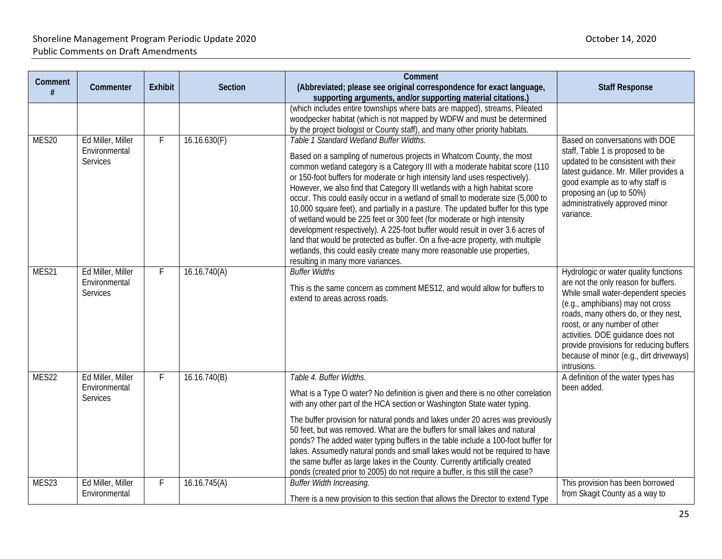| Comment | Commenter                                             | <b>Exhibit</b> | Section      | Comment<br>(Abbreviated; please see original correspondence for exact language,                                                                                                                                                                                                                                                                                                                                                                                                                                                                                                                                                                                                                                                                                                                                                                                                                      | <b>Staff Response</b>                                                                                                                                                                                                                                                                                                                                                       |
|---------|-------------------------------------------------------|----------------|--------------|------------------------------------------------------------------------------------------------------------------------------------------------------------------------------------------------------------------------------------------------------------------------------------------------------------------------------------------------------------------------------------------------------------------------------------------------------------------------------------------------------------------------------------------------------------------------------------------------------------------------------------------------------------------------------------------------------------------------------------------------------------------------------------------------------------------------------------------------------------------------------------------------------|-----------------------------------------------------------------------------------------------------------------------------------------------------------------------------------------------------------------------------------------------------------------------------------------------------------------------------------------------------------------------------|
|         |                                                       |                |              | supporting arguments, and/or supporting material citations.)<br>(which includes entire townships where bats are mapped), streams, Pileated<br>woodpecker habitat (which is not mapped by WDFW and must be determined<br>by the project biologist or County staff), and many other priority habitats.                                                                                                                                                                                                                                                                                                                                                                                                                                                                                                                                                                                                 |                                                                                                                                                                                                                                                                                                                                                                             |
| MES20   | Ed Miller, Miller<br>Environmental<br><b>Services</b> | F              | 16.16.630(F) | Table 1 Standard Wetland Buffer Widths.<br>Based on a sampling of numerous projects in Whatcom County, the most<br>common wetland category is a Category III with a moderate habitat score (110<br>or 150-foot buffers for moderate or high intensity land uses respectively).<br>However, we also find that Category III wetlands with a high habitat score<br>occur. This could easily occur in a wetland of small to moderate size (5,000 to<br>10,000 square feet), and partially in a pasture. The updated buffer for this type<br>of wetland would be 225 feet or 300 feet (for moderate or high intensity<br>development respectively). A 225-foot buffer would result in over 3.6 acres of<br>land that would be protected as buffer. On a five-acre property, with multiple<br>wetlands, this could easily create many more reasonable use properties,<br>resulting in many more variances. | Based on conversations with DOE<br>staff, Table 1 is proposed to be<br>updated to be consistent with their<br>latest guidance. Mr. Miller provides a<br>good example as to why staff is<br>proposing an (up to 50%)<br>administratively approved minor<br>variance.                                                                                                         |
| MES21   | Ed Miller, Miller<br>Environmental<br>Services        | F              | 16.16.740(A) | <b>Buffer Widths</b><br>This is the same concern as comment MES12, and would allow for buffers to<br>extend to areas across roads.                                                                                                                                                                                                                                                                                                                                                                                                                                                                                                                                                                                                                                                                                                                                                                   | Hydrologic or water quality functions<br>are not the only reason for buffers.<br>While small water-dependent species<br>(e.g., amphibians) may not cross<br>roads, many others do, or they nest,<br>roost, or any number of other<br>activities. DOE guidance does not<br>provide provisions for reducing buffers<br>because of minor (e.g., dirt driveways)<br>intrusions. |
| MES22   | Ed Miller, Miller<br>Environmental<br>Services        | F              | 16.16.740(B) | Table 4. Buffer Widths.<br>What is a Type O water? No definition is given and there is no other correlation<br>with any other part of the HCA section or Washington State water typing.<br>The buffer provision for natural ponds and lakes under 20 acres was previously                                                                                                                                                                                                                                                                                                                                                                                                                                                                                                                                                                                                                            | A definition of the water types has<br>been added.                                                                                                                                                                                                                                                                                                                          |
| MES23   | Ed Miller, Miller                                     | F              | 16.16.745(A) | 50 feet, but was removed. What are the buffers for small lakes and natural<br>ponds? The added water typing buffers in the table include a 100-foot buffer for<br>lakes. Assumedly natural ponds and small lakes would not be required to have<br>the same buffer as large lakes in the County. Currently artificially created<br>ponds (created prior to 2005) do not require a buffer, is this still the case?<br><b>Buffer Width Increasing.</b>                                                                                                                                                                                                                                                                                                                                                                                                                                                  | This provision has been borrowed                                                                                                                                                                                                                                                                                                                                            |
|         | Environmental                                         |                |              | There is a new provision to this section that allows the Director to extend Type                                                                                                                                                                                                                                                                                                                                                                                                                                                                                                                                                                                                                                                                                                                                                                                                                     | from Skagit County as a way to                                                                                                                                                                                                                                                                                                                                              |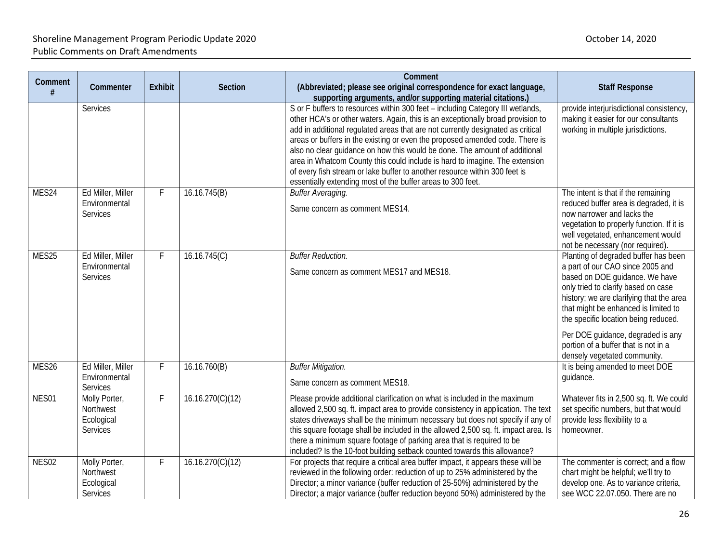| Comment<br># | Commenter                                            | <b>Exhibit</b> | <b>Section</b>   | Comment<br>(Abbreviated; please see original correspondence for exact language,<br>supporting arguments, and/or supporting material citations.)                                                                                                                                                                                                                                                                                                                                                                                                                                                                                                | <b>Staff Response</b>                                                                                                                                                                                                                                                                                                                                                                      |
|--------------|------------------------------------------------------|----------------|------------------|------------------------------------------------------------------------------------------------------------------------------------------------------------------------------------------------------------------------------------------------------------------------------------------------------------------------------------------------------------------------------------------------------------------------------------------------------------------------------------------------------------------------------------------------------------------------------------------------------------------------------------------------|--------------------------------------------------------------------------------------------------------------------------------------------------------------------------------------------------------------------------------------------------------------------------------------------------------------------------------------------------------------------------------------------|
|              | <b>Services</b>                                      |                |                  | S or F buffers to resources within 300 feet - including Category III wetlands,<br>other HCA's or other waters. Again, this is an exceptionally broad provision to<br>add in additional regulated areas that are not currently designated as critical<br>areas or buffers in the existing or even the proposed amended code. There is<br>also no clear guidance on how this would be done. The amount of additional<br>area in Whatcom County this could include is hard to imagine. The extension<br>of every fish stream or lake buffer to another resource within 300 feet is<br>essentially extending most of the buffer areas to 300 feet. | provide interjurisdictional consistency,<br>making it easier for our consultants<br>working in multiple jurisdictions.                                                                                                                                                                                                                                                                     |
| MES24        | Ed Miller, Miller<br>Environmental<br>Services       | F              | 16.16.745(B)     | <b>Buffer Averaging.</b><br>Same concern as comment MES14.                                                                                                                                                                                                                                                                                                                                                                                                                                                                                                                                                                                     | The intent is that if the remaining<br>reduced buffer area is degraded, it is<br>now narrower and lacks the<br>vegetation to properly function. If it is<br>well vegetated, enhancement would<br>not be necessary (nor required).                                                                                                                                                          |
| MES25        | Ed Miller, Miller<br>Environmental<br>Services       | F              | 16.16.745(C)     | <b>Buffer Reduction.</b><br>Same concern as comment MES17 and MES18.                                                                                                                                                                                                                                                                                                                                                                                                                                                                                                                                                                           | Planting of degraded buffer has been<br>a part of our CAO since 2005 and<br>based on DOE guidance. We have<br>only tried to clarify based on case<br>history; we are clarifying that the area<br>that might be enhanced is limited to<br>the specific location being reduced.<br>Per DOE guidance, degraded is any<br>portion of a buffer that is not in a<br>densely vegetated community. |
| MES26        | Ed Miller, Miller<br>Environmental<br>Services       | F              | 16.16.760(B)     | <b>Buffer Mitigation.</b><br>Same concern as comment MES18.                                                                                                                                                                                                                                                                                                                                                                                                                                                                                                                                                                                    | It is being amended to meet DOE<br>guidance.                                                                                                                                                                                                                                                                                                                                               |
| NES01        | Molly Porter,<br>Northwest<br>Ecological<br>Services | F              | 16.16.270(C)(12) | Please provide additional clarification on what is included in the maximum<br>allowed 2,500 sq. ft. impact area to provide consistency in application. The text<br>states driveways shall be the minimum necessary but does not specify if any of<br>this square footage shall be included in the allowed 2,500 sq. ft. impact area. Is<br>there a minimum square footage of parking area that is required to be<br>included? Is the 10-foot building setback counted towards this allowance?                                                                                                                                                  | Whatever fits in 2,500 sq. ft. We could<br>set specific numbers, but that would<br>provide less flexibility to a<br>homeowner.                                                                                                                                                                                                                                                             |
| NES02        | Molly Porter,<br>Northwest<br>Ecological<br>Services | F              | 16.16.270(C)(12) | For projects that require a critical area buffer impact, it appears these will be<br>reviewed in the following order: reduction of up to 25% administered by the<br>Director; a minor variance (buffer reduction of 25-50%) administered by the<br>Director; a major variance (buffer reduction beyond 50%) administered by the                                                                                                                                                                                                                                                                                                                | The commenter is correct; and a flow<br>chart might be helpful; we'll try to<br>develop one. As to variance criteria,<br>see WCC 22.07.050. There are no                                                                                                                                                                                                                                   |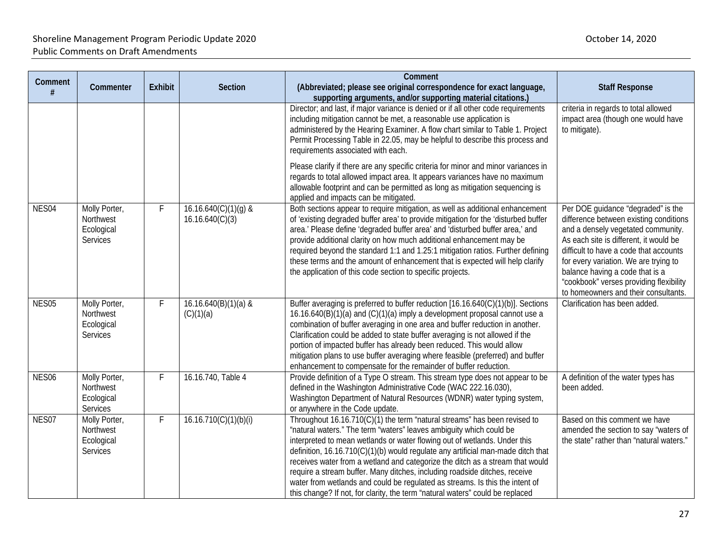|                   |                                                             |                |                                           | Comment                                                                                                                                                                                                                                                                                                                                                                                                                                                                                                                                                                                                                                           |                                                                                                                                                                                                                                                                                                                                                                       |
|-------------------|-------------------------------------------------------------|----------------|-------------------------------------------|---------------------------------------------------------------------------------------------------------------------------------------------------------------------------------------------------------------------------------------------------------------------------------------------------------------------------------------------------------------------------------------------------------------------------------------------------------------------------------------------------------------------------------------------------------------------------------------------------------------------------------------------------|-----------------------------------------------------------------------------------------------------------------------------------------------------------------------------------------------------------------------------------------------------------------------------------------------------------------------------------------------------------------------|
| Comment<br>#      | Commenter                                                   | <b>Exhibit</b> | <b>Section</b>                            | (Abbreviated; please see original correspondence for exact language,<br>supporting arguments, and/or supporting material citations.)                                                                                                                                                                                                                                                                                                                                                                                                                                                                                                              | <b>Staff Response</b>                                                                                                                                                                                                                                                                                                                                                 |
|                   |                                                             |                |                                           | Director; and last, if major variance is denied or if all other code requirements<br>including mitigation cannot be met, a reasonable use application is<br>administered by the Hearing Examiner. A flow chart similar to Table 1. Project<br>Permit Processing Table in 22.05, may be helpful to describe this process and<br>requirements associated with each.                                                                                                                                                                                                                                                                                 | criteria in regards to total allowed<br>impact area (though one would have<br>to mitigate).                                                                                                                                                                                                                                                                           |
|                   |                                                             |                |                                           | Please clarify if there are any specific criteria for minor and minor variances in<br>regards to total allowed impact area. It appears variances have no maximum<br>allowable footprint and can be permitted as long as mitigation sequencing is<br>applied and impacts can be mitigated.                                                                                                                                                                                                                                                                                                                                                         |                                                                                                                                                                                                                                                                                                                                                                       |
| NES04             | Molly Porter,<br>Northwest<br>Ecological<br><b>Services</b> | F              | $16.16.640(C)(1)(q)$ &<br>16.16.640(C)(3) | Both sections appear to require mitigation, as well as additional enhancement<br>of 'existing degraded buffer area' to provide mitigation for the 'disturbed buffer<br>area.' Please define 'degraded buffer area' and 'disturbed buffer area,' and<br>provide additional clarity on how much additional enhancement may be<br>required beyond the standard 1:1 and 1.25:1 mitigation ratios. Further defining<br>these terms and the amount of enhancement that is expected will help clarify<br>the application of this code section to specific projects.                                                                                      | Per DOE guidance "degraded" is the<br>difference between existing conditions<br>and a densely vegetated community.<br>As each site is different, it would be<br>difficult to have a code that accounts<br>for every variation. We are trying to<br>balance having a code that is a<br>"cookbook" verses providing flexibility<br>to homeowners and their consultants. |
| NES05             | Molly Porter,<br>Northwest<br>Ecological<br>Services        | F              | $16.16.640(B)(1)(a)$ &<br>(C)(1)(a)       | Buffer averaging is preferred to buffer reduction [16.16.640(C)(1)(b)]. Sections<br>16.16.640(B)(1)(a) and (C)(1)(a) imply a development proposal cannot use a<br>combination of buffer averaging in one area and buffer reduction in another.<br>Clarification could be added to state buffer averaging is not allowed if the<br>portion of impacted buffer has already been reduced. This would allow<br>mitigation plans to use buffer averaging where feasible (preferred) and buffer<br>enhancement to compensate for the remainder of buffer reduction.                                                                                     | Clarification has been added.                                                                                                                                                                                                                                                                                                                                         |
| NES <sub>06</sub> | Molly Porter,<br>Northwest<br>Ecological<br>Services        | F              | 16.16.740, Table 4                        | Provide definition of a Type O stream. This stream type does not appear to be<br>defined in the Washington Administrative Code (WAC 222.16.030),<br>Washington Department of Natural Resources (WDNR) water typing system,<br>or anywhere in the Code update.                                                                                                                                                                                                                                                                                                                                                                                     | A definition of the water types has<br>been added.                                                                                                                                                                                                                                                                                                                    |
| NES07             | Molly Porter,<br>Northwest<br>Ecological<br>Services        | F              | 16.16.710(C)(1)(b)(i)                     | Throughout 16.16.710(C)(1) the term "natural streams" has been revised to<br>"natural waters." The term "waters" leaves ambiguity which could be<br>interpreted to mean wetlands or water flowing out of wetlands. Under this<br>definition, 16.16.710(C)(1)(b) would regulate any artificial man-made ditch that<br>receives water from a wetland and categorize the ditch as a stream that would<br>require a stream buffer. Many ditches, including roadside ditches, receive<br>water from wetlands and could be regulated as streams. Is this the intent of<br>this change? If not, for clarity, the term "natural waters" could be replaced | Based on this comment we have<br>amended the section to say "waters of<br>the state" rather than "natural waters."                                                                                                                                                                                                                                                    |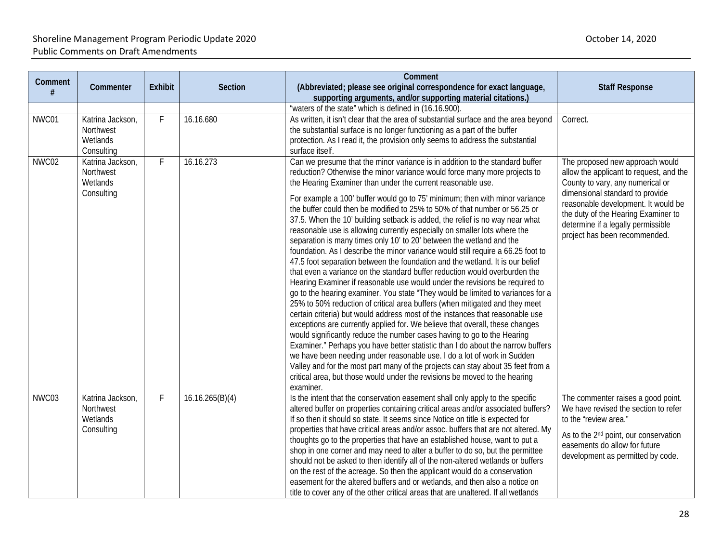| Comment<br># | Commenter                                               | <b>Exhibit</b> | <b>Section</b>  | Comment<br>(Abbreviated; please see original correspondence for exact language,<br>supporting arguments, and/or supporting material citations.)                                                                                                                                                                                                                                                                                                                                                                                                                                                                                                                                                                                                                                                                                                                                                                                                                                                                                                                                                                                                                                                                                                                                                                                                                                                                                                                                                                                                                                                                                                                                                                        | <b>Staff Response</b>                                                                                                                                                                                                                                                                                  |
|--------------|---------------------------------------------------------|----------------|-----------------|------------------------------------------------------------------------------------------------------------------------------------------------------------------------------------------------------------------------------------------------------------------------------------------------------------------------------------------------------------------------------------------------------------------------------------------------------------------------------------------------------------------------------------------------------------------------------------------------------------------------------------------------------------------------------------------------------------------------------------------------------------------------------------------------------------------------------------------------------------------------------------------------------------------------------------------------------------------------------------------------------------------------------------------------------------------------------------------------------------------------------------------------------------------------------------------------------------------------------------------------------------------------------------------------------------------------------------------------------------------------------------------------------------------------------------------------------------------------------------------------------------------------------------------------------------------------------------------------------------------------------------------------------------------------------------------------------------------------|--------------------------------------------------------------------------------------------------------------------------------------------------------------------------------------------------------------------------------------------------------------------------------------------------------|
|              |                                                         |                |                 | "waters of the state" which is defined in (16.16.900).                                                                                                                                                                                                                                                                                                                                                                                                                                                                                                                                                                                                                                                                                                                                                                                                                                                                                                                                                                                                                                                                                                                                                                                                                                                                                                                                                                                                                                                                                                                                                                                                                                                                 |                                                                                                                                                                                                                                                                                                        |
| NWC01        | Katrina Jackson,<br>Northwest<br>Wetlands<br>Consulting | F              | 16.16.680       | As written, it isn't clear that the area of substantial surface and the area beyond<br>the substantial surface is no longer functioning as a part of the buffer<br>protection. As I read it, the provision only seems to address the substantial<br>surface itself.                                                                                                                                                                                                                                                                                                                                                                                                                                                                                                                                                                                                                                                                                                                                                                                                                                                                                                                                                                                                                                                                                                                                                                                                                                                                                                                                                                                                                                                    | Correct.                                                                                                                                                                                                                                                                                               |
| NWC02        | Katrina Jackson,<br>Northwest<br>Wetlands<br>Consulting | F.             | 16.16.273       | Can we presume that the minor variance is in addition to the standard buffer<br>reduction? Otherwise the minor variance would force many more projects to<br>the Hearing Examiner than under the current reasonable use.<br>For example a 100' buffer would go to 75' minimum; then with minor variance<br>the buffer could then be modified to 25% to 50% of that number or 56.25 or<br>37.5. When the 10' building setback is added, the relief is no way near what<br>reasonable use is allowing currently especially on smaller lots where the<br>separation is many times only 10' to 20' between the wetland and the<br>foundation. As I describe the minor variance would still require a 66.25 foot to<br>47.5 foot separation between the foundation and the wetland. It is our belief<br>that even a variance on the standard buffer reduction would overburden the<br>Hearing Examiner if reasonable use would under the revisions be required to<br>go to the hearing examiner. You state "They would be limited to variances for a<br>25% to 50% reduction of critical area buffers (when mitigated and they meet<br>certain criteria) but would address most of the instances that reasonable use<br>exceptions are currently applied for. We believe that overall, these changes<br>would significantly reduce the number cases having to go to the Hearing<br>Examiner." Perhaps you have better statistic than I do about the narrow buffers<br>we have been needing under reasonable use. I do a lot of work in Sudden<br>Valley and for the most part many of the projects can stay about 35 feet from a<br>critical area, but those would under the revisions be moved to the hearing<br>examiner. | The proposed new approach would<br>allow the applicant to request, and the<br>County to vary, any numerical or<br>dimensional standard to provide<br>reasonable development. It would be<br>the duty of the Hearing Examiner to<br>determine if a legally permissible<br>project has been recommended. |
| NWC03        | Katrina Jackson,<br>Northwest<br>Wetlands<br>Consulting | F              | 16.16.265(B)(4) | Is the intent that the conservation easement shall only apply to the specific<br>altered buffer on properties containing critical areas and/or associated buffers?<br>If so then it should so state. It seems since Notice on title is expected for<br>properties that have critical areas and/or assoc. buffers that are not altered. My<br>thoughts go to the properties that have an established house, want to put a<br>shop in one corner and may need to alter a buffer to do so, but the permittee<br>should not be asked to then identify all of the non-altered wetlands or buffers<br>on the rest of the acreage. So then the applicant would do a conservation<br>easement for the altered buffers and or wetlands, and then also a notice on<br>title to cover any of the other critical areas that are unaltered. If all wetlands                                                                                                                                                                                                                                                                                                                                                                                                                                                                                                                                                                                                                                                                                                                                                                                                                                                                         | The commenter raises a good point.<br>We have revised the section to refer<br>to the "review area."<br>As to the 2 <sup>nd</sup> point, our conservation<br>easements do allow for future<br>development as permitted by code.                                                                         |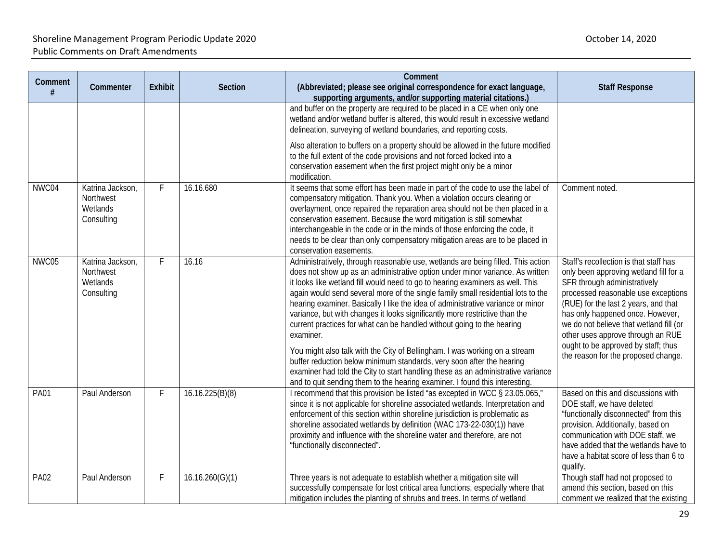| Comment<br># | Commenter                                               | <b>Exhibit</b> | Section         | Comment<br>(Abbreviated; please see original correspondence for exact language,<br>supporting arguments, and/or supporting material citations.)                                                                                                                                                                                                                                                                                                                                                                                                                                                                                                                                                                                                                                                                                                                                                                            | <b>Staff Response</b>                                                                                                                                                                                                                                                                                                                                                                             |
|--------------|---------------------------------------------------------|----------------|-----------------|----------------------------------------------------------------------------------------------------------------------------------------------------------------------------------------------------------------------------------------------------------------------------------------------------------------------------------------------------------------------------------------------------------------------------------------------------------------------------------------------------------------------------------------------------------------------------------------------------------------------------------------------------------------------------------------------------------------------------------------------------------------------------------------------------------------------------------------------------------------------------------------------------------------------------|---------------------------------------------------------------------------------------------------------------------------------------------------------------------------------------------------------------------------------------------------------------------------------------------------------------------------------------------------------------------------------------------------|
|              |                                                         |                |                 | and buffer on the property are required to be placed in a CE when only one<br>wetland and/or wetland buffer is altered, this would result in excessive wetland<br>delineation, surveying of wetland boundaries, and reporting costs.                                                                                                                                                                                                                                                                                                                                                                                                                                                                                                                                                                                                                                                                                       |                                                                                                                                                                                                                                                                                                                                                                                                   |
|              |                                                         |                |                 | Also alteration to buffers on a property should be allowed in the future modified<br>to the full extent of the code provisions and not forced locked into a<br>conservation easement when the first project might only be a minor<br>modification.                                                                                                                                                                                                                                                                                                                                                                                                                                                                                                                                                                                                                                                                         |                                                                                                                                                                                                                                                                                                                                                                                                   |
| NWC04        | Katrina Jackson,<br>Northwest<br>Wetlands<br>Consulting | F              | 16.16.680       | It seems that some effort has been made in part of the code to use the label of<br>compensatory mitigation. Thank you. When a violation occurs clearing or<br>overlayment, once repaired the reparation area should not be then placed in a<br>conservation easement. Because the word mitigation is still somewhat<br>interchangeable in the code or in the minds of those enforcing the code, it<br>needs to be clear than only compensatory mitigation areas are to be placed in<br>conservation easements.                                                                                                                                                                                                                                                                                                                                                                                                             | Comment noted.                                                                                                                                                                                                                                                                                                                                                                                    |
| NWC05        | Katrina Jackson,<br>Northwest<br>Wetlands<br>Consulting | F              | 16.16           | Administratively, through reasonable use, wetlands are being filled. This action<br>does not show up as an administrative option under minor variance. As written<br>it looks like wetland fill would need to go to hearing examiners as well. This<br>again would send several more of the single family small residential lots to the<br>hearing examiner. Basically I like the idea of administrative variance or minor<br>variance, but with changes it looks significantly more restrictive than the<br>current practices for what can be handled without going to the hearing<br>examiner.<br>You might also talk with the City of Bellingham. I was working on a stream<br>buffer reduction below minimum standards, very soon after the hearing<br>examiner had told the City to start handling these as an administrative variance<br>and to quit sending them to the hearing examiner. I found this interesting. | Staff's recollection is that staff has<br>only been approving wetland fill for a<br>SFR through administratively<br>processed reasonable use exceptions<br>(RUE) for the last 2 years, and that<br>has only happened once. However,<br>we do not believe that wetland fill (or<br>other uses approve through an RUE<br>ought to be approved by staff; thus<br>the reason for the proposed change. |
| <b>PA01</b>  | Paul Anderson                                           | F              | 16.16.225(B)(8) | I recommend that this provision be listed "as excepted in WCC § 23.05.065,"<br>since it is not applicable for shoreline associated wetlands. Interpretation and<br>enforcement of this section within shoreline jurisdiction is problematic as<br>shoreline associated wetlands by definition (WAC 173-22-030(1)) have<br>proximity and influence with the shoreline water and therefore, are not<br>"functionally disconnected".                                                                                                                                                                                                                                                                                                                                                                                                                                                                                          | Based on this and discussions with<br>DOE staff, we have deleted<br>"functionally disconnected" from this<br>provision. Additionally, based on<br>communication with DOE staff, we<br>have added that the wetlands have to<br>have a habitat score of less than 6 to<br>qualify.                                                                                                                  |
| <b>PA02</b>  | Paul Anderson                                           | F              | 16.16.260(G)(1) | Three years is not adequate to establish whether a mitigation site will<br>successfully compensate for lost critical area functions, especially where that<br>mitigation includes the planting of shrubs and trees. In terms of wetland                                                                                                                                                                                                                                                                                                                                                                                                                                                                                                                                                                                                                                                                                    | Though staff had not proposed to<br>amend this section, based on this<br>comment we realized that the existing                                                                                                                                                                                                                                                                                    |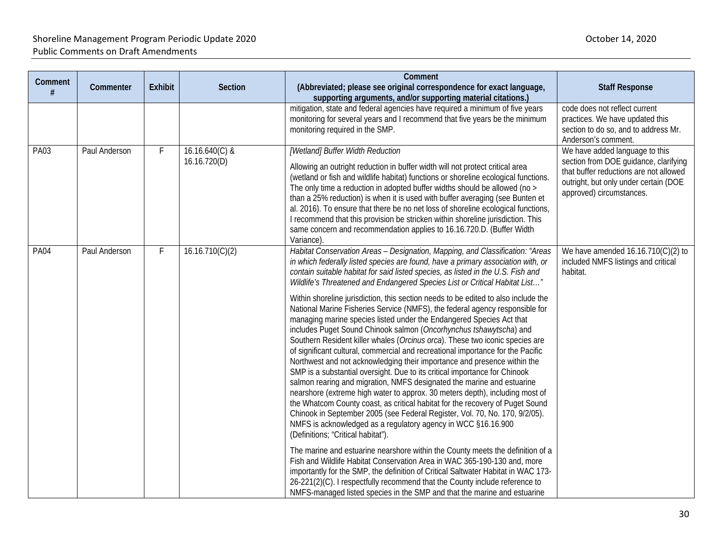|              |               |                |                                | Comment                                                                                                                                                                                                                                                                                                                                                                                                                                                                                                                                                                                                                                                                                                                                                                                                                                                                                                                                                                                                                                                                                                                                                                                                                                                                                                                                                                                                                                                                                                                                                                                                                                                                                                                                                                                                                              |                                                                                                                                                                                        |
|--------------|---------------|----------------|--------------------------------|--------------------------------------------------------------------------------------------------------------------------------------------------------------------------------------------------------------------------------------------------------------------------------------------------------------------------------------------------------------------------------------------------------------------------------------------------------------------------------------------------------------------------------------------------------------------------------------------------------------------------------------------------------------------------------------------------------------------------------------------------------------------------------------------------------------------------------------------------------------------------------------------------------------------------------------------------------------------------------------------------------------------------------------------------------------------------------------------------------------------------------------------------------------------------------------------------------------------------------------------------------------------------------------------------------------------------------------------------------------------------------------------------------------------------------------------------------------------------------------------------------------------------------------------------------------------------------------------------------------------------------------------------------------------------------------------------------------------------------------------------------------------------------------------------------------------------------------|----------------------------------------------------------------------------------------------------------------------------------------------------------------------------------------|
| Comment<br># | Commenter     | <b>Exhibit</b> | Section                        | (Abbreviated; please see original correspondence for exact language,<br>supporting arguments, and/or supporting material citations.)                                                                                                                                                                                                                                                                                                                                                                                                                                                                                                                                                                                                                                                                                                                                                                                                                                                                                                                                                                                                                                                                                                                                                                                                                                                                                                                                                                                                                                                                                                                                                                                                                                                                                                 | <b>Staff Response</b>                                                                                                                                                                  |
|              |               |                |                                | mitigation, state and federal agencies have required a minimum of five years<br>monitoring for several years and I recommend that five years be the minimum<br>monitoring required in the SMP.                                                                                                                                                                                                                                                                                                                                                                                                                                                                                                                                                                                                                                                                                                                                                                                                                                                                                                                                                                                                                                                                                                                                                                                                                                                                                                                                                                                                                                                                                                                                                                                                                                       | code does not reflect current<br>practices. We have updated this<br>section to do so, and to address Mr.<br>Anderson's comment.                                                        |
| PA03         | Paul Anderson | F              | 16.16.640(C) &<br>16.16.720(D) | <b>Wetland] Buffer Width Reduction</b><br>Allowing an outright reduction in buffer width will not protect critical area<br>(wetland or fish and wildlife habitat) functions or shoreline ecological functions.<br>The only time a reduction in adopted buffer widths should be allowed (no ><br>than a 25% reduction) is when it is used with buffer averaging (see Bunten et<br>al. 2016). To ensure that there be no net loss of shoreline ecological functions,<br>I recommend that this provision be stricken within shoreline jurisdiction. This<br>same concern and recommendation applies to 16.16.720.D. (Buffer Width<br>Variance).                                                                                                                                                                                                                                                                                                                                                                                                                                                                                                                                                                                                                                                                                                                                                                                                                                                                                                                                                                                                                                                                                                                                                                                         | We have added language to this<br>section from DOE guidance, clarifying<br>that buffer reductions are not allowed<br>outright, but only under certain (DOE<br>approved) circumstances. |
| <b>PA04</b>  | Paul Anderson | $\mathsf{F}$   | 16.16.710(C)(2)                | Habitat Conservation Areas - Designation, Mapping, and Classification: "Areas<br>in which federally listed species are found, have a primary association with, or<br>contain suitable habitat for said listed species, as listed in the U.S. Fish and<br>Wildlife's Threatened and Endangered Species List or Critical Habitat List"<br>Within shoreline jurisdiction, this section needs to be edited to also include the<br>National Marine Fisheries Service (NMFS), the federal agency responsible for<br>managing marine species listed under the Endangered Species Act that<br>includes Puget Sound Chinook salmon (Oncorhynchus tshawytscha) and<br>Southern Resident killer whales (Orcinus orca). These two iconic species are<br>of significant cultural, commercial and recreational importance for the Pacific<br>Northwest and not acknowledging their importance and presence within the<br>SMP is a substantial oversight. Due to its critical importance for Chinook<br>salmon rearing and migration, NMFS designated the marine and estuarine<br>nearshore (extreme high water to approx. 30 meters depth), including most of<br>the Whatcom County coast, as critical habitat for the recovery of Puget Sound<br>Chinook in September 2005 (see Federal Register, Vol. 70, No. 170, 9/2/05).<br>NMFS is acknowledged as a regulatory agency in WCC §16.16.900<br>(Definitions; "Critical habitat").<br>The marine and estuarine nearshore within the County meets the definition of a<br>Fish and Wildlife Habitat Conservation Area in WAC 365-190-130 and, more<br>importantly for the SMP, the definition of Critical Saltwater Habitat in WAC 173-<br>26-221(2)(C). I respectfully recommend that the County include reference to<br>NMFS-managed listed species in the SMP and that the marine and estuarine | We have amended $16.16.710(C)(2)$ to<br>included NMFS listings and critical<br>habitat.                                                                                                |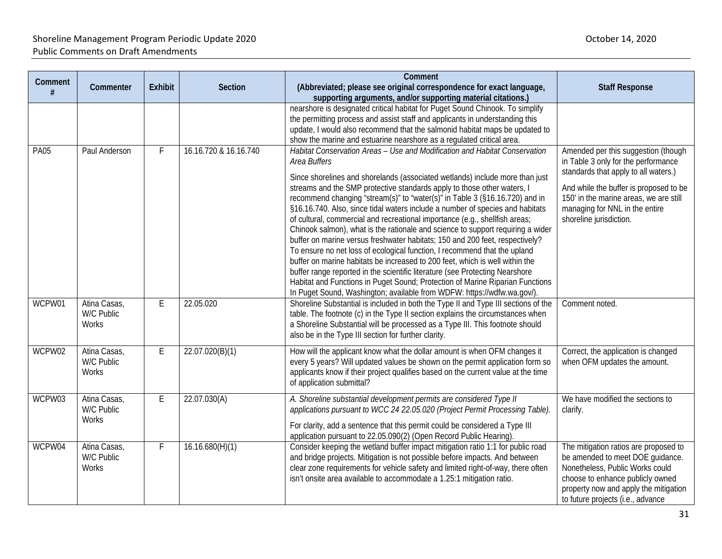| Comment<br># | Commenter                           | Exhibit | Section               | Comment<br>(Abbreviated; please see original correspondence for exact language,                                                                                                                                                                                                                                                                                                                                                                                                                                                                                                                                                                                                                                                                                                                                                                                                                                                                                                                                                                                                  | <b>Staff Response</b>                                                                                                                                                                                                                                               |
|--------------|-------------------------------------|---------|-----------------------|----------------------------------------------------------------------------------------------------------------------------------------------------------------------------------------------------------------------------------------------------------------------------------------------------------------------------------------------------------------------------------------------------------------------------------------------------------------------------------------------------------------------------------------------------------------------------------------------------------------------------------------------------------------------------------------------------------------------------------------------------------------------------------------------------------------------------------------------------------------------------------------------------------------------------------------------------------------------------------------------------------------------------------------------------------------------------------|---------------------------------------------------------------------------------------------------------------------------------------------------------------------------------------------------------------------------------------------------------------------|
|              |                                     |         |                       | supporting arguments, and/or supporting material citations.)<br>nearshore is designated critical habitat for Puget Sound Chinook. To simplify<br>the permitting process and assist staff and applicants in understanding this<br>update, I would also recommend that the salmonid habitat maps be updated to<br>show the marine and estuarine nearshore as a regulated critical area.                                                                                                                                                                                                                                                                                                                                                                                                                                                                                                                                                                                                                                                                                            |                                                                                                                                                                                                                                                                     |
| <b>PA05</b>  | Paul Anderson                       |         | 16.16.720 & 16.16.740 | Habitat Conservation Areas - Use and Modification and Habitat Conservation<br>Area Buffers<br>Since shorelines and shorelands (associated wetlands) include more than just<br>streams and the SMP protective standards apply to those other waters, I<br>recommend changing "stream(s)" to "water(s)" in Table 3 (§16.16.720) and in<br>§16.16.740. Also, since tidal waters include a number of species and habitats<br>of cultural, commercial and recreational importance (e.g., shellfish areas;<br>Chinook salmon), what is the rationale and science to support requiring a wider<br>buffer on marine versus freshwater habitats; 150 and 200 feet, respectively?<br>To ensure no net loss of ecological function, I recommend that the upland<br>buffer on marine habitats be increased to 200 feet, which is well within the<br>buffer range reported in the scientific literature (see Protecting Nearshore<br>Habitat and Functions in Puget Sound; Protection of Marine Riparian Functions<br>In Puget Sound, Washington; available from WDFW: https://wdfw.wa.gov/). | Amended per this suggestion (though<br>in Table 3 only for the performance<br>standards that apply to all waters.)<br>And while the buffer is proposed to be<br>150' in the marine areas, we are still<br>managing for NNL in the entire<br>shoreline jurisdiction. |
| WCPW01       | Atina Casas,<br>W/C Public<br>Works | E       | 22.05.020             | Shoreline Substantial is included in both the Type II and Type III sections of the<br>table. The footnote (c) in the Type II section explains the circumstances when<br>a Shoreline Substantial will be processed as a Type III. This footnote should<br>also be in the Type III section for further clarity.                                                                                                                                                                                                                                                                                                                                                                                                                                                                                                                                                                                                                                                                                                                                                                    | Comment noted.                                                                                                                                                                                                                                                      |
| WCPW02       | Atina Casas,<br>W/C Public<br>Works | E       | 22.07.020(B)(1)       | How will the applicant know what the dollar amount is when OFM changes it<br>every 5 years? Will updated values be shown on the permit application form so<br>applicants know if their project qualifies based on the current value at the time<br>of application submittal?                                                                                                                                                                                                                                                                                                                                                                                                                                                                                                                                                                                                                                                                                                                                                                                                     | Correct, the application is changed<br>when OFM updates the amount.                                                                                                                                                                                                 |
| WCPW03       | Atina Casas,<br>W/C Public<br>Works | E       | 22.07.030(A)          | A. Shoreline substantial development permits are considered Type II<br>applications pursuant to WCC 24 22.05.020 (Project Permit Processing Table).<br>For clarity, add a sentence that this permit could be considered a Type III<br>application pursuant to 22.05.090(2) (Open Record Public Hearing).                                                                                                                                                                                                                                                                                                                                                                                                                                                                                                                                                                                                                                                                                                                                                                         | We have modified the sections to<br>clarify.                                                                                                                                                                                                                        |
| WCPW04       | Atina Casas,<br>W/C Public<br>Works | F       | 16.16.680(H)(1)       | Consider keeping the wetland buffer impact mitigation ratio 1:1 for public road<br>and bridge projects. Mitigation is not possible before impacts. And between<br>clear zone requirements for vehicle safety and limited right-of-way, there often<br>isn't onsite area available to accommodate a 1.25:1 mitigation ratio.                                                                                                                                                                                                                                                                                                                                                                                                                                                                                                                                                                                                                                                                                                                                                      | The mitigation ratios are proposed to<br>be amended to meet DOE guidance.<br>Nonetheless, Public Works could<br>choose to enhance publicly owned<br>property now and apply the mitigation<br>to future projects (i.e., advance                                      |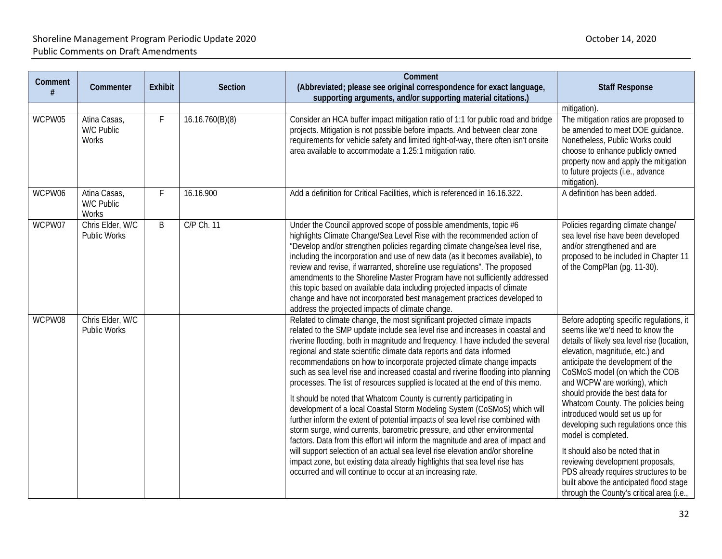| Comment | Commenter                               | <b>Exhibit</b> | <b>Section</b>  | Comment<br>(Abbreviated; please see original correspondence for exact language,<br>supporting arguments, and/or supporting material citations.)                                                                                                                                                                                                                                                                                                                                                                                                                                                                                                                                                                                                                                                                                                                                                                                                                                                                                                                                                                                                                                                       | <b>Staff Response</b>                                                                                                                                                                                                                                                                                                                                                                                                                                                                                                                                                                                                                                     |
|---------|-----------------------------------------|----------------|-----------------|-------------------------------------------------------------------------------------------------------------------------------------------------------------------------------------------------------------------------------------------------------------------------------------------------------------------------------------------------------------------------------------------------------------------------------------------------------------------------------------------------------------------------------------------------------------------------------------------------------------------------------------------------------------------------------------------------------------------------------------------------------------------------------------------------------------------------------------------------------------------------------------------------------------------------------------------------------------------------------------------------------------------------------------------------------------------------------------------------------------------------------------------------------------------------------------------------------|-----------------------------------------------------------------------------------------------------------------------------------------------------------------------------------------------------------------------------------------------------------------------------------------------------------------------------------------------------------------------------------------------------------------------------------------------------------------------------------------------------------------------------------------------------------------------------------------------------------------------------------------------------------|
| WCPW05  | Atina Casas,<br>W/C Public<br>Works     | F              | 16.16.760(B)(8) | Consider an HCA buffer impact mitigation ratio of 1:1 for public road and bridge<br>projects. Mitigation is not possible before impacts. And between clear zone<br>requirements for vehicle safety and limited right-of-way, there often isn't onsite<br>area available to accommodate a 1.25:1 mitigation ratio.                                                                                                                                                                                                                                                                                                                                                                                                                                                                                                                                                                                                                                                                                                                                                                                                                                                                                     | mitigation)<br>The mitigation ratios are proposed to<br>be amended to meet DOE guidance.<br>Nonetheless, Public Works could<br>choose to enhance publicly owned<br>property now and apply the mitigation<br>to future projects (i.e., advance<br>mitigation).                                                                                                                                                                                                                                                                                                                                                                                             |
| WCPW06  | Atina Casas,<br>W/C Public<br>Works     | F              | 16.16.900       | Add a definition for Critical Facilities, which is referenced in 16.16.322.                                                                                                                                                                                                                                                                                                                                                                                                                                                                                                                                                                                                                                                                                                                                                                                                                                                                                                                                                                                                                                                                                                                           | A definition has been added.                                                                                                                                                                                                                                                                                                                                                                                                                                                                                                                                                                                                                              |
| WCPW07  | Chris Elder, W/C<br>Public Works        | B              | C/P Ch. 11      | Under the Council approved scope of possible amendments, topic #6<br>highlights Climate Change/Sea Level Rise with the recommended action of<br>"Develop and/or strengthen policies regarding climate change/sea level rise,<br>including the incorporation and use of new data (as it becomes available), to<br>review and revise, if warranted, shoreline use regulations". The proposed<br>amendments to the Shoreline Master Program have not sufficiently addressed<br>this topic based on available data including projected impacts of climate<br>change and have not incorporated best management practices developed to<br>address the projected impacts of climate change.                                                                                                                                                                                                                                                                                                                                                                                                                                                                                                                  | Policies regarding climate change/<br>sea level rise have been developed<br>and/or strengthened and are<br>proposed to be included in Chapter 11<br>of the CompPlan (pg. 11-30).                                                                                                                                                                                                                                                                                                                                                                                                                                                                          |
| WCPW08  | Chris Elder, W/C<br><b>Public Works</b> |                |                 | Related to climate change, the most significant projected climate impacts<br>related to the SMP update include sea level rise and increases in coastal and<br>riverine flooding, both in magnitude and frequency. I have included the several<br>regional and state scientific climate data reports and data informed<br>recommendations on how to incorporate projected climate change impacts<br>such as sea level rise and increased coastal and riverine flooding into planning<br>processes. The list of resources supplied is located at the end of this memo.<br>It should be noted that Whatcom County is currently participating in<br>development of a local Coastal Storm Modeling System (CoSMoS) which will<br>further inform the extent of potential impacts of sea level rise combined with<br>storm surge, wind currents, barometric pressure, and other environmental<br>factors. Data from this effort will inform the magnitude and area of impact and<br>will support selection of an actual sea level rise elevation and/or shoreline<br>impact zone, but existing data already highlights that sea level rise has<br>occurred and will continue to occur at an increasing rate. | Before adopting specific regulations, it<br>seems like we'd need to know the<br>details of likely sea level rise (location,<br>elevation, magnitude, etc.) and<br>anticipate the development of the<br>CoSMoS model (on which the COB<br>and WCPW are working), which<br>should provide the best data for<br>Whatcom County. The policies being<br>introduced would set us up for<br>developing such regulations once this<br>model is completed.<br>It should also be noted that in<br>reviewing development proposals,<br>PDS already requires structures to be<br>built above the anticipated flood stage<br>through the County's critical area (i.e., |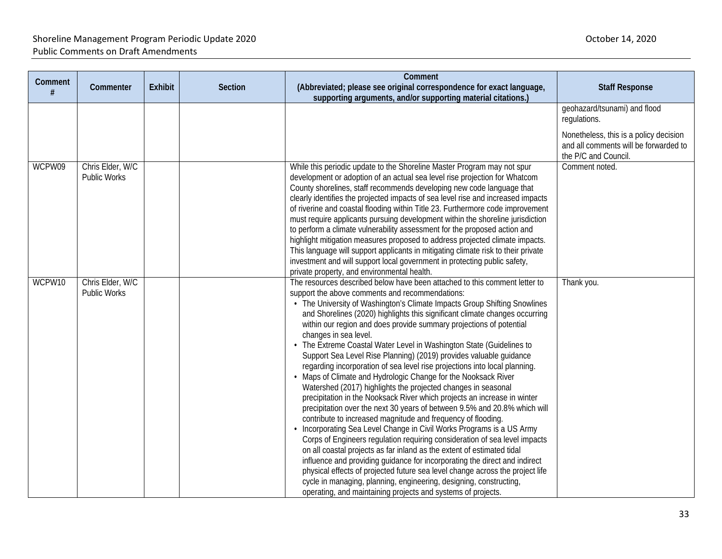### Shoreline Management Program Periodic Update 2020 and the state of the state of the Shoreline Management Program Periodic Update 2020 Public Comments on Draft Amendments

| Comment<br># | Commenter                        | <b>Exhibit</b> | <b>Section</b> | Comment<br>(Abbreviated; please see original correspondence for exact language,                                                                                                                                                                                                                                                                                                                                                                                                                                                                                                                                                                                                                                                                                                                                                                                                                                                                                                                                                                                                                                                                                                                                                                                                                                                                                                                                                                                                                                     | <b>Staff Response</b>                                                                                   |
|--------------|----------------------------------|----------------|----------------|---------------------------------------------------------------------------------------------------------------------------------------------------------------------------------------------------------------------------------------------------------------------------------------------------------------------------------------------------------------------------------------------------------------------------------------------------------------------------------------------------------------------------------------------------------------------------------------------------------------------------------------------------------------------------------------------------------------------------------------------------------------------------------------------------------------------------------------------------------------------------------------------------------------------------------------------------------------------------------------------------------------------------------------------------------------------------------------------------------------------------------------------------------------------------------------------------------------------------------------------------------------------------------------------------------------------------------------------------------------------------------------------------------------------------------------------------------------------------------------------------------------------|---------------------------------------------------------------------------------------------------------|
|              |                                  |                |                | supporting arguments, and/or supporting material citations.)                                                                                                                                                                                                                                                                                                                                                                                                                                                                                                                                                                                                                                                                                                                                                                                                                                                                                                                                                                                                                                                                                                                                                                                                                                                                                                                                                                                                                                                        |                                                                                                         |
|              |                                  |                |                |                                                                                                                                                                                                                                                                                                                                                                                                                                                                                                                                                                                                                                                                                                                                                                                                                                                                                                                                                                                                                                                                                                                                                                                                                                                                                                                                                                                                                                                                                                                     | geohazard/tsunami) and flood<br>regulations.                                                            |
|              |                                  |                |                |                                                                                                                                                                                                                                                                                                                                                                                                                                                                                                                                                                                                                                                                                                                                                                                                                                                                                                                                                                                                                                                                                                                                                                                                                                                                                                                                                                                                                                                                                                                     | Nonetheless, this is a policy decision<br>and all comments will be forwarded to<br>the P/C and Council. |
| WCPW09       | Chris Elder, W/C<br>Public Works |                |                | While this periodic update to the Shoreline Master Program may not spur<br>development or adoption of an actual sea level rise projection for Whatcom<br>County shorelines, staff recommends developing new code language that<br>clearly identifies the projected impacts of sea level rise and increased impacts<br>of riverine and coastal flooding within Title 23. Furthermore code improvement<br>must require applicants pursuing development within the shoreline jurisdiction<br>to perform a climate vulnerability assessment for the proposed action and<br>highlight mitigation measures proposed to address projected climate impacts.<br>This language will support applicants in mitigating climate risk to their private<br>investment and will support local government in protecting public safety,<br>private property, and environmental health.                                                                                                                                                                                                                                                                                                                                                                                                                                                                                                                                                                                                                                                | Comment noted.                                                                                          |
| WCPW10       | Chris Elder, W/C<br>Public Works |                |                | The resources described below have been attached to this comment letter to<br>support the above comments and recommendations:<br>• The University of Washington's Climate Impacts Group Shifting Snowlines<br>and Shorelines (2020) highlights this significant climate changes occurring<br>within our region and does provide summary projections of potential<br>changes in sea level.<br>• The Extreme Coastal Water Level in Washington State (Guidelines to<br>Support Sea Level Rise Planning) (2019) provides valuable guidance<br>regarding incorporation of sea level rise projections into local planning.<br>Maps of Climate and Hydrologic Change for the Nooksack River<br>Watershed (2017) highlights the projected changes in seasonal<br>precipitation in the Nooksack River which projects an increase in winter<br>precipitation over the next 30 years of between 9.5% and 20.8% which will<br>contribute to increased magnitude and frequency of flooding.<br>Incorporating Sea Level Change in Civil Works Programs is a US Army<br>Corps of Engineers regulation requiring consideration of sea level impacts<br>on all coastal projects as far inland as the extent of estimated tidal<br>influence and providing guidance for incorporating the direct and indirect<br>physical effects of projected future sea level change across the project life<br>cycle in managing, planning, engineering, designing, constructing,<br>operating, and maintaining projects and systems of projects. | Thank you.                                                                                              |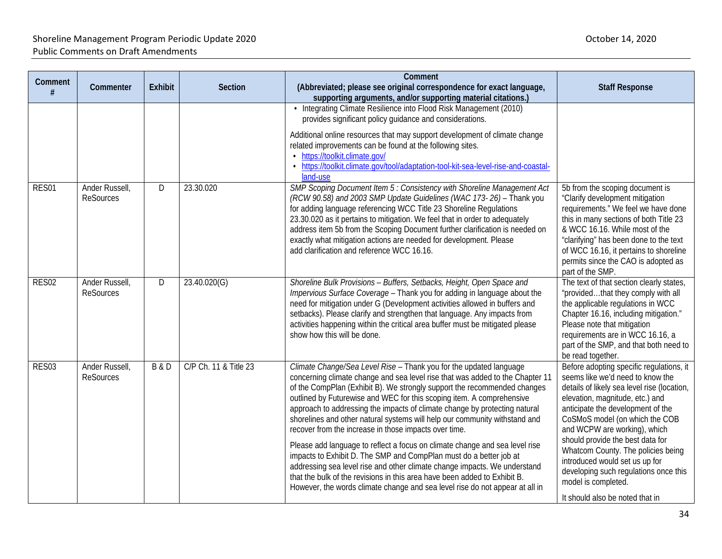| Comment<br># | Commenter                          | <b>Exhibit</b> | Section               | Comment<br>(Abbreviated; please see original correspondence for exact language,<br>supporting arguments, and/or supporting material citations.)                                                                                                                                                                                                                                                                                                                                                                                                                                                                                                                                                                                                                                                                                                                                                                              | <b>Staff Response</b>                                                                                                                                                                                                                                                                                                                                                                                                                                                                |
|--------------|------------------------------------|----------------|-----------------------|------------------------------------------------------------------------------------------------------------------------------------------------------------------------------------------------------------------------------------------------------------------------------------------------------------------------------------------------------------------------------------------------------------------------------------------------------------------------------------------------------------------------------------------------------------------------------------------------------------------------------------------------------------------------------------------------------------------------------------------------------------------------------------------------------------------------------------------------------------------------------------------------------------------------------|--------------------------------------------------------------------------------------------------------------------------------------------------------------------------------------------------------------------------------------------------------------------------------------------------------------------------------------------------------------------------------------------------------------------------------------------------------------------------------------|
|              |                                    |                |                       | • Integrating Climate Resilience into Flood Risk Management (2010)<br>provides significant policy guidance and considerations.<br>Additional online resources that may support development of climate change<br>related improvements can be found at the following sites.<br>• https://toolkit.climate.gov/<br>• https://toolkit.climate.gov/tool/adaptation-tool-kit-sea-level-rise-and-coastal-<br>land-use                                                                                                                                                                                                                                                                                                                                                                                                                                                                                                                |                                                                                                                                                                                                                                                                                                                                                                                                                                                                                      |
| RES01        | Ander Russell,<br><b>ReSources</b> | D              | 23.30.020             | SMP Scoping Document Item 5 : Consistency with Shoreline Management Act<br>(RCW 90.58) and 2003 SMP Update Guidelines (WAC 173-26) - Thank you<br>for adding language referencing WCC Title 23 Shoreline Regulations<br>23.30.020 as it pertains to mitigation. We feel that in order to adequately<br>address item 5b from the Scoping Document further clarification is needed on<br>exactly what mitigation actions are needed for development. Please<br>add clarification and reference WCC 16.16.                                                                                                                                                                                                                                                                                                                                                                                                                      | 5b from the scoping document is<br>"Clarify development mitigation<br>requirements." We feel we have done<br>this in many sections of both Title 23<br>& WCC 16.16. While most of the<br>"clarifying" has been done to the text<br>of WCC 16.16, it pertains to shoreline<br>permits since the CAO is adopted as<br>part of the SMP.                                                                                                                                                 |
| RES02        | Ander Russell,<br><b>ReSources</b> | D              | 23.40.020(G)          | Shoreline Bulk Provisions - Buffers, Setbacks, Height, Open Space and<br>Impervious Surface Coverage - Thank you for adding in language about the<br>need for mitigation under G (Development activities allowed in buffers and<br>setbacks). Please clarify and strengthen that language. Any impacts from<br>activities happening within the critical area buffer must be mitigated please<br>show how this will be done.                                                                                                                                                                                                                                                                                                                                                                                                                                                                                                  | The text of that section clearly states,<br>"providedthat they comply with all<br>the applicable regulations in WCC<br>Chapter 16.16, including mitigation."<br>Please note that mitigation<br>requirements are in WCC 16.16, a<br>part of the SMP, and that both need to<br>be read together.                                                                                                                                                                                       |
| RES03        | Ander Russell,<br><b>ReSources</b> | <b>B&amp;D</b> | C/P Ch. 11 & Title 23 | Climate Change/Sea Level Rise - Thank you for the updated language<br>concerning climate change and sea level rise that was added to the Chapter 11<br>of the CompPlan (Exhibit B). We strongly support the recommended changes<br>outlined by Futurewise and WEC for this scoping item. A comprehensive<br>approach to addressing the impacts of climate change by protecting natural<br>shorelines and other natural systems will help our community withstand and<br>recover from the increase in those impacts over time.<br>Please add language to reflect a focus on climate change and sea level rise<br>impacts to Exhibit D. The SMP and CompPlan must do a better job at<br>addressing sea level rise and other climate change impacts. We understand<br>that the bulk of the revisions in this area have been added to Exhibit B.<br>However, the words climate change and sea level rise do not appear at all in | Before adopting specific regulations, it<br>seems like we'd need to know the<br>details of likely sea level rise (location,<br>elevation, magnitude, etc.) and<br>anticipate the development of the<br>CoSMoS model (on which the COB<br>and WCPW are working), which<br>should provide the best data for<br>Whatcom County. The policies being<br>introduced would set us up for<br>developing such regulations once this<br>model is completed.<br>It should also be noted that in |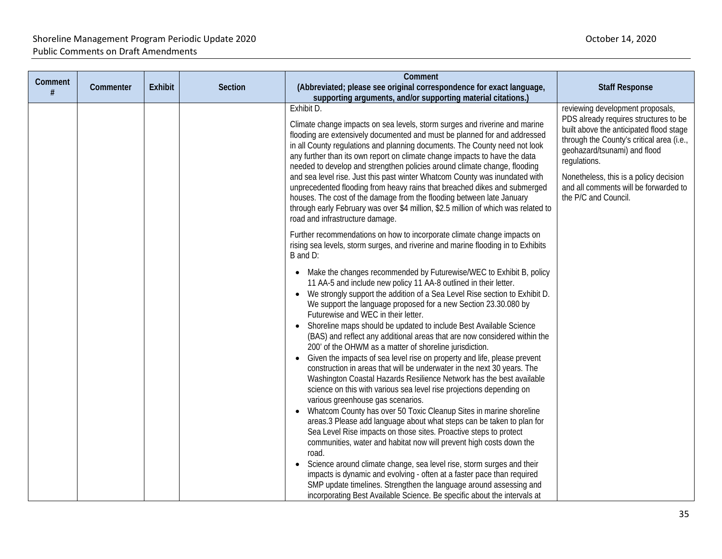|              |           |                |                | Comment                                                                                                                                                                                                                                                                                                                                                                                                                                                                                                                                                                                                                                                                                                                                                                                                                                                                                                                                                                                                                                                                                                                                                                                                                                                                                                                                                                          |                                                                                                                                                                                                                                                                                                                              |
|--------------|-----------|----------------|----------------|----------------------------------------------------------------------------------------------------------------------------------------------------------------------------------------------------------------------------------------------------------------------------------------------------------------------------------------------------------------------------------------------------------------------------------------------------------------------------------------------------------------------------------------------------------------------------------------------------------------------------------------------------------------------------------------------------------------------------------------------------------------------------------------------------------------------------------------------------------------------------------------------------------------------------------------------------------------------------------------------------------------------------------------------------------------------------------------------------------------------------------------------------------------------------------------------------------------------------------------------------------------------------------------------------------------------------------------------------------------------------------|------------------------------------------------------------------------------------------------------------------------------------------------------------------------------------------------------------------------------------------------------------------------------------------------------------------------------|
| Comment<br># | Commenter | <b>Exhibit</b> | <b>Section</b> | (Abbreviated; please see original correspondence for exact language,<br>supporting arguments, and/or supporting material citations.)                                                                                                                                                                                                                                                                                                                                                                                                                                                                                                                                                                                                                                                                                                                                                                                                                                                                                                                                                                                                                                                                                                                                                                                                                                             | <b>Staff Response</b>                                                                                                                                                                                                                                                                                                        |
|              |           |                |                | Exhibit D.<br>Climate change impacts on sea levels, storm surges and riverine and marine<br>flooding are extensively documented and must be planned for and addressed<br>in all County regulations and planning documents. The County need not look<br>any further than its own report on climate change impacts to have the data<br>needed to develop and strengthen policies around climate change, flooding<br>and sea level rise. Just this past winter Whatcom County was inundated with<br>unprecedented flooding from heavy rains that breached dikes and submerged<br>houses. The cost of the damage from the flooding between late January<br>through early February was over \$4 million, \$2.5 million of which was related to<br>road and infrastructure damage.                                                                                                                                                                                                                                                                                                                                                                                                                                                                                                                                                                                                     | reviewing development proposals,<br>PDS already requires structures to be<br>built above the anticipated flood stage<br>through the County's critical area (i.e.,<br>geohazard/tsunami) and flood<br>regulations.<br>Nonetheless, this is a policy decision<br>and all comments will be forwarded to<br>the P/C and Council. |
|              |           |                |                | Further recommendations on how to incorporate climate change impacts on<br>rising sea levels, storm surges, and riverine and marine flooding in to Exhibits<br>B and D:                                                                                                                                                                                                                                                                                                                                                                                                                                                                                                                                                                                                                                                                                                                                                                                                                                                                                                                                                                                                                                                                                                                                                                                                          |                                                                                                                                                                                                                                                                                                                              |
|              |           |                |                | • Make the changes recommended by Futurewise/WEC to Exhibit B, policy<br>11 AA-5 and include new policy 11 AA-8 outlined in their letter.<br>We strongly support the addition of a Sea Level Rise section to Exhibit D.<br>We support the language proposed for a new Section 23.30.080 by<br>Futurewise and WEC in their letter.<br>• Shoreline maps should be updated to include Best Available Science<br>(BAS) and reflect any additional areas that are now considered within the<br>200' of the OHWM as a matter of shoreline jurisdiction.<br>Given the impacts of sea level rise on property and life, please prevent<br>$\bullet$<br>construction in areas that will be underwater in the next 30 years. The<br>Washington Coastal Hazards Resilience Network has the best available<br>science on this with various sea level rise projections depending on<br>various greenhouse gas scenarios.<br>• Whatcom County has over 50 Toxic Cleanup Sites in marine shoreline<br>areas.3 Please add language about what steps can be taken to plan for<br>Sea Level Rise impacts on those sites. Proactive steps to protect<br>communities, water and habitat now will prevent high costs down the<br>road.<br>Science around climate change, sea level rise, storm surges and their<br>$\bullet$<br>impacts is dynamic and evolving - often at a faster pace than required |                                                                                                                                                                                                                                                                                                                              |
|              |           |                |                | SMP update timelines. Strengthen the language around assessing and<br>incorporating Best Available Science. Be specific about the intervals at                                                                                                                                                                                                                                                                                                                                                                                                                                                                                                                                                                                                                                                                                                                                                                                                                                                                                                                                                                                                                                                                                                                                                                                                                                   |                                                                                                                                                                                                                                                                                                                              |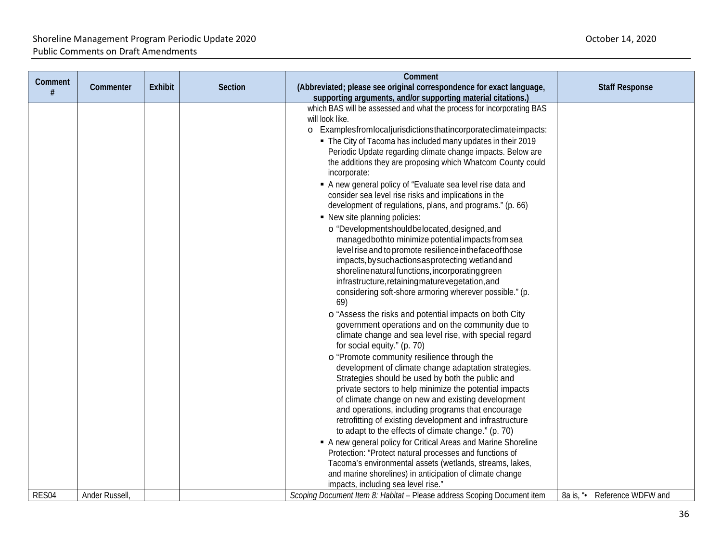|         |                |                |                | Comment                                                                                                    |                                 |
|---------|----------------|----------------|----------------|------------------------------------------------------------------------------------------------------------|---------------------------------|
| Comment | Commenter      | <b>Exhibit</b> | <b>Section</b> | (Abbreviated; please see original correspondence for exact language,                                       | <b>Staff Response</b>           |
| #       |                |                |                | supporting arguments, and/or supporting material citations.)                                               |                                 |
|         |                |                |                | which BAS will be assessed and what the process for incorporating BAS                                      |                                 |
|         |                |                |                | will look like.                                                                                            |                                 |
|         |                |                |                | o Examplesfromlocaljurisdictionsthatincorporateclimateimpacts:                                             |                                 |
|         |                |                |                | • The City of Tacoma has included many updates in their 2019                                               |                                 |
|         |                |                |                | Periodic Update regarding climate change impacts. Below are                                                |                                 |
|         |                |                |                | the additions they are proposing which Whatcom County could                                                |                                 |
|         |                |                |                | incorporate:                                                                                               |                                 |
|         |                |                |                | A new general policy of "Evaluate sea level rise data and                                                  |                                 |
|         |                |                |                | consider sea level rise risks and implications in the                                                      |                                 |
|         |                |                |                | development of regulations, plans, and programs." (p. 66)                                                  |                                 |
|         |                |                |                | • New site planning policies:                                                                              |                                 |
|         |                |                |                | o "Developmentshouldbelocated, designed, and                                                               |                                 |
|         |                |                |                | managedbothto minimize potential impacts from sea                                                          |                                 |
|         |                |                |                | level rise and to promote resilience in the face of those                                                  |                                 |
|         |                |                |                | impacts, by such actions as protecting wetland and                                                         |                                 |
|         |                |                |                | shoreline natural functions, incorporating green                                                           |                                 |
|         |                |                |                | infrastructure, retaining maturevegetation, and                                                            |                                 |
|         |                |                |                | considering soft-shore armoring wherever possible." (p.                                                    |                                 |
|         |                |                |                | 69)                                                                                                        |                                 |
|         |                |                |                | o "Assess the risks and potential impacts on both City                                                     |                                 |
|         |                |                |                | government operations and on the community due to                                                          |                                 |
|         |                |                |                | climate change and sea level rise, with special regard                                                     |                                 |
|         |                |                |                | for social equity." (p. 70)                                                                                |                                 |
|         |                |                |                | o "Promote community resilience through the                                                                |                                 |
|         |                |                |                | development of climate change adaptation strategies.                                                       |                                 |
|         |                |                |                | Strategies should be used by both the public and<br>private sectors to help minimize the potential impacts |                                 |
|         |                |                |                | of climate change on new and existing development                                                          |                                 |
|         |                |                |                | and operations, including programs that encourage                                                          |                                 |
|         |                |                |                | retrofitting of existing development and infrastructure                                                    |                                 |
|         |                |                |                | to adapt to the effects of climate change." (p. 70)                                                        |                                 |
|         |                |                |                | A new general policy for Critical Areas and Marine Shoreline                                               |                                 |
|         |                |                |                | Protection: "Protect natural processes and functions of                                                    |                                 |
|         |                |                |                | Tacoma's environmental assets (wetlands, streams, lakes,                                                   |                                 |
|         |                |                |                | and marine shorelines) in anticipation of climate change                                                   |                                 |
|         |                |                |                | impacts, including sea level rise."                                                                        |                                 |
| RES04   | Ander Russell, |                |                | Scoping Document Item 8: Habitat - Please address Scoping Document item                                    | Reference WDFW and<br>8a is, "• |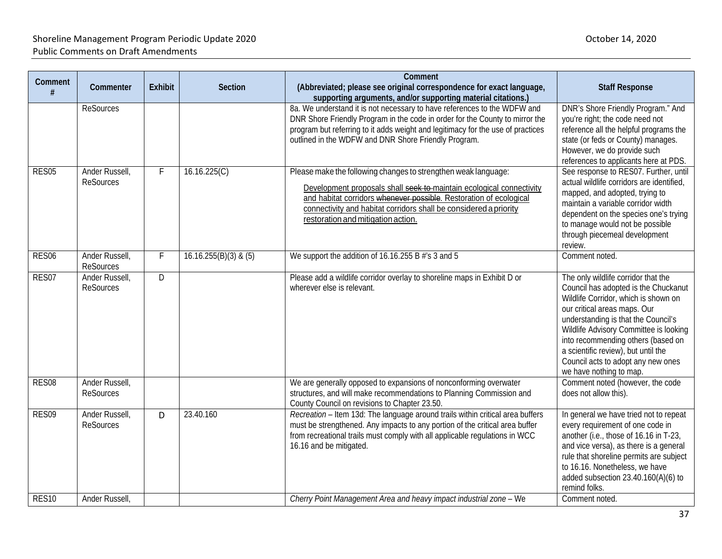| Comment<br>#      | Commenter                          | <b>Exhibit</b> | <b>Section</b>          | Comment<br>(Abbreviated; please see original correspondence for exact language,<br>supporting arguments, and/or supporting material citations.)                                                                                                                                                                         | <b>Staff Response</b>                                                                                                                                                                                                                                                                                                                                                              |
|-------------------|------------------------------------|----------------|-------------------------|-------------------------------------------------------------------------------------------------------------------------------------------------------------------------------------------------------------------------------------------------------------------------------------------------------------------------|------------------------------------------------------------------------------------------------------------------------------------------------------------------------------------------------------------------------------------------------------------------------------------------------------------------------------------------------------------------------------------|
|                   | <b>ReSources</b>                   |                |                         | 8a. We understand it is not necessary to have references to the WDFW and<br>DNR Shore Friendly Program in the code in order for the County to mirror the<br>program but referring to it adds weight and legitimacy for the use of practices<br>outlined in the WDFW and DNR Shore Friendly Program.                     | DNR's Shore Friendly Program." And<br>you're right; the code need not<br>reference all the helpful programs the<br>state (or feds or County) manages.<br>However, we do provide such<br>references to applicants here at PDS.                                                                                                                                                      |
| RES05             | Ander Russell,<br><b>ReSources</b> | F              | 16.16.225(C)            | Please make the following changes to strengthen weak language:<br>Development proposals shall seek to-maintain ecological connectivity<br>and habitat corridors whenever possible. Restoration of ecological<br>connectivity and habitat corridors shall be considered a priority<br>restoration and mitigation action. | See response to RES07. Further, until<br>actual wildlife corridors are identified,<br>mapped, and adopted, trying to<br>maintain a variable corridor width<br>dependent on the species one's trying<br>to manage would not be possible<br>through piecemeal development<br>review.                                                                                                 |
| RES06             | Ander Russell,<br><b>ReSources</b> | F              | $16.16.255(B)(3)$ & (5) | We support the addition of 16.16.255 B #'s 3 and 5                                                                                                                                                                                                                                                                      | Comment noted.                                                                                                                                                                                                                                                                                                                                                                     |
| RES07             | Ander Russell.<br><b>ReSources</b> | D              |                         | Please add a wildlife corridor overlay to shoreline maps in Exhibit D or<br>wherever else is relevant.                                                                                                                                                                                                                  | The only wildlife corridor that the<br>Council has adopted is the Chuckanut<br>Wildlife Corridor, which is shown on<br>our critical areas maps. Our<br>understanding is that the Council's<br>Wildlife Advisory Committee is looking<br>into recommending others (based on<br>a scientific review), but until the<br>Council acts to adopt any new ones<br>we have nothing to map. |
| RES08             | Ander Russell,<br><b>ReSources</b> |                |                         | We are generally opposed to expansions of nonconforming overwater<br>structures, and will make recommendations to Planning Commission and<br>County Council on revisions to Chapter 23.50.                                                                                                                              | Comment noted (however, the code<br>does not allow this).                                                                                                                                                                                                                                                                                                                          |
| RES09             | Ander Russell,<br><b>ReSources</b> | D              | 23.40.160               | Recreation - Item 13d: The language around trails within critical area buffers<br>must be strengthened. Any impacts to any portion of the critical area buffer<br>from recreational trails must comply with all applicable regulations in WCC<br>16.16 and be mitigated.                                                | In general we have tried not to repeat<br>every requirement of one code in<br>another (i.e., those of 16.16 in T-23,<br>and vice versa), as there is a general<br>rule that shoreline permits are subject<br>to 16.16. Nonetheless, we have<br>added subsection 23.40.160(A)(6) to<br>remind folks.                                                                                |
| RES <sub>10</sub> | Ander Russell,                     |                |                         | Cherry Point Management Area and heavy impact industrial zone - We                                                                                                                                                                                                                                                      | Comment noted.                                                                                                                                                                                                                                                                                                                                                                     |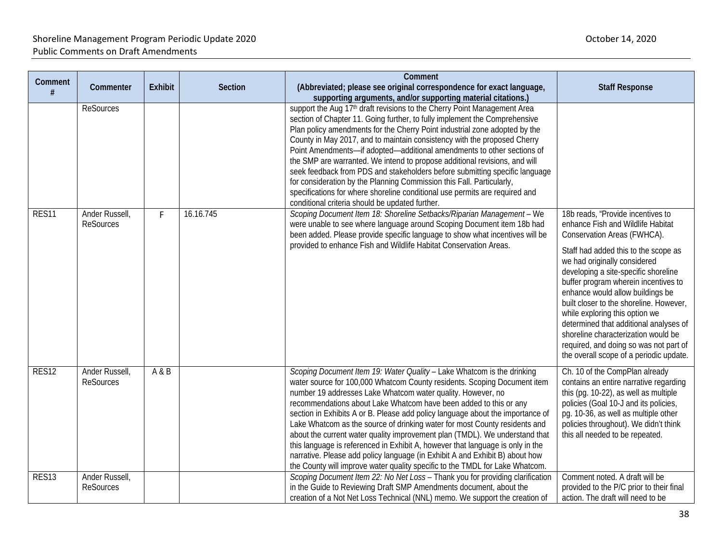| <b>Comment</b><br># | Commenter                          | <b>Exhibit</b> | Section   | Comment<br>(Abbreviated; please see original correspondence for exact language,<br>supporting arguments, and/or supporting material citations.)                                                                                                                                                                                                                                                                                                                                                                                                                                                                                                                                                                                                                                         | <b>Staff Response</b>                                                                                                                                                                                                                                                                                                                                                                                                                       |
|---------------------|------------------------------------|----------------|-----------|-----------------------------------------------------------------------------------------------------------------------------------------------------------------------------------------------------------------------------------------------------------------------------------------------------------------------------------------------------------------------------------------------------------------------------------------------------------------------------------------------------------------------------------------------------------------------------------------------------------------------------------------------------------------------------------------------------------------------------------------------------------------------------------------|---------------------------------------------------------------------------------------------------------------------------------------------------------------------------------------------------------------------------------------------------------------------------------------------------------------------------------------------------------------------------------------------------------------------------------------------|
|                     | <b>ReSources</b>                   |                |           | support the Aug 17th draft revisions to the Cherry Point Management Area<br>section of Chapter 11. Going further, to fully implement the Comprehensive<br>Plan policy amendments for the Cherry Point industrial zone adopted by the<br>County in May 2017, and to maintain consistency with the proposed Cherry<br>Point Amendments-if adopted-additional amendments to other sections of<br>the SMP are warranted. We intend to propose additional revisions, and will<br>seek feedback from PDS and stakeholders before submitting specific language<br>for consideration by the Planning Commission this Fall. Particularly,<br>specifications for where shoreline conditional use permits are required and<br>conditional criteria should be updated further.                      |                                                                                                                                                                                                                                                                                                                                                                                                                                             |
| RES11               | Ander Russell,<br><b>ReSources</b> | F.             | 16.16.745 | Scoping Document Item 18: Shoreline Setbacks/Riparian Management - We<br>were unable to see where language around Scoping Document item 18b had<br>been added. Please provide specific language to show what incentives will be                                                                                                                                                                                                                                                                                                                                                                                                                                                                                                                                                         | 18b reads, "Provide incentives to<br>enhance Fish and Wildlife Habitat<br>Conservation Areas (FWHCA).                                                                                                                                                                                                                                                                                                                                       |
|                     |                                    |                |           | provided to enhance Fish and Wildlife Habitat Conservation Areas.                                                                                                                                                                                                                                                                                                                                                                                                                                                                                                                                                                                                                                                                                                                       | Staff had added this to the scope as<br>we had originally considered<br>developing a site-specific shoreline<br>buffer program wherein incentives to<br>enhance would allow buildings be<br>built closer to the shoreline. However,<br>while exploring this option we<br>determined that additional analyses of<br>shoreline characterization would be<br>required, and doing so was not part of<br>the overall scope of a periodic update. |
| RES12               | Ander Russell,<br><b>ReSources</b> | A & B          |           | Scoping Document Item 19: Water Quality - Lake Whatcom is the drinking<br>water source for 100,000 Whatcom County residents. Scoping Document item<br>number 19 addresses Lake Whatcom water quality. However, no<br>recommendations about Lake Whatcom have been added to this or any<br>section in Exhibits A or B. Please add policy language about the importance of<br>Lake Whatcom as the source of drinking water for most County residents and<br>about the current water quality improvement plan (TMDL). We understand that<br>this language is referenced in Exhibit A, however that language is only in the<br>narrative. Please add policy language (in Exhibit A and Exhibit B) about how<br>the County will improve water quality specific to the TMDL for Lake Whatcom. | Ch. 10 of the CompPlan already<br>contains an entire narrative regarding<br>this (pg. 10-22), as well as multiple<br>policies (Goal 10-J and its policies,<br>pg. 10-36, as well as multiple other<br>policies throughout). We didn't think<br>this all needed to be repeated.                                                                                                                                                              |
| RES <sub>13</sub>   | Ander Russell,<br><b>ReSources</b> |                |           | Scoping Document Item 22: No Net Loss - Thank you for providing clarification<br>in the Guide to Reviewing Draft SMP Amendments document, about the<br>creation of a Not Net Loss Technical (NNL) memo. We support the creation of                                                                                                                                                                                                                                                                                                                                                                                                                                                                                                                                                      | Comment noted. A draft will be<br>provided to the P/C prior to their final<br>action. The draft will need to be                                                                                                                                                                                                                                                                                                                             |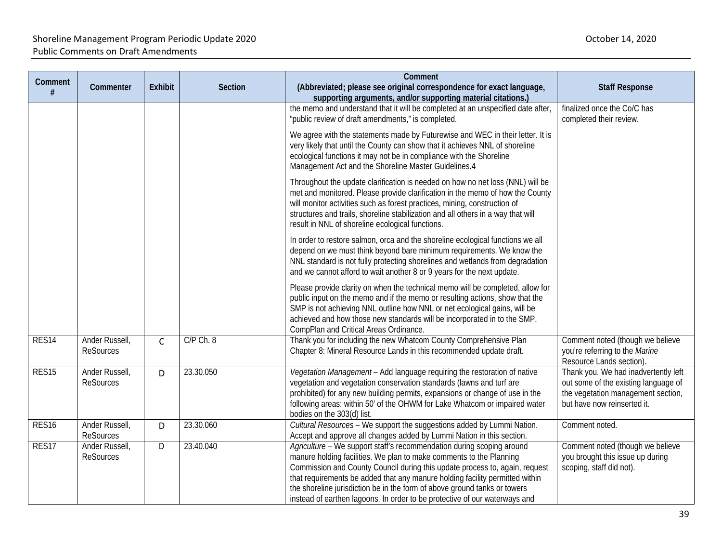| Comment<br>#      | Commenter                          | <b>Exhibit</b> | <b>Section</b> | Comment<br>(Abbreviated; please see original correspondence for exact language,<br>supporting arguments, and/or supporting material citations.)                                                                                                                                                                                                                                                                                                                        | <b>Staff Response</b>                                                                                                                             |
|-------------------|------------------------------------|----------------|----------------|------------------------------------------------------------------------------------------------------------------------------------------------------------------------------------------------------------------------------------------------------------------------------------------------------------------------------------------------------------------------------------------------------------------------------------------------------------------------|---------------------------------------------------------------------------------------------------------------------------------------------------|
|                   |                                    |                |                | the memo and understand that it will be completed at an unspecified date after,<br>"public review of draft amendments," is completed.                                                                                                                                                                                                                                                                                                                                  | finalized once the Co/C has<br>completed their review.                                                                                            |
|                   |                                    |                |                | We agree with the statements made by Futurewise and WEC in their letter. It is<br>very likely that until the County can show that it achieves NNL of shoreline<br>ecological functions it may not be in compliance with the Shoreline<br>Management Act and the Shoreline Master Guidelines.4                                                                                                                                                                          |                                                                                                                                                   |
|                   |                                    |                |                | Throughout the update clarification is needed on how no net loss (NNL) will be<br>met and monitored. Please provide clarification in the memo of how the County<br>will monitor activities such as forest practices, mining, construction of<br>structures and trails, shoreline stabilization and all others in a way that will<br>result in NNL of shoreline ecological functions.                                                                                   |                                                                                                                                                   |
|                   |                                    |                |                | In order to restore salmon, orca and the shoreline ecological functions we all<br>depend on we must think beyond bare minimum requirements. We know the<br>NNL standard is not fully protecting shorelines and wetlands from degradation<br>and we cannot afford to wait another 8 or 9 years for the next update.                                                                                                                                                     |                                                                                                                                                   |
|                   |                                    |                |                | Please provide clarity on when the technical memo will be completed, allow for<br>public input on the memo and if the memo or resulting actions, show that the<br>SMP is not achieving NNL outline how NNL or net ecological gains, will be<br>achieved and how those new standards will be incorporated in to the SMP,<br>CompPlan and Critical Areas Ordinance.                                                                                                      |                                                                                                                                                   |
| RES <sub>14</sub> | Ander Russell,<br><b>ReSources</b> | $\mathsf{C}$   | $C/P$ Ch. 8    | Thank you for including the new Whatcom County Comprehensive Plan<br>Chapter 8: Mineral Resource Lands in this recommended update draft.                                                                                                                                                                                                                                                                                                                               | Comment noted (though we believe<br>you're referring to the Marine<br>Resource Lands section).                                                    |
| RES <sub>15</sub> | Ander Russell,<br><b>ReSources</b> | D              | 23.30.050      | Vegetation Management - Add language requiring the restoration of native<br>vegetation and vegetation conservation standards (lawns and turf are<br>prohibited) for any new building permits, expansions or change of use in the<br>following areas: within 50' of the OHWM for Lake Whatcom or impaired water<br>bodies on the 303(d) list.                                                                                                                           | Thank you. We had inadvertently left<br>out some of the existing language of<br>the vegetation management section,<br>but have now reinserted it. |
| RES <sub>16</sub> | Ander Russell,<br><b>ReSources</b> | D              | 23.30.060      | Cultural Resources - We support the suggestions added by Lummi Nation.<br>Accept and approve all changes added by Lummi Nation in this section.                                                                                                                                                                                                                                                                                                                        | Comment noted.                                                                                                                                    |
| RES17             | Ander Russell,<br><b>ReSources</b> | D              | 23.40.040      | Agriculture - We support staff's recommendation during scoping around<br>manure holding facilities. We plan to make comments to the Planning<br>Commission and County Council during this update process to, again, request<br>that requirements be added that any manure holding facility permitted within<br>the shoreline jurisdiction be in the form of above ground tanks or towers<br>instead of earthen lagoons. In order to be protective of our waterways and | Comment noted (though we believe<br>you brought this issue up during<br>scoping, staff did not).                                                  |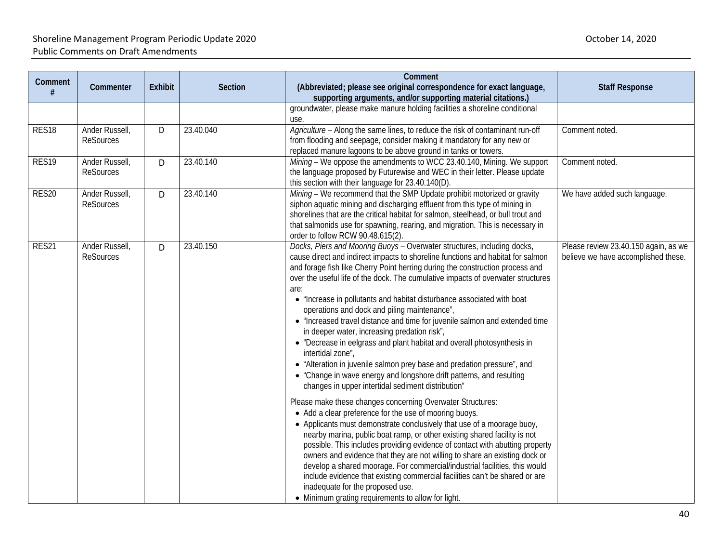|                   |                                    |                |           | Comment                                                                                                                                                                                                                                                                                                                                                                                                                                                                                                                                                                                                                                                                                                                                                                                                                                                                                                                                                                                                                                                                                                                                                                                                                                                                                                                                                                                                                                                                                                                                                                                                       |                                                                             |
|-------------------|------------------------------------|----------------|-----------|---------------------------------------------------------------------------------------------------------------------------------------------------------------------------------------------------------------------------------------------------------------------------------------------------------------------------------------------------------------------------------------------------------------------------------------------------------------------------------------------------------------------------------------------------------------------------------------------------------------------------------------------------------------------------------------------------------------------------------------------------------------------------------------------------------------------------------------------------------------------------------------------------------------------------------------------------------------------------------------------------------------------------------------------------------------------------------------------------------------------------------------------------------------------------------------------------------------------------------------------------------------------------------------------------------------------------------------------------------------------------------------------------------------------------------------------------------------------------------------------------------------------------------------------------------------------------------------------------------------|-----------------------------------------------------------------------------|
| Comment<br>#      | Commenter                          | <b>Exhibit</b> | Section   | (Abbreviated; please see original correspondence for exact language,<br>supporting arguments, and/or supporting material citations.)                                                                                                                                                                                                                                                                                                                                                                                                                                                                                                                                                                                                                                                                                                                                                                                                                                                                                                                                                                                                                                                                                                                                                                                                                                                                                                                                                                                                                                                                          | <b>Staff Response</b>                                                       |
|                   |                                    |                |           | groundwater, please make manure holding facilities a shoreline conditional<br>use.                                                                                                                                                                                                                                                                                                                                                                                                                                                                                                                                                                                                                                                                                                                                                                                                                                                                                                                                                                                                                                                                                                                                                                                                                                                                                                                                                                                                                                                                                                                            |                                                                             |
| RES <sub>18</sub> | Ander Russell,<br><b>ReSources</b> | D              | 23.40.040 | Agriculture - Along the same lines, to reduce the risk of contaminant run-off<br>from flooding and seepage, consider making it mandatory for any new or<br>replaced manure lagoons to be above ground in tanks or towers.                                                                                                                                                                                                                                                                                                                                                                                                                                                                                                                                                                                                                                                                                                                                                                                                                                                                                                                                                                                                                                                                                                                                                                                                                                                                                                                                                                                     | Comment noted.                                                              |
| RES <sub>19</sub> | Ander Russell,<br><b>ReSources</b> | D              | 23.40.140 | Mining - We oppose the amendments to WCC 23.40.140, Mining. We support<br>the language proposed by Futurewise and WEC in their letter. Please update<br>this section with their language for 23.40.140(D).                                                                                                                                                                                                                                                                                                                                                                                                                                                                                                                                                                                                                                                                                                                                                                                                                                                                                                                                                                                                                                                                                                                                                                                                                                                                                                                                                                                                    | Comment noted.                                                              |
| RES20             | Ander Russell,<br><b>ReSources</b> | D              | 23.40.140 | Mining - We recommend that the SMP Update prohibit motorized or gravity<br>siphon aquatic mining and discharging effluent from this type of mining in<br>shorelines that are the critical habitat for salmon, steelhead, or bull trout and<br>that salmonids use for spawning, rearing, and migration. This is necessary in<br>order to follow RCW 90.48.615(2).                                                                                                                                                                                                                                                                                                                                                                                                                                                                                                                                                                                                                                                                                                                                                                                                                                                                                                                                                                                                                                                                                                                                                                                                                                              | We have added such language.                                                |
| RES21             | Ander Russell,<br><b>ReSources</b> | D              | 23.40.150 | Docks, Piers and Mooring Buoys - Overwater structures, including docks,<br>cause direct and indirect impacts to shoreline functions and habitat for salmon<br>and forage fish like Cherry Point herring during the construction process and<br>over the useful life of the dock. The cumulative impacts of overwater structures<br>are:<br>• "Increase in pollutants and habitat disturbance associated with boat<br>operations and dock and piling maintenance",<br>• "Increased travel distance and time for juvenile salmon and extended time<br>in deeper water, increasing predation risk",<br>• "Decrease in eelgrass and plant habitat and overall photosynthesis in<br>intertidal zone",<br>• "Alteration in juvenile salmon prey base and predation pressure", and<br>• "Change in wave energy and longshore drift patterns, and resulting<br>changes in upper intertidal sediment distribution"<br>Please make these changes concerning Overwater Structures:<br>• Add a clear preference for the use of mooring buoys.<br>• Applicants must demonstrate conclusively that use of a moorage buoy,<br>nearby marina, public boat ramp, or other existing shared facility is not<br>possible. This includes providing evidence of contact with abutting property<br>owners and evidence that they are not willing to share an existing dock or<br>develop a shared moorage. For commercial/industrial facilities, this would<br>include evidence that existing commercial facilities can't be shared or are<br>inadequate for the proposed use.<br>• Minimum grating requirements to allow for light. | Please review 23.40.150 again, as we<br>believe we have accomplished these. |